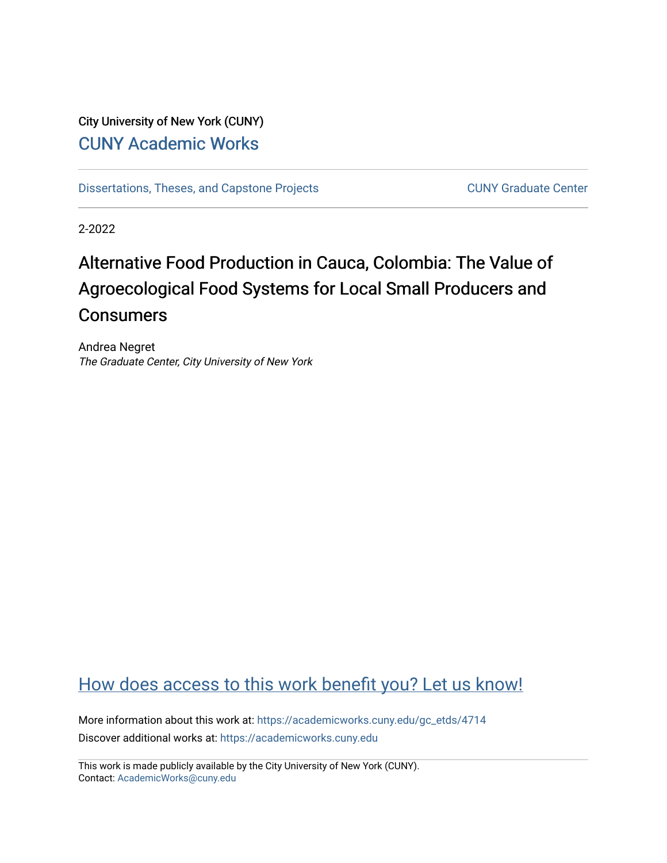## City University of New York (CUNY) [CUNY Academic Works](https://academicworks.cuny.edu/)

[Dissertations, Theses, and Capstone Projects](https://academicworks.cuny.edu/gc_etds) CUNY Graduate Center

2-2022

# Alternative Food Production in Cauca, Colombia: The Value of Agroecological Food Systems for Local Small Producers and **Consumers**

Andrea Negret The Graduate Center, City University of New York

# [How does access to this work benefit you? Let us know!](http://ols.cuny.edu/academicworks/?ref=https://academicworks.cuny.edu/gc_etds/4714)

More information about this work at: [https://academicworks.cuny.edu/gc\\_etds/4714](https://academicworks.cuny.edu/gc_etds/4714) Discover additional works at: [https://academicworks.cuny.edu](https://academicworks.cuny.edu/?)

This work is made publicly available by the City University of New York (CUNY). Contact: [AcademicWorks@cuny.edu](mailto:AcademicWorks@cuny.edu)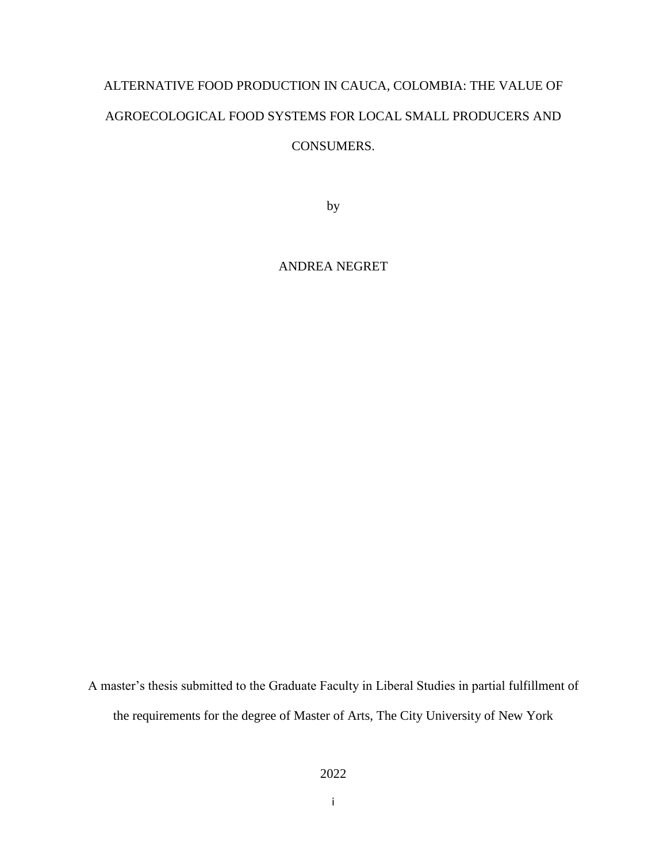# ALTERNATIVE FOOD PRODUCTION IN CAUCA, COLOMBIA: THE VALUE OF AGROECOLOGICAL FOOD SYSTEMS FOR LOCAL SMALL PRODUCERS AND CONSUMERS.

by

ANDREA NEGRET

A master's thesis submitted to the Graduate Faculty in Liberal Studies in partial fulfillment of the requirements for the degree of Master of Arts, The City University of New York

i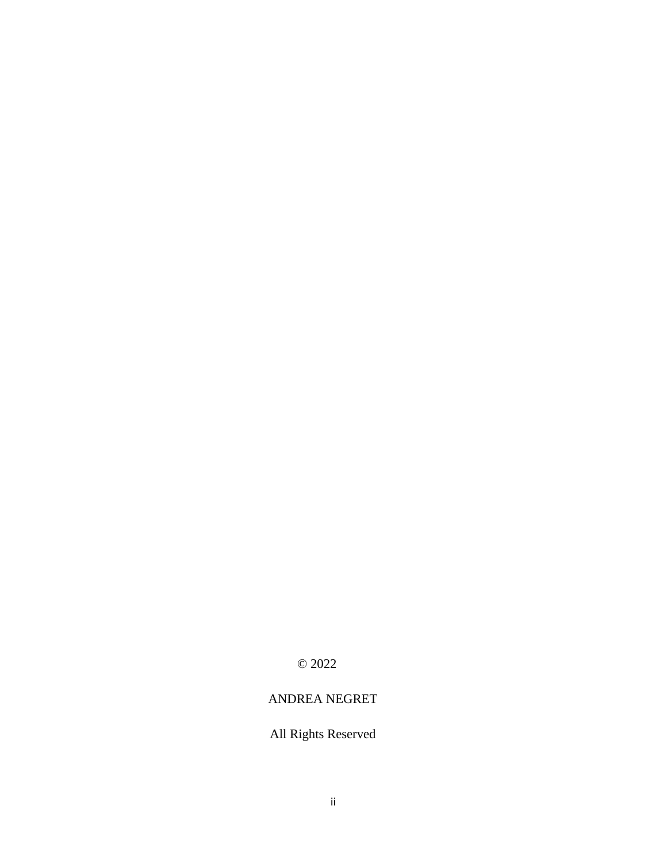© 2022

## ANDREA NEGRET

## All Rights Reserved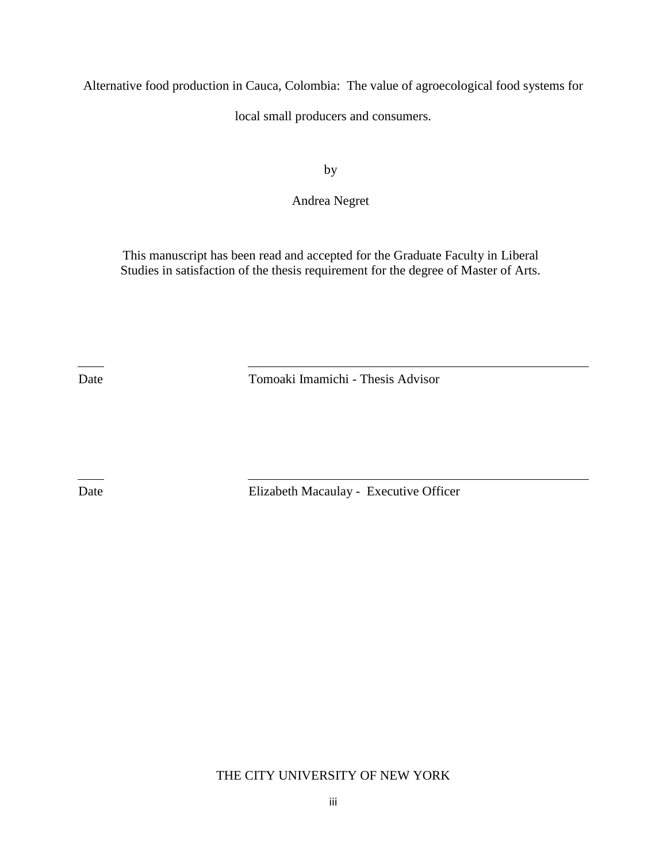Alternative food production in Cauca, Colombia: The value of agroecological food systems for

local small producers and consumers.

by

Andrea Negret

This manuscript has been read and accepted for the Graduate Faculty in Liberal Studies in satisfaction of the thesis requirement for the degree of Master of Arts.

Date Tomoaki Imamichi - Thesis Advisor

Date Elizabeth Macaulay - Executive Officer

THE CITY UNIVERSITY OF NEW YORK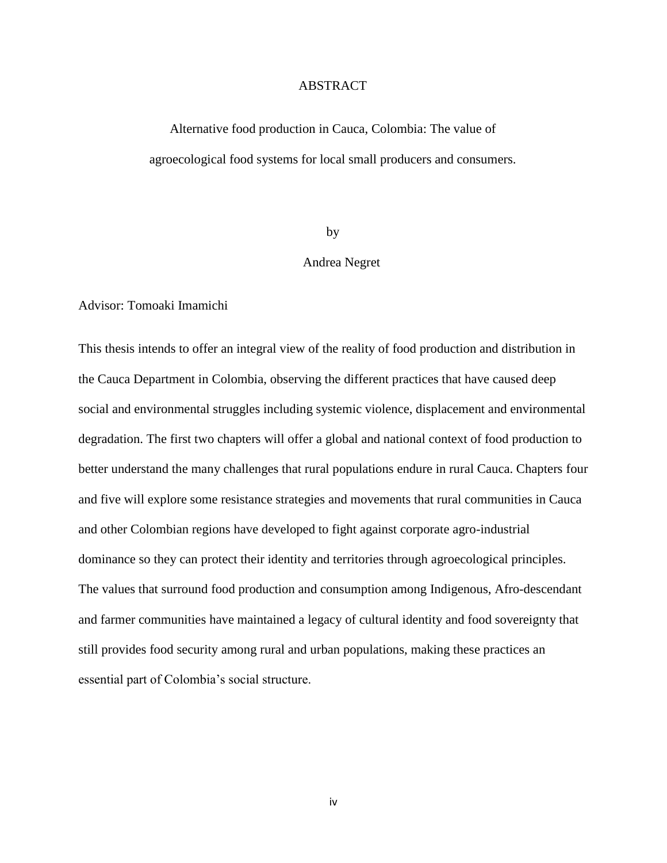#### ABSTRACT

Alternative food production in Cauca, Colombia: The value of agroecological food systems for local small producers and consumers.

#### by

#### Andrea Negret

Advisor: Tomoaki Imamichi

This thesis intends to offer an integral view of the reality of food production and distribution in the Cauca Department in Colombia, observing the different practices that have caused deep social and environmental struggles including systemic violence, displacement and environmental degradation. The first two chapters will offer a global and national context of food production to better understand the many challenges that rural populations endure in rural Cauca. Chapters four and five will explore some resistance strategies and movements that rural communities in Cauca and other Colombian regions have developed to fight against corporate agro-industrial dominance so they can protect their identity and territories through agroecological principles. The values that surround food production and consumption among Indigenous, Afro-descendant and farmer communities have maintained a legacy of cultural identity and food sovereignty that still provides food security among rural and urban populations, making these practices an essential part of Colombia's social structure.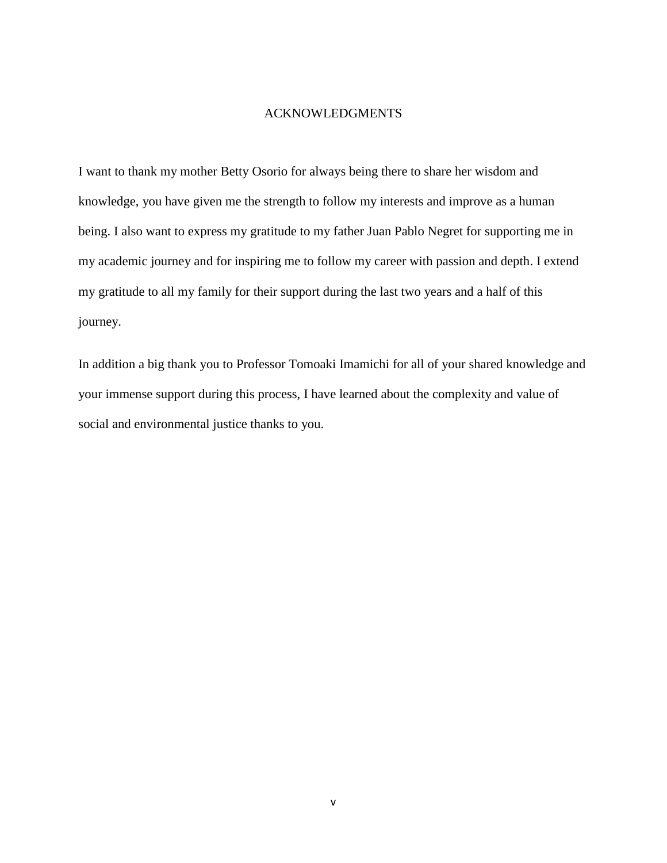#### ACKNOWLEDGMENTS

I want to thank my mother Betty Osorio for always being there to share her wisdom and knowledge, you have given me the strength to follow my interests and improve as a human being. I also want to express my gratitude to my father Juan Pablo Negret for supporting me in my academic journey and for inspiring me to follow my career with passion and depth. I extend my gratitude to all my family for their support during the last two years and a half of this journey.

In addition a big thank you to Professor Tomoaki Imamichi for all of your shared knowledge and your immense support during this process, I have learned about the complexity and value of social and environmental justice thanks to you.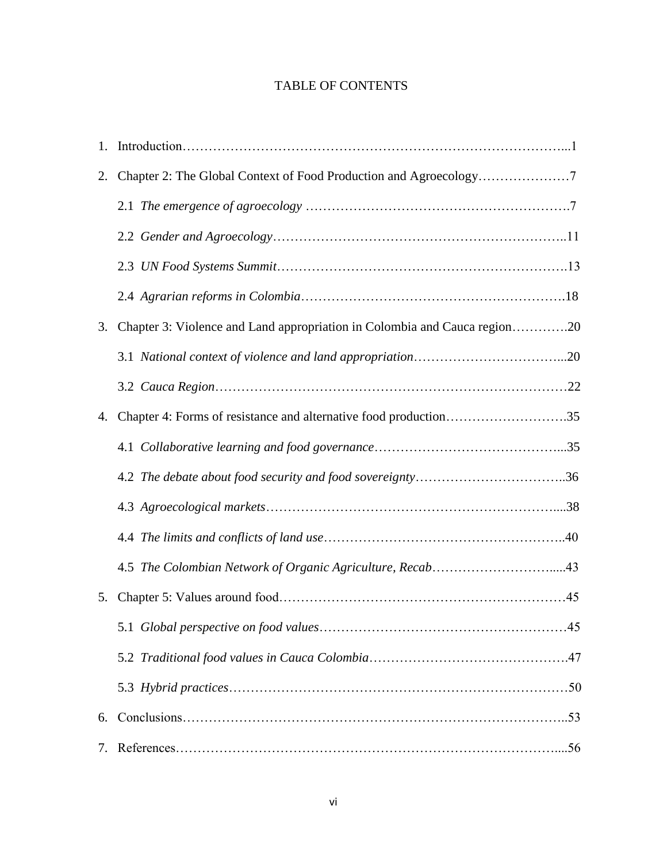### TABLE OF CONTENTS

| 2. |                                                                           |
|----|---------------------------------------------------------------------------|
|    |                                                                           |
|    |                                                                           |
|    |                                                                           |
|    |                                                                           |
| 3. | Chapter 3: Violence and Land appropriation in Colombia and Cauca region20 |
|    |                                                                           |
|    |                                                                           |
| 4. | Chapter 4: Forms of resistance and alternative food production35          |
|    |                                                                           |
|    |                                                                           |
|    |                                                                           |
|    |                                                                           |
|    |                                                                           |
| 5. |                                                                           |
|    |                                                                           |
|    |                                                                           |
|    |                                                                           |
| 6. |                                                                           |
| 7. |                                                                           |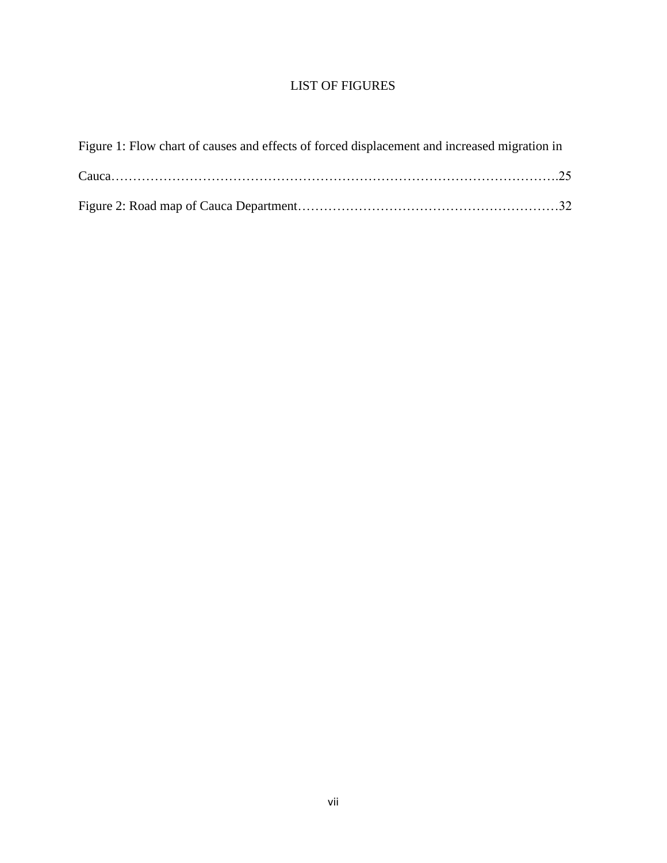## LIST OF FIGURES

| Figure 1: Flow chart of causes and effects of forced displacement and increased migration in |  |
|----------------------------------------------------------------------------------------------|--|
|                                                                                              |  |
|                                                                                              |  |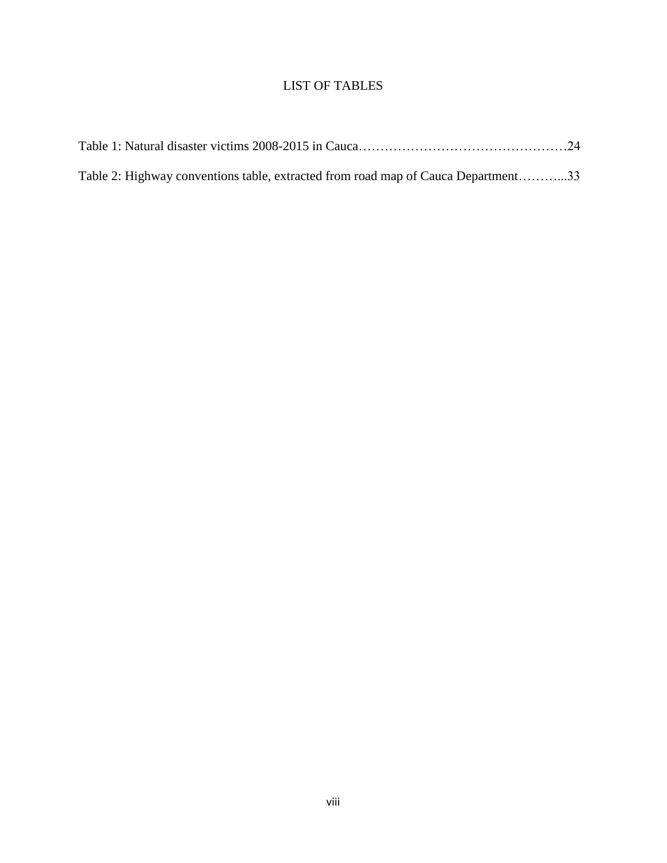## LIST OF TABLES

| Table 2: Highway conventions table, extracted from road map of Cauca Department33 |  |
|-----------------------------------------------------------------------------------|--|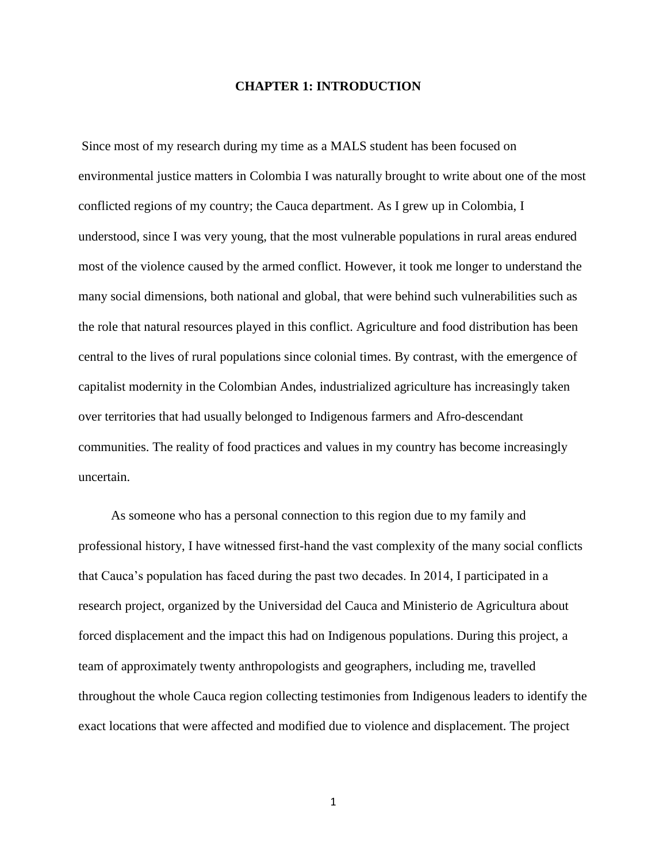#### **CHAPTER 1: INTRODUCTION**

Since most of my research during my time as a MALS student has been focused on environmental justice matters in Colombia I was naturally brought to write about one of the most conflicted regions of my country; the Cauca department. As I grew up in Colombia, I understood, since I was very young, that the most vulnerable populations in rural areas endured most of the violence caused by the armed conflict. However, it took me longer to understand the many social dimensions, both national and global, that were behind such vulnerabilities such as the role that natural resources played in this conflict. Agriculture and food distribution has been central to the lives of rural populations since colonial times. By contrast, with the emergence of capitalist modernity in the Colombian Andes, industrialized agriculture has increasingly taken over territories that had usually belonged to Indigenous farmers and Afro-descendant communities. The reality of food practices and values in my country has become increasingly uncertain.

 As someone who has a personal connection to this region due to my family and professional history, I have witnessed first-hand the vast complexity of the many social conflicts that Cauca's population has faced during the past two decades. In 2014, I participated in a research project, organized by the Universidad del Cauca and Ministerio de Agricultura about forced displacement and the impact this had on Indigenous populations. During this project, a team of approximately twenty anthropologists and geographers, including me, travelled throughout the whole Cauca region collecting testimonies from Indigenous leaders to identify the exact locations that were affected and modified due to violence and displacement. The project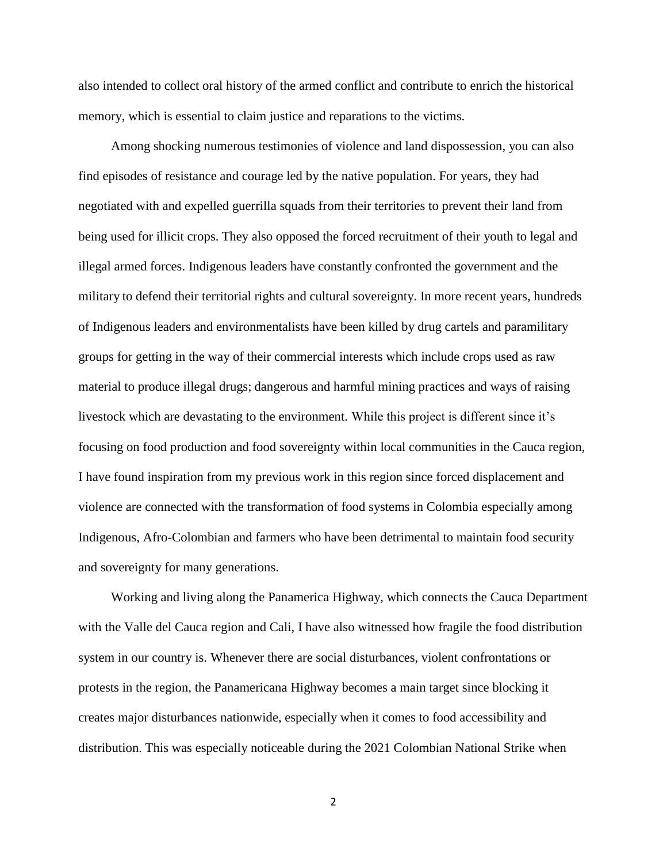also intended to collect oral history of the armed conflict and contribute to enrich the historical memory, which is essential to claim justice and reparations to the victims.

 Among shocking numerous testimonies of violence and land dispossession, you can also find episodes of resistance and courage led by the native population. For years, they had negotiated with and expelled guerrilla squads from their territories to prevent their land from being used for illicit crops. They also opposed the forced recruitment of their youth to legal and illegal armed forces. Indigenous leaders have constantly confronted the government and the military to defend their territorial rights and cultural sovereignty. In more recent years, hundreds of Indigenous leaders and environmentalists have been killed by drug cartels and paramilitary groups for getting in the way of their commercial interests which include crops used as raw material to produce illegal drugs; dangerous and harmful mining practices and ways of raising livestock which are devastating to the environment. While this project is different since it's focusing on food production and food sovereignty within local communities in the Cauca region, I have found inspiration from my previous work in this region since forced displacement and violence are connected with the transformation of food systems in Colombia especially among Indigenous, Afro-Colombian and farmers who have been detrimental to maintain food security and sovereignty for many generations.

 Working and living along the Panamerica Highway, which connects the Cauca Department with the Valle del Cauca region and Cali, I have also witnessed how fragile the food distribution system in our country is. Whenever there are social disturbances, violent confrontations or protests in the region, the Panamericana Highway becomes a main target since blocking it creates major disturbances nationwide, especially when it comes to food accessibility and distribution. This was especially noticeable during the 2021 Colombian National Strike when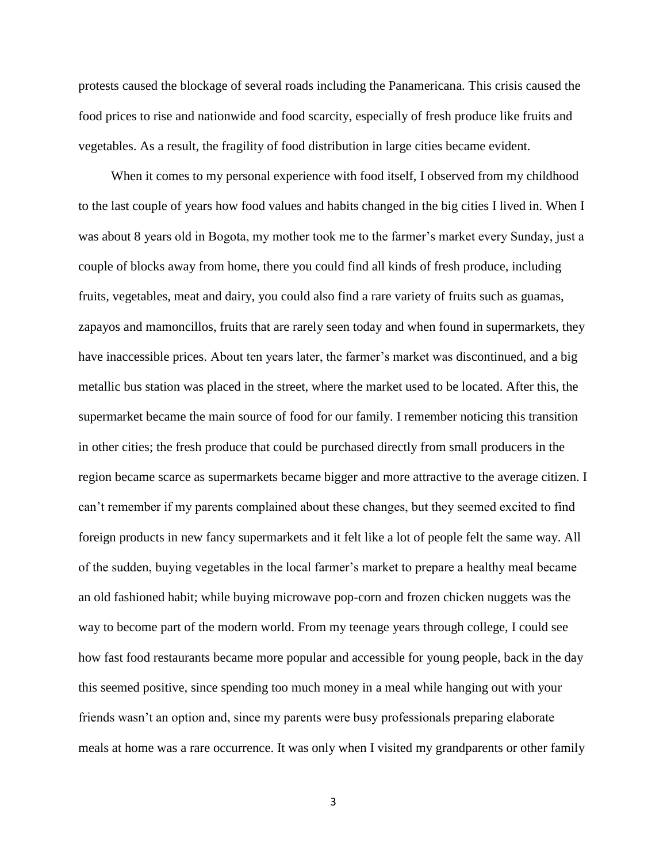protests caused the blockage of several roads including the Panamericana. This crisis caused the food prices to rise and nationwide and food scarcity, especially of fresh produce like fruits and vegetables. As a result, the fragility of food distribution in large cities became evident.

 When it comes to my personal experience with food itself, I observed from my childhood to the last couple of years how food values and habits changed in the big cities I lived in. When I was about 8 years old in Bogota, my mother took me to the farmer's market every Sunday, just a couple of blocks away from home, there you could find all kinds of fresh produce, including fruits, vegetables, meat and dairy, you could also find a rare variety of fruits such as guamas, zapayos and mamoncillos, fruits that are rarely seen today and when found in supermarkets, they have inaccessible prices. About ten years later, the farmer's market was discontinued, and a big metallic bus station was placed in the street, where the market used to be located. After this, the supermarket became the main source of food for our family. I remember noticing this transition in other cities; the fresh produce that could be purchased directly from small producers in the region became scarce as supermarkets became bigger and more attractive to the average citizen. I can't remember if my parents complained about these changes, but they seemed excited to find foreign products in new fancy supermarkets and it felt like a lot of people felt the same way. All of the sudden, buying vegetables in the local farmer's market to prepare a healthy meal became an old fashioned habit; while buying microwave pop-corn and frozen chicken nuggets was the way to become part of the modern world. From my teenage years through college, I could see how fast food restaurants became more popular and accessible for young people, back in the day this seemed positive, since spending too much money in a meal while hanging out with your friends wasn't an option and, since my parents were busy professionals preparing elaborate meals at home was a rare occurrence. It was only when I visited my grandparents or other family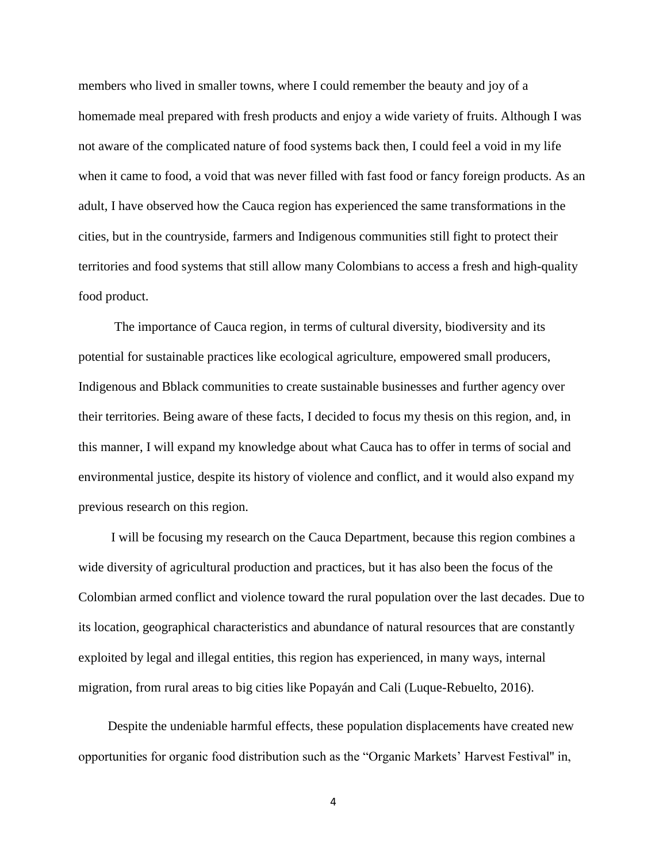members who lived in smaller towns, where I could remember the beauty and joy of a homemade meal prepared with fresh products and enjoy a wide variety of fruits. Although I was not aware of the complicated nature of food systems back then, I could feel a void in my life when it came to food, a void that was never filled with fast food or fancy foreign products. As an adult, I have observed how the Cauca region has experienced the same transformations in the cities, but in the countryside, farmers and Indigenous communities still fight to protect their territories and food systems that still allow many Colombians to access a fresh and high-quality food product.

 The importance of Cauca region, in terms of cultural diversity, biodiversity and its potential for sustainable practices like ecological agriculture, empowered small producers, Indigenous and Bblack communities to create sustainable businesses and further agency over their territories. Being aware of these facts, I decided to focus my thesis on this region, and, in this manner, I will expand my knowledge about what Cauca has to offer in terms of social and environmental justice, despite its history of violence and conflict, and it would also expand my previous research on this region.

 I will be focusing my research on the Cauca Department, because this region combines a wide diversity of agricultural production and practices, but it has also been the focus of the Colombian armed conflict and violence toward the rural population over the last decades. Due to its location, geographical characteristics and abundance of natural resources that are constantly exploited by legal and illegal entities, this region has experienced, in many ways, internal migration, from rural areas to big cities like Popayán and Cali (Luque-Rebuelto, 2016).

 Despite the undeniable harmful effects, these population displacements have created new opportunities for organic food distribution such as the "Organic Markets' Harvest Festival'' in,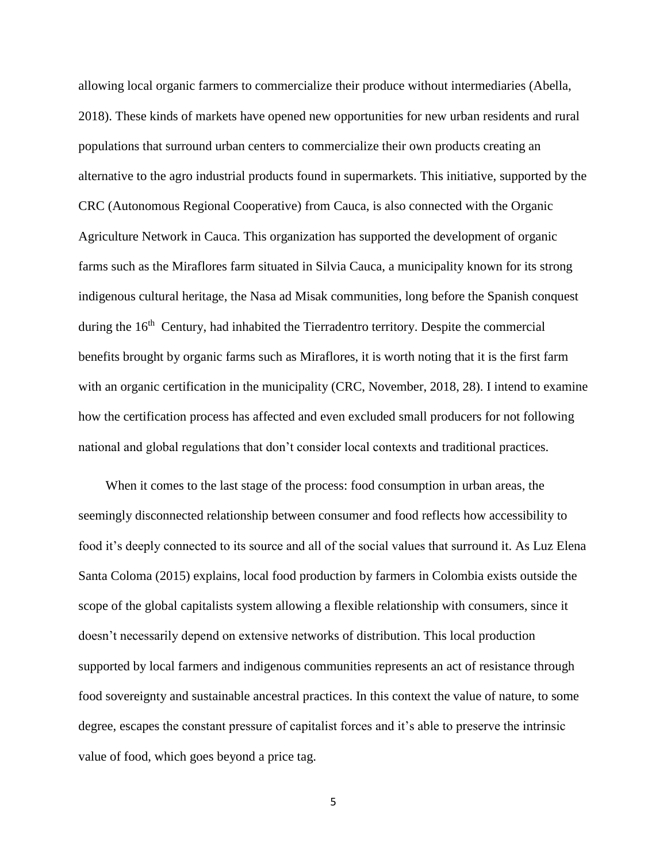allowing local organic farmers to commercialize their produce without intermediaries (Abella, 2018). These kinds of markets have opened new opportunities for new urban residents and rural populations that surround urban centers to commercialize their own products creating an alternative to the agro industrial products found in supermarkets. This initiative, supported by the CRC (Autonomous Regional Cooperative) from Cauca, is also connected with the Organic Agriculture Network in Cauca. This organization has supported the development of organic farms such as the Miraflores farm situated in Silvia Cauca, a municipality known for its strong indigenous cultural heritage, the Nasa ad Misak communities, long before the Spanish conquest during the 16<sup>th</sup> Century, had inhabited the Tierradentro territory. Despite the commercial benefits brought by organic farms such as Miraflores, it is worth noting that it is the first farm with an organic certification in the municipality (CRC, November, 2018, 28). I intend to examine how the certification process has affected and even excluded small producers for not following national and global regulations that don't consider local contexts and traditional practices.

 When it comes to the last stage of the process: food consumption in urban areas, the seemingly disconnected relationship between consumer and food reflects how accessibility to food it's deeply connected to its source and all of the social values that surround it. As Luz Elena Santa Coloma (2015) explains, local food production by farmers in Colombia exists outside the scope of the global capitalists system allowing a flexible relationship with consumers, since it doesn't necessarily depend on extensive networks of distribution. This local production supported by local farmers and indigenous communities represents an act of resistance through food sovereignty and sustainable ancestral practices. In this context the value of nature, to some degree, escapes the constant pressure of capitalist forces and it's able to preserve the intrinsic value of food, which goes beyond a price tag.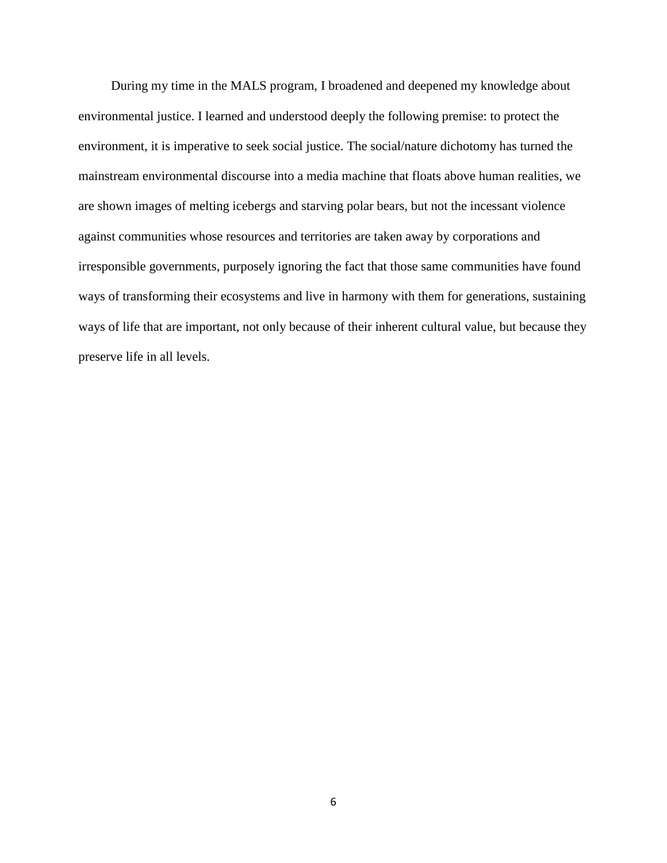During my time in the MALS program, I broadened and deepened my knowledge about environmental justice. I learned and understood deeply the following premise: to protect the environment, it is imperative to seek social justice. The social/nature dichotomy has turned the mainstream environmental discourse into a media machine that floats above human realities, we are shown images of melting icebergs and starving polar bears, but not the incessant violence against communities whose resources and territories are taken away by corporations and irresponsible governments, purposely ignoring the fact that those same communities have found ways of transforming their ecosystems and live in harmony with them for generations, sustaining ways of life that are important, not only because of their inherent cultural value, but because they preserve life in all levels.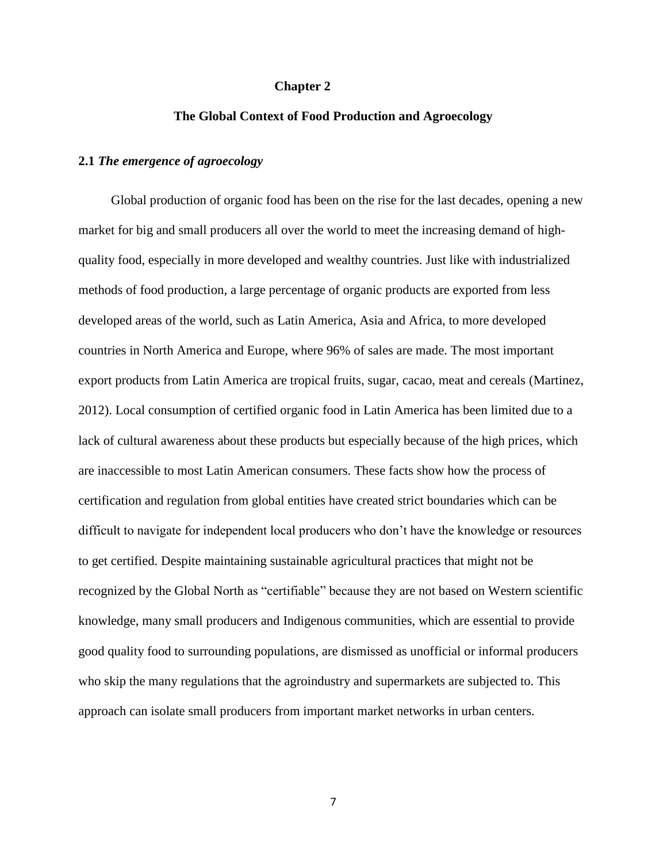#### **Chapter 2**

#### **The Global Context of Food Production and Agroecology**

#### **2.1** *The emergence of agroecology*

 Global production of organic food has been on the rise for the last decades, opening a new market for big and small producers all over the world to meet the increasing demand of highquality food, especially in more developed and wealthy countries. Just like with industrialized methods of food production, a large percentage of organic products are exported from less developed areas of the world, such as Latin America, Asia and Africa, to more developed countries in North America and Europe, where 96% of sales are made. The most important export products from Latin America are tropical fruits, sugar, cacao, meat and cereals (Martinez, 2012). Local consumption of certified organic food in Latin America has been limited due to a lack of cultural awareness about these products but especially because of the high prices, which are inaccessible to most Latin American consumers. These facts show how the process of certification and regulation from global entities have created strict boundaries which can be difficult to navigate for independent local producers who don't have the knowledge or resources to get certified. Despite maintaining sustainable agricultural practices that might not be recognized by the Global North as "certifiable" because they are not based on Western scientific knowledge, many small producers and Indigenous communities, which are essential to provide good quality food to surrounding populations, are dismissed as unofficial or informal producers who skip the many regulations that the agroindustry and supermarkets are subjected to. This approach can isolate small producers from important market networks in urban centers.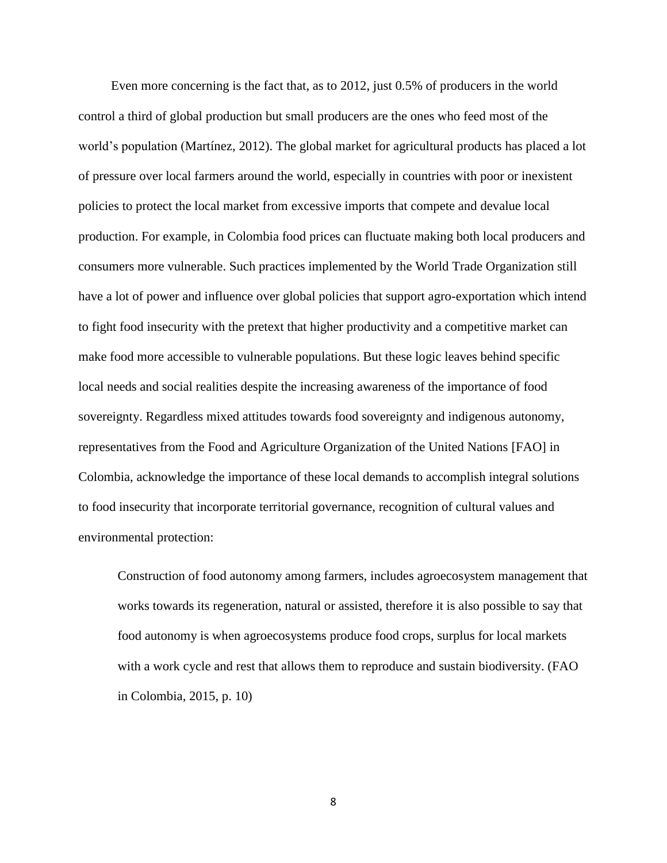Even more concerning is the fact that, as to 2012, just 0.5% of producers in the world control a third of global production but small producers are the ones who feed most of the world's population (Martínez, 2012). The global market for agricultural products has placed a lot of pressure over local farmers around the world, especially in countries with poor or inexistent policies to protect the local market from excessive imports that compete and devalue local production. For example, in Colombia food prices can fluctuate making both local producers and consumers more vulnerable. Such practices implemented by the World Trade Organization still have a lot of power and influence over global policies that support agro-exportation which intend to fight food insecurity with the pretext that higher productivity and a competitive market can make food more accessible to vulnerable populations. But these logic leaves behind specific local needs and social realities despite the increasing awareness of the importance of food sovereignty. Regardless mixed attitudes towards food sovereignty and indigenous autonomy, representatives from the Food and Agriculture Organization of the United Nations [FAO] in Colombia, acknowledge the importance of these local demands to accomplish integral solutions to food insecurity that incorporate territorial governance, recognition of cultural values and environmental protection:

Construction of food autonomy among farmers, includes agroecosystem management that works towards its regeneration, natural or assisted, therefore it is also possible to say that food autonomy is when agroecosystems produce food crops, surplus for local markets with a work cycle and rest that allows them to reproduce and sustain biodiversity. (FAO in Colombia, 2015, p. 10)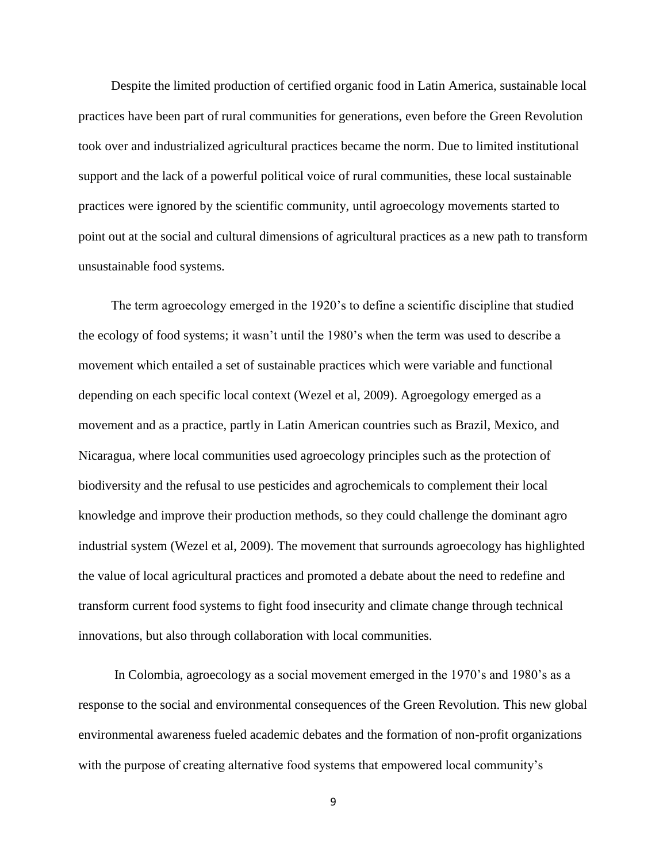Despite the limited production of certified organic food in Latin America, sustainable local practices have been part of rural communities for generations, even before the Green Revolution took over and industrialized agricultural practices became the norm. Due to limited institutional support and the lack of a powerful political voice of rural communities, these local sustainable practices were ignored by the scientific community, until agroecology movements started to point out at the social and cultural dimensions of agricultural practices as a new path to transform unsustainable food systems.

 The term agroecology emerged in the 1920's to define a scientific discipline that studied the ecology of food systems; it wasn't until the 1980's when the term was used to describe a movement which entailed a set of sustainable practices which were variable and functional depending on each specific local context (Wezel et al, 2009). Agroegology emerged as a movement and as a practice, partly in Latin American countries such as Brazil, Mexico, and Nicaragua, where local communities used agroecology principles such as the protection of biodiversity and the refusal to use pesticides and agrochemicals to complement their local knowledge and improve their production methods, so they could challenge the dominant agro industrial system (Wezel et al, 2009). The movement that surrounds agroecology has highlighted the value of local agricultural practices and promoted a debate about the need to redefine and transform current food systems to fight food insecurity and climate change through technical innovations, but also through collaboration with local communities.

 In Colombia, agroecology as a social movement emerged in the 1970's and 1980's as a response to the social and environmental consequences of the Green Revolution. This new global environmental awareness fueled academic debates and the formation of non-profit organizations with the purpose of creating alternative food systems that empowered local community's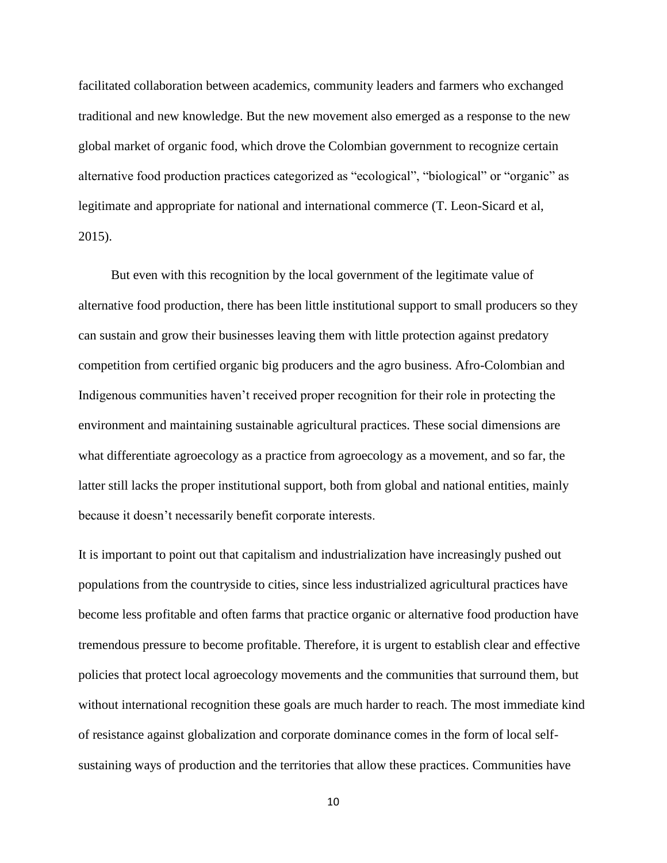facilitated collaboration between academics, community leaders and farmers who exchanged traditional and new knowledge. But the new movement also emerged as a response to the new global market of organic food, which drove the Colombian government to recognize certain alternative food production practices categorized as "ecological", "biological" or "organic" as legitimate and appropriate for national and international commerce (T. Leon-Sicard et al, 2015).

 But even with this recognition by the local government of the legitimate value of alternative food production, there has been little institutional support to small producers so they can sustain and grow their businesses leaving them with little protection against predatory competition from certified organic big producers and the agro business. Afro-Colombian and Indigenous communities haven't received proper recognition for their role in protecting the environment and maintaining sustainable agricultural practices. These social dimensions are what differentiate agroecology as a practice from agroecology as a movement, and so far, the latter still lacks the proper institutional support, both from global and national entities, mainly because it doesn't necessarily benefit corporate interests.

It is important to point out that capitalism and industrialization have increasingly pushed out populations from the countryside to cities, since less industrialized agricultural practices have become less profitable and often farms that practice organic or alternative food production have tremendous pressure to become profitable. Therefore, it is urgent to establish clear and effective policies that protect local agroecology movements and the communities that surround them, but without international recognition these goals are much harder to reach. The most immediate kind of resistance against globalization and corporate dominance comes in the form of local selfsustaining ways of production and the territories that allow these practices. Communities have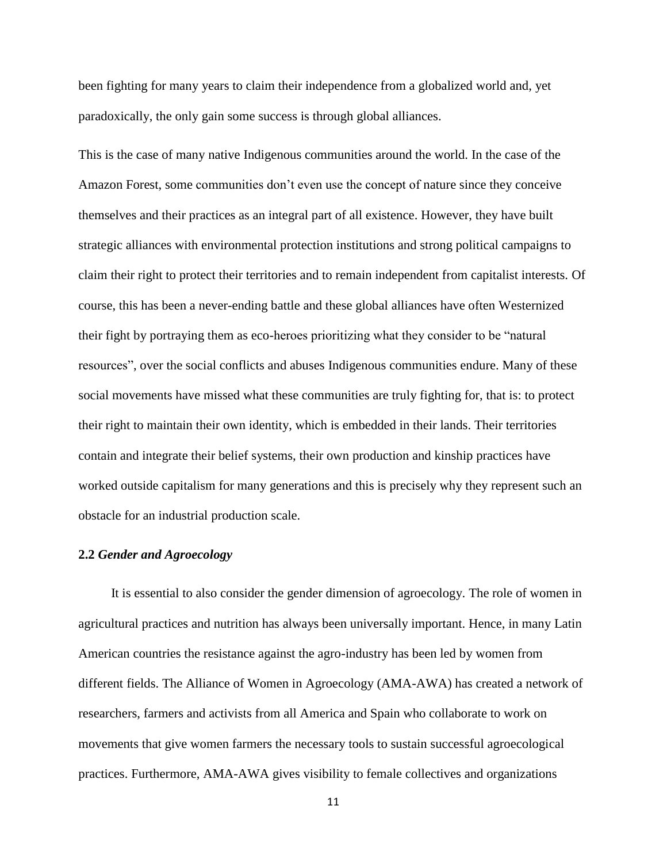been fighting for many years to claim their independence from a globalized world and, yet paradoxically, the only gain some success is through global alliances.

This is the case of many native Indigenous communities around the world. In the case of the Amazon Forest, some communities don't even use the concept of nature since they conceive themselves and their practices as an integral part of all existence. However, they have built strategic alliances with environmental protection institutions and strong political campaigns to claim their right to protect their territories and to remain independent from capitalist interests. Of course, this has been a never-ending battle and these global alliances have often Westernized their fight by portraying them as eco-heroes prioritizing what they consider to be "natural resources", over the social conflicts and abuses Indigenous communities endure. Many of these social movements have missed what these communities are truly fighting for, that is: to protect their right to maintain their own identity, which is embedded in their lands. Their territories contain and integrate their belief systems, their own production and kinship practices have worked outside capitalism for many generations and this is precisely why they represent such an obstacle for an industrial production scale.

#### **2.2** *Gender and Agroecology*

 It is essential to also consider the gender dimension of agroecology. The role of women in agricultural practices and nutrition has always been universally important. Hence, in many Latin American countries the resistance against the agro-industry has been led by women from different fields. The Alliance of Women in Agroecology (AMA-AWA) has created a network of researchers, farmers and activists from all America and Spain who collaborate to work on movements that give women farmers the necessary tools to sustain successful agroecological practices. Furthermore, AMA-AWA gives visibility to female collectives and organizations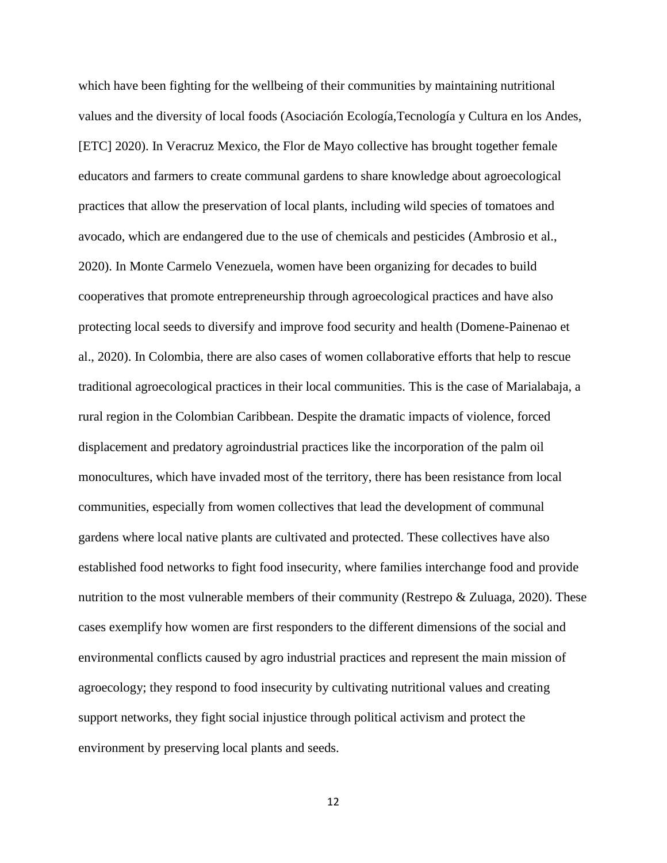which have been fighting for the wellbeing of their communities by maintaining nutritional values and the diversity of local foods (Asociación Ecología,Tecnología y Cultura en los Andes, [ETC] 2020). In Veracruz Mexico, the Flor de Mayo collective has brought together female educators and farmers to create communal gardens to share knowledge about agroecological practices that allow the preservation of local plants, including wild species of tomatoes and avocado, which are endangered due to the use of chemicals and pesticides (Ambrosio et al., 2020). In Monte Carmelo Venezuela, women have been organizing for decades to build cooperatives that promote entrepreneurship through agroecological practices and have also protecting local seeds to diversify and improve food security and health (Domene-Painenao et al., 2020). In Colombia, there are also cases of women collaborative efforts that help to rescue traditional agroecological practices in their local communities. This is the case of Marialabaja, a rural region in the Colombian Caribbean. Despite the dramatic impacts of violence, forced displacement and predatory agroindustrial practices like the incorporation of the palm oil monocultures, which have invaded most of the territory, there has been resistance from local communities, especially from women collectives that lead the development of communal gardens where local native plants are cultivated and protected. These collectives have also established food networks to fight food insecurity, where families interchange food and provide nutrition to the most vulnerable members of their community (Restrepo  $\&$  Zuluaga, 2020). These cases exemplify how women are first responders to the different dimensions of the social and environmental conflicts caused by agro industrial practices and represent the main mission of agroecology; they respond to food insecurity by cultivating nutritional values and creating support networks, they fight social injustice through political activism and protect the environment by preserving local plants and seeds.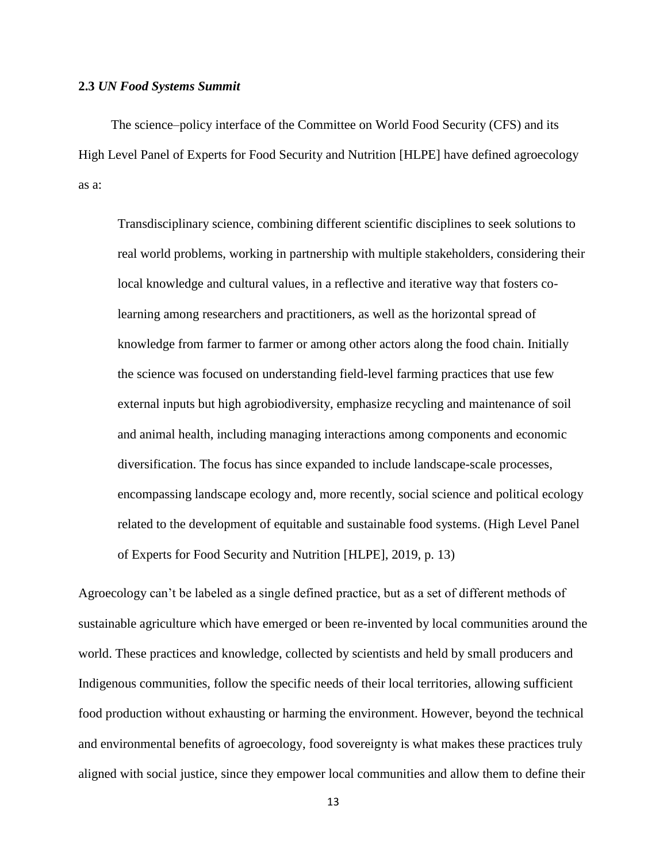#### **2.3** *UN Food Systems Summit*

 The science–policy interface of the Committee on World Food Security (CFS) and its High Level Panel of Experts for Food Security and Nutrition [HLPE] have defined agroecology as a:

Transdisciplinary science, combining different scientific disciplines to seek solutions to real world problems, working in partnership with multiple stakeholders, considering their local knowledge and cultural values, in a reflective and iterative way that fosters colearning among researchers and practitioners, as well as the horizontal spread of knowledge from farmer to farmer or among other actors along the food chain. Initially the science was focused on understanding field-level farming practices that use few external inputs but high agrobiodiversity, emphasize recycling and maintenance of soil and animal health, including managing interactions among components and economic diversification. The focus has since expanded to include landscape-scale processes, encompassing landscape ecology and, more recently, social science and political ecology related to the development of equitable and sustainable food systems. (High Level Panel of Experts for Food Security and Nutrition [HLPE], 2019, p. 13)

Agroecology can't be labeled as a single defined practice, but as a set of different methods of sustainable agriculture which have emerged or been re-invented by local communities around the world. These practices and knowledge, collected by scientists and held by small producers and Indigenous communities, follow the specific needs of their local territories, allowing sufficient food production without exhausting or harming the environment. However, beyond the technical and environmental benefits of agroecology, food sovereignty is what makes these practices truly aligned with social justice, since they empower local communities and allow them to define their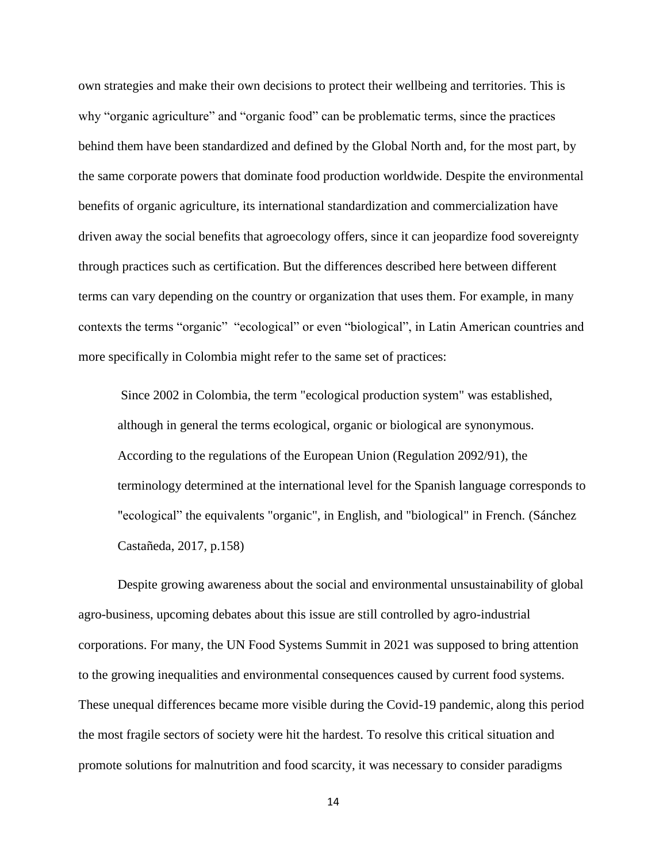own strategies and make their own decisions to protect their wellbeing and territories. This is why "organic agriculture" and "organic food" can be problematic terms, since the practices behind them have been standardized and defined by the Global North and, for the most part, by the same corporate powers that dominate food production worldwide. Despite the environmental benefits of organic agriculture, its international standardization and commercialization have driven away the social benefits that agroecology offers, since it can jeopardize food sovereignty through practices such as certification. But the differences described here between different terms can vary depending on the country or organization that uses them. For example, in many contexts the terms "organic" "ecological" or even "biological", in Latin American countries and more specifically in Colombia might refer to the same set of practices:

Since 2002 in Colombia, the term "ecological production system" was established, although in general the terms ecological, organic or biological are synonymous. According to the regulations of the European Union (Regulation 2092/91), the terminology determined at the international level for the Spanish language corresponds to "ecological" the equivalents "organic", in English, and "biological" in French. (Sánchez Castañeda, 2017, p.158)

 Despite growing awareness about the social and environmental unsustainability of global agro-business, upcoming debates about this issue are still controlled by agro-industrial corporations. For many, the UN Food Systems Summit in 2021 was supposed to bring attention to the growing inequalities and environmental consequences caused by current food systems. These unequal differences became more visible during the Covid-19 pandemic, along this period the most fragile sectors of society were hit the hardest. To resolve this critical situation and promote solutions for malnutrition and food scarcity, it was necessary to consider paradigms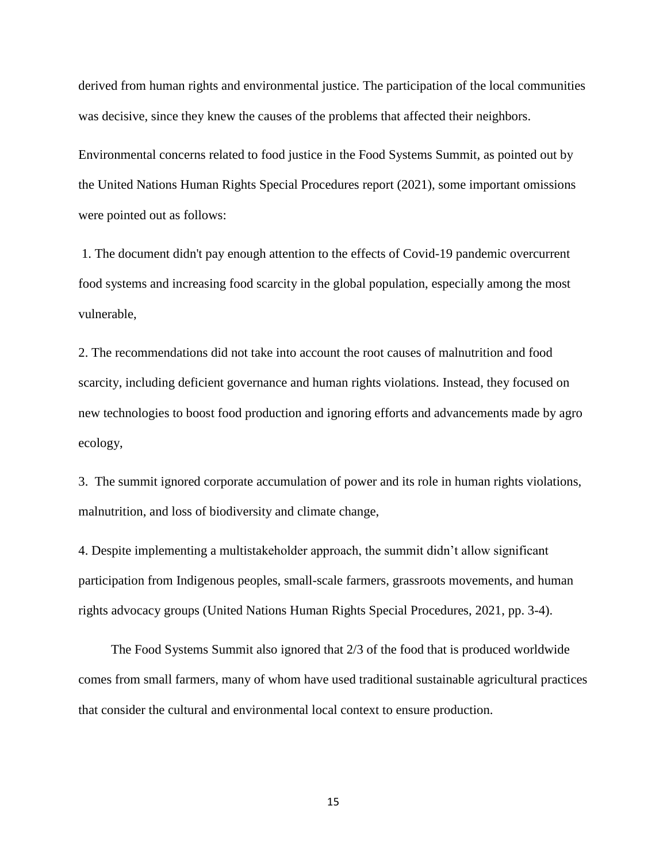derived from human rights and environmental justice. The participation of the local communities was decisive, since they knew the causes of the problems that affected their neighbors.

Environmental concerns related to food justice in the Food Systems Summit, as pointed out by the United Nations Human Rights Special Procedures report (2021), some important omissions were pointed out as follows:

1. The document didn't pay enough attention to the effects of Covid-19 pandemic overcurrent food systems and increasing food scarcity in the global population, especially among the most vulnerable,

2. The recommendations did not take into account the root causes of malnutrition and food scarcity, including deficient governance and human rights violations. Instead, they focused on new technologies to boost food production and ignoring efforts and advancements made by agro ecology,

3. The summit ignored corporate accumulation of power and its role in human rights violations, malnutrition, and loss of biodiversity and climate change,

4. Despite implementing a multistakeholder approach, the summit didn't allow significant participation from Indigenous peoples, small-scale farmers, grassroots movements, and human rights advocacy groups (United Nations Human Rights Special Procedures, 2021, pp. 3-4).

 The Food Systems Summit also ignored that 2/3 of the food that is produced worldwide comes from small farmers, many of whom have used traditional sustainable agricultural practices that consider the cultural and environmental local context to ensure production.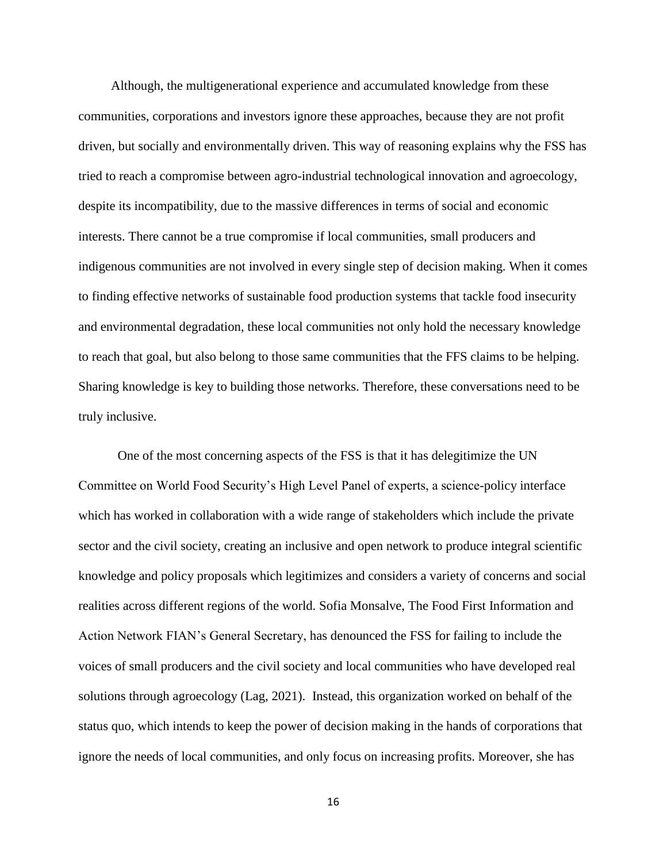Although, the multigenerational experience and accumulated knowledge from these communities, corporations and investors ignore these approaches, because they are not profit driven, but socially and environmentally driven. This way of reasoning explains why the FSS has tried to reach a compromise between agro-industrial technological innovation and agroecology, despite its incompatibility, due to the massive differences in terms of social and economic interests. There cannot be a true compromise if local communities, small producers and indigenous communities are not involved in every single step of decision making. When it comes to finding effective networks of sustainable food production systems that tackle food insecurity and environmental degradation, these local communities not only hold the necessary knowledge to reach that goal, but also belong to those same communities that the FFS claims to be helping. Sharing knowledge is key to building those networks. Therefore, these conversations need to be truly inclusive.

 One of the most concerning aspects of the FSS is that it has delegitimize the UN Committee on World Food Security's High Level Panel of experts, a science-policy interface which has worked in collaboration with a wide range of stakeholders which include the private sector and the civil society, creating an inclusive and open network to produce integral scientific knowledge and policy proposals which legitimizes and considers a variety of concerns and social realities across different regions of the world. Sofia Monsalve, The Food First Information and Action Network FIAN's General Secretary, has denounced the FSS for failing to include the voices of small producers and the civil society and local communities who have developed real solutions through agroecology (Lag, 2021). Instead, this organization worked on behalf of the status quo, which intends to keep the power of decision making in the hands of corporations that ignore the needs of local communities, and only focus on increasing profits. Moreover, she has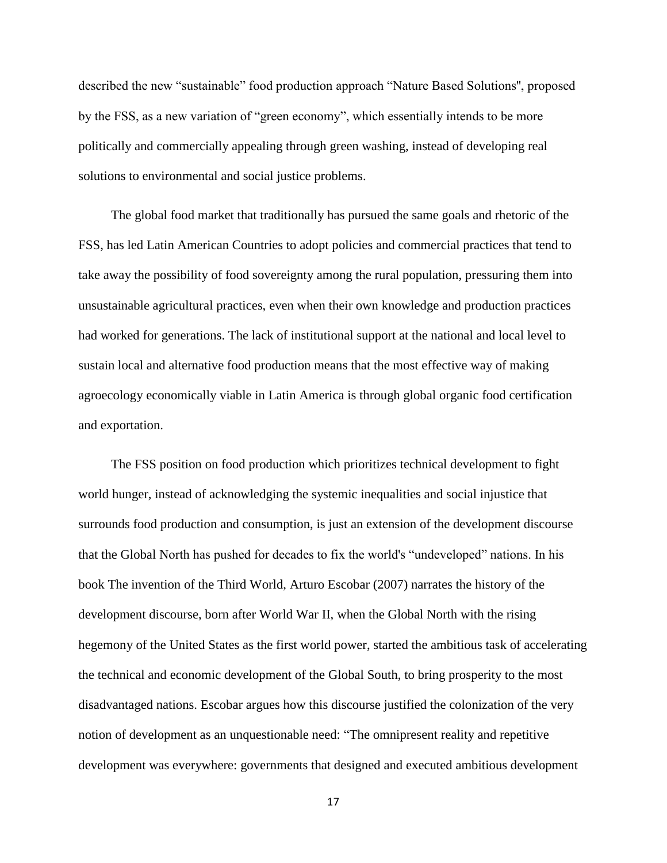described the new "sustainable" food production approach "Nature Based Solutions'', proposed by the FSS, as a new variation of "green economy", which essentially intends to be more politically and commercially appealing through green washing, instead of developing real solutions to environmental and social justice problems.

 The global food market that traditionally has pursued the same goals and rhetoric of the FSS, has led Latin American Countries to adopt policies and commercial practices that tend to take away the possibility of food sovereignty among the rural population, pressuring them into unsustainable agricultural practices, even when their own knowledge and production practices had worked for generations. The lack of institutional support at the national and local level to sustain local and alternative food production means that the most effective way of making agroecology economically viable in Latin America is through global organic food certification and exportation.

 The FSS position on food production which prioritizes technical development to fight world hunger, instead of acknowledging the systemic inequalities and social injustice that surrounds food production and consumption, is just an extension of the development discourse that the Global North has pushed for decades to fix the world's "undeveloped" nations. In his book The invention of the Third World, Arturo Escobar (2007) narrates the history of the development discourse, born after World War II, when the Global North with the rising hegemony of the United States as the first world power, started the ambitious task of accelerating the technical and economic development of the Global South, to bring prosperity to the most disadvantaged nations. Escobar argues how this discourse justified the colonization of the very notion of development as an unquestionable need: "The omnipresent reality and repetitive development was everywhere: governments that designed and executed ambitious development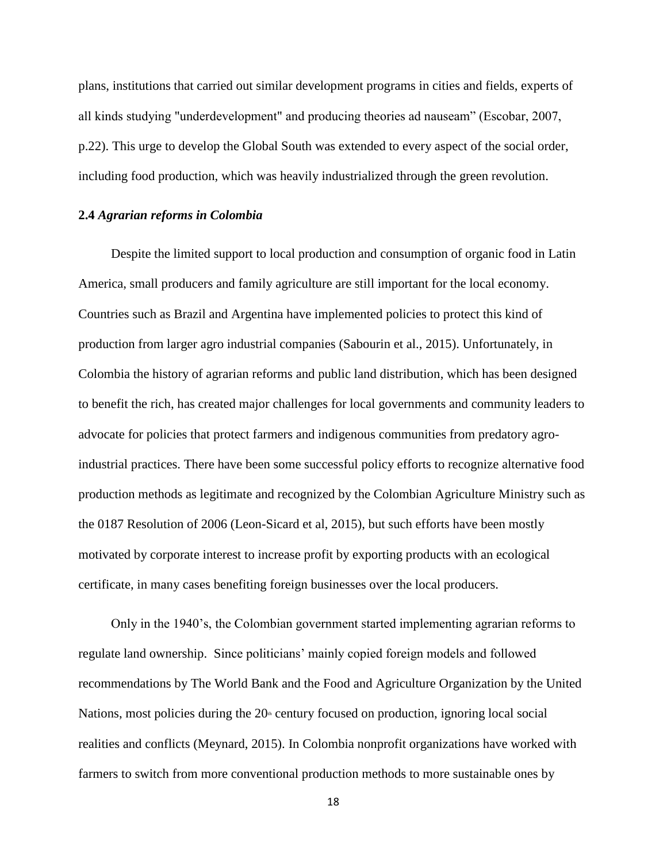plans, institutions that carried out similar development programs in cities and fields, experts of all kinds studying "underdevelopment" and producing theories ad nauseam" (Escobar, 2007, p.22). This urge to develop the Global South was extended to every aspect of the social order, including food production, which was heavily industrialized through the green revolution.

#### **2.4** *Agrarian reforms in Colombia*

 Despite the limited support to local production and consumption of organic food in Latin America, small producers and family agriculture are still important for the local economy. Countries such as Brazil and Argentina have implemented policies to protect this kind of production from larger agro industrial companies (Sabourin et al., 2015). Unfortunately, in Colombia the history of agrarian reforms and public land distribution, which has been designed to benefit the rich, has created major challenges for local governments and community leaders to advocate for policies that protect farmers and indigenous communities from predatory agroindustrial practices. There have been some successful policy efforts to recognize alternative food production methods as legitimate and recognized by the Colombian Agriculture Ministry such as the 0187 Resolution of 2006 (Leon-Sicard et al, 2015), but such efforts have been mostly motivated by corporate interest to increase profit by exporting products with an ecological certificate, in many cases benefiting foreign businesses over the local producers.

 Only in the 1940's, the Colombian government started implementing agrarian reforms to regulate land ownership. Since politicians' mainly copied foreign models and followed recommendations by The World Bank and the Food and Agriculture Organization by the United Nations, most policies during the  $20<sup>th</sup>$  century focused on production, ignoring local social realities and conflicts (Meynard, 2015). In Colombia nonprofit organizations have worked with farmers to switch from more conventional production methods to more sustainable ones by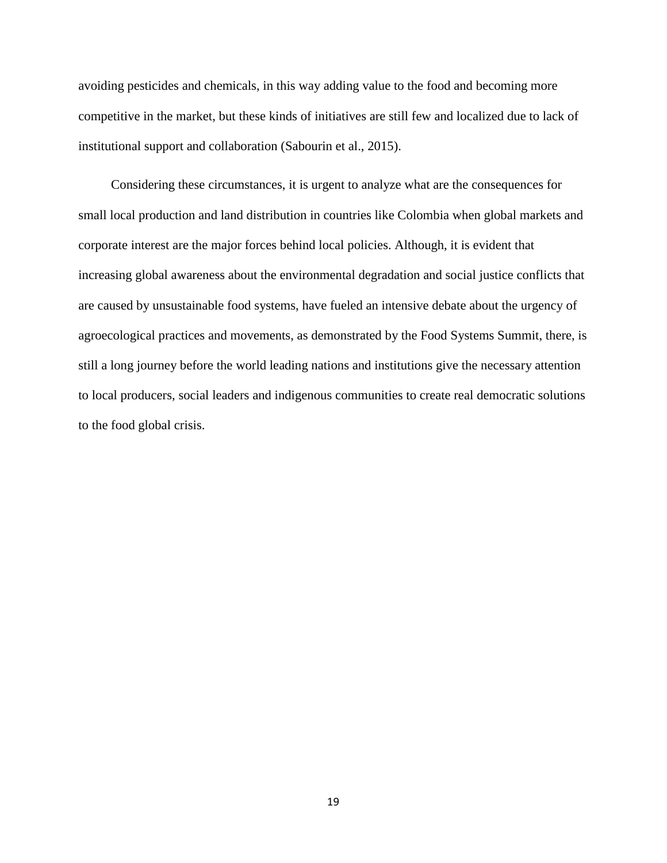avoiding pesticides and chemicals, in this way adding value to the food and becoming more competitive in the market, but these kinds of initiatives are still few and localized due to lack of institutional support and collaboration (Sabourin et al., 2015).

 Considering these circumstances, it is urgent to analyze what are the consequences for small local production and land distribution in countries like Colombia when global markets and corporate interest are the major forces behind local policies. Although, it is evident that increasing global awareness about the environmental degradation and social justice conflicts that are caused by unsustainable food systems, have fueled an intensive debate about the urgency of agroecological practices and movements, as demonstrated by the Food Systems Summit, there, is still a long journey before the world leading nations and institutions give the necessary attention to local producers, social leaders and indigenous communities to create real democratic solutions to the food global crisis.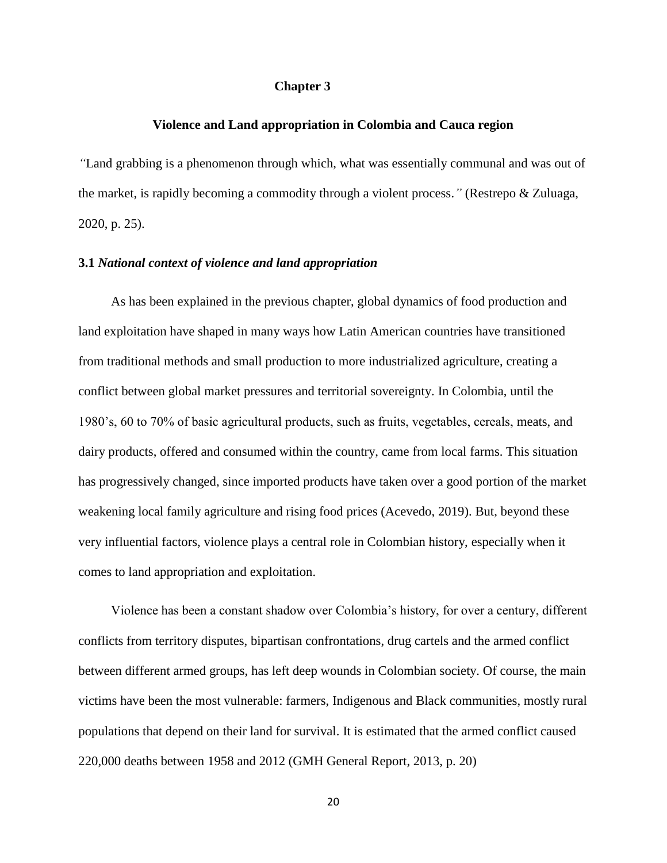#### **Chapter 3**

#### **Violence and Land appropriation in Colombia and Cauca region**

*"*Land grabbing is a phenomenon through which, what was essentially communal and was out of the market, is rapidly becoming a commodity through a violent process.*"* (Restrepo & Zuluaga, 2020, p. 25).

#### **3.1** *National context of violence and land appropriation*

 As has been explained in the previous chapter, global dynamics of food production and land exploitation have shaped in many ways how Latin American countries have transitioned from traditional methods and small production to more industrialized agriculture, creating a conflict between global market pressures and territorial sovereignty. In Colombia, until the 1980's, 60 to 70% of basic agricultural products, such as fruits, vegetables, cereals, meats, and dairy products, offered and consumed within the country, came from local farms. This situation has progressively changed, since imported products have taken over a good portion of the market weakening local family agriculture and rising food prices (Acevedo, 2019). But, beyond these very influential factors, violence plays a central role in Colombian history, especially when it comes to land appropriation and exploitation.

 Violence has been a constant shadow over Colombia's history, for over a century, different conflicts from territory disputes, bipartisan confrontations, drug cartels and the armed conflict between different armed groups, has left deep wounds in Colombian society. Of course, the main victims have been the most vulnerable: farmers, Indigenous and Black communities, mostly rural populations that depend on their land for survival. It is estimated that the armed conflict caused 220,000 deaths between 1958 and 2012 (GMH General Report, 2013, p. 20)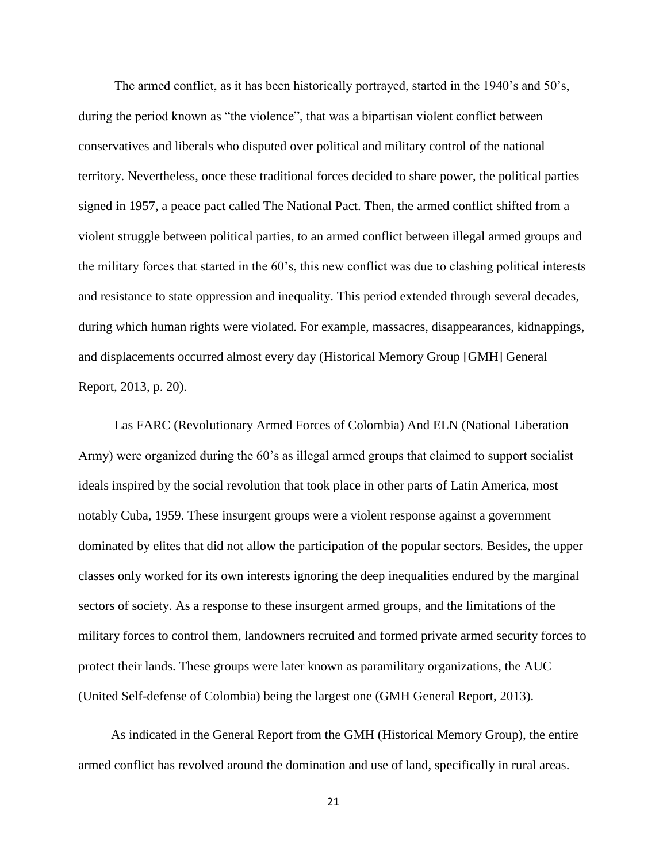The armed conflict, as it has been historically portrayed, started in the 1940's and 50's, during the period known as "the violence", that was a bipartisan violent conflict between conservatives and liberals who disputed over political and military control of the national territory. Nevertheless, once these traditional forces decided to share power, the political parties signed in 1957, a peace pact called The National Pact. Then, the armed conflict shifted from a violent struggle between political parties, to an armed conflict between illegal armed groups and the military forces that started in the 60's, this new conflict was due to clashing political interests and resistance to state oppression and inequality. This period extended through several decades, during which human rights were violated. For example, massacres, disappearances, kidnappings, and displacements occurred almost every day (Historical Memory Group [GMH] General Report, 2013, p. 20).

 Las FARC (Revolutionary Armed Forces of Colombia) And ELN (National Liberation Army) were organized during the 60's as illegal armed groups that claimed to support socialist ideals inspired by the social revolution that took place in other parts of Latin America, most notably Cuba, 1959. These insurgent groups were a violent response against a government dominated by elites that did not allow the participation of the popular sectors. Besides, the upper classes only worked for its own interests ignoring the deep inequalities endured by the marginal sectors of society. As a response to these insurgent armed groups, and the limitations of the military forces to control them, landowners recruited and formed private armed security forces to protect their lands. These groups were later known as paramilitary organizations, the AUC (United Self-defense of Colombia) being the largest one (GMH General Report, 2013).

 As indicated in the General Report from the GMH (Historical Memory Group), the entire armed conflict has revolved around the domination and use of land, specifically in rural areas.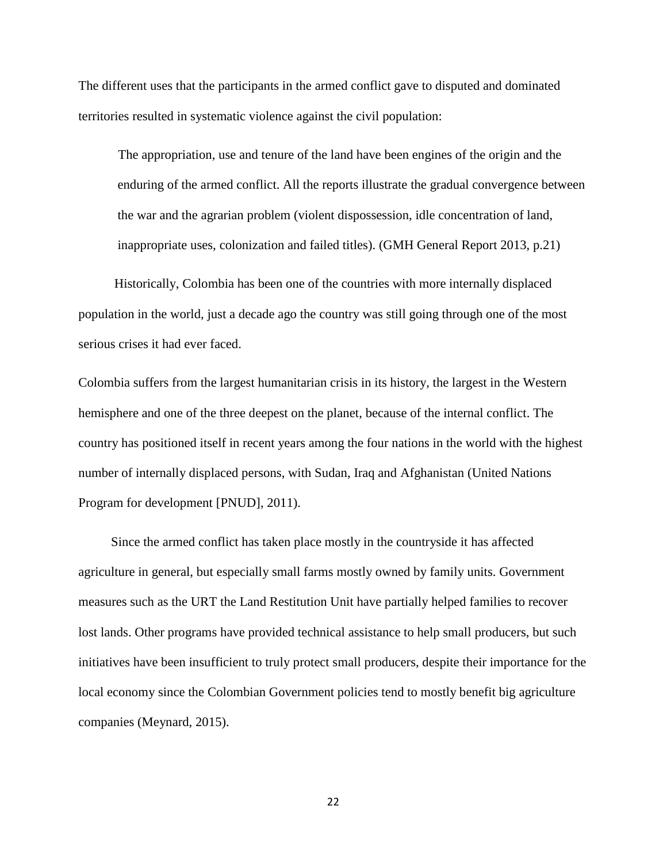The different uses that the participants in the armed conflict gave to disputed and dominated territories resulted in systematic violence against the civil population:

The appropriation, use and tenure of the land have been engines of the origin and the enduring of the armed conflict. All the reports illustrate the gradual convergence between the war and the agrarian problem (violent dispossession, idle concentration of land, inappropriate uses, colonization and failed titles). (GMH General Report 2013, p.21)

 Historically, Colombia has been one of the countries with more internally displaced population in the world, just a decade ago the country was still going through one of the most serious crises it had ever faced.

Colombia suffers from the largest humanitarian crisis in its history, the largest in the Western hemisphere and one of the three deepest on the planet, because of the internal conflict. The country has positioned itself in recent years among the four nations in the world with the highest number of internally displaced persons, with Sudan, Iraq and Afghanistan (United Nations Program for development [PNUD], 2011).

 Since the armed conflict has taken place mostly in the countryside it has affected agriculture in general, but especially small farms mostly owned by family units. Government measures such as the URT the Land Restitution Unit have partially helped families to recover lost lands. Other programs have provided technical assistance to help small producers, but such initiatives have been insufficient to truly protect small producers, despite their importance for the local economy since the Colombian Government policies tend to mostly benefit big agriculture companies (Meynard, 2015).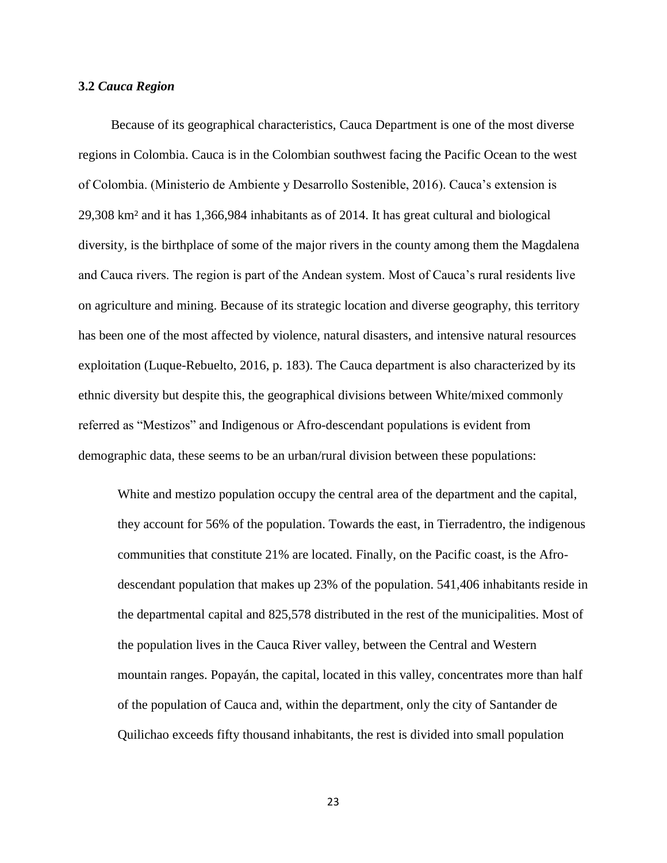#### **3.2** *Cauca Region*

 Because of its geographical characteristics, Cauca Department is one of the most diverse regions in Colombia. Cauca is in the Colombian southwest facing the Pacific Ocean to the west of Colombia. (Ministerio de Ambiente y Desarrollo Sostenible, 2016). Cauca's extension is 29,308 km² and it has 1,366,984 inhabitants as of 2014. It has great cultural and biological diversity, is the birthplace of some of the major rivers in the county among them the Magdalena and Cauca rivers. The region is part of the Andean system. Most of Cauca's rural residents live on agriculture and mining. Because of its strategic location and diverse geography, this territory has been one of the most affected by violence, natural disasters, and intensive natural resources exploitation (Luque-Rebuelto, 2016, p. 183). The Cauca department is also characterized by its ethnic diversity but despite this, the geographical divisions between White/mixed commonly referred as "Mestizos" and Indigenous or Afro-descendant populations is evident from demographic data, these seems to be an urban/rural division between these populations:

White and mestizo population occupy the central area of the department and the capital, they account for 56% of the population. Towards the east, in Tierradentro, the indigenous communities that constitute 21% are located. Finally, on the Pacific coast, is the Afrodescendant population that makes up 23% of the population. 541,406 inhabitants reside in the departmental capital and 825,578 distributed in the rest of the municipalities. Most of the population lives in the Cauca River valley, between the Central and Western mountain ranges. Popayán, the capital, located in this valley, concentrates more than half of the population of Cauca and, within the department, only the city of Santander de Quilichao exceeds fifty thousand inhabitants, the rest is divided into small population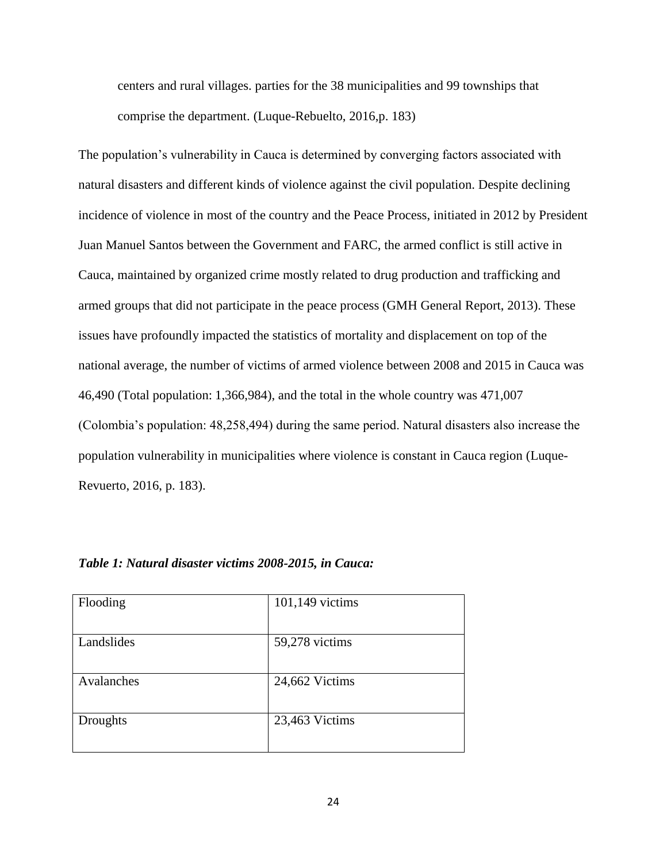centers and rural villages. parties for the 38 municipalities and 99 townships that comprise the department. (Luque-Rebuelto, 2016,p. 183)

The population's vulnerability in Cauca is determined by converging factors associated with natural disasters and different kinds of violence against the civil population. Despite declining incidence of violence in most of the country and the Peace Process, initiated in 2012 by President Juan Manuel Santos between the Government and FARC, the armed conflict is still active in Cauca, maintained by organized crime mostly related to drug production and trafficking and armed groups that did not participate in the peace process (GMH General Report, 2013). These issues have profoundly impacted the statistics of mortality and displacement on top of the national average, the number of victims of armed violence between 2008 and 2015 in Cauca was 46,490 (Total population: 1,366,984), and the total in the whole country was 471,007 (Colombia's population: 48,258,494) during the same period. Natural disasters also increase the population vulnerability in municipalities where violence is constant in Cauca region (Luque-Revuerto, 2016, p. 183).

| Flooding   | 101,149 victims |
|------------|-----------------|
| Landslides | 59,278 victims  |
| Avalanches | 24,662 Victims  |
| Droughts   | 23,463 Victims  |

#### *Table 1: Natural disaster victims 2008-2015, in Cauca:*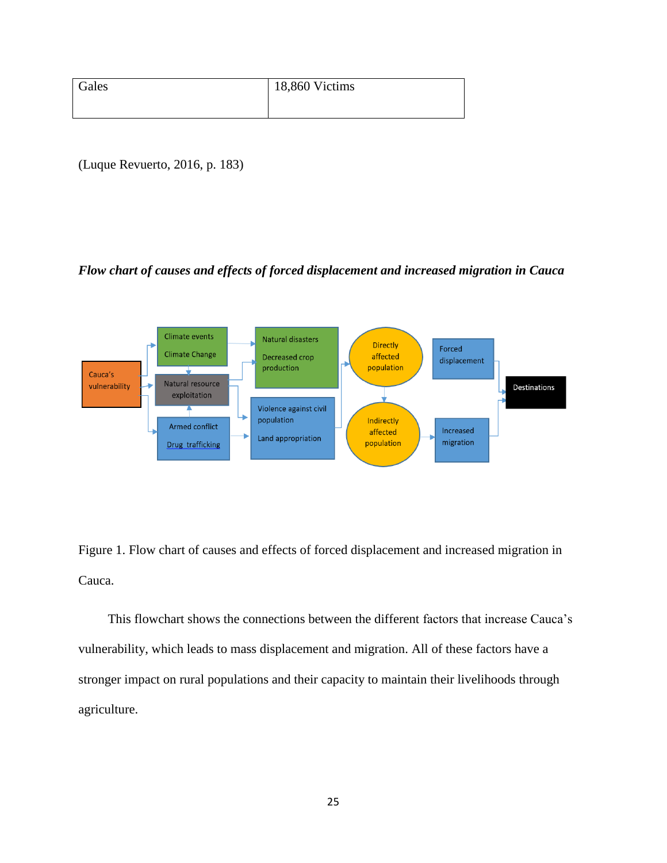| Gales | 18,860 Victims |
|-------|----------------|
|       |                |

(Luque Revuerto, 2016, p. 183)

### *Flow chart of causes and effects of forced displacement and increased migration in Cauca*



Figure 1. Flow chart of causes and effects of forced displacement and increased migration in Cauca.

This flowchart shows the connections between the different factors that increase Cauca's vulnerability, which leads to mass displacement and migration. All of these factors have a stronger impact on rural populations and their capacity to maintain their livelihoods through agriculture.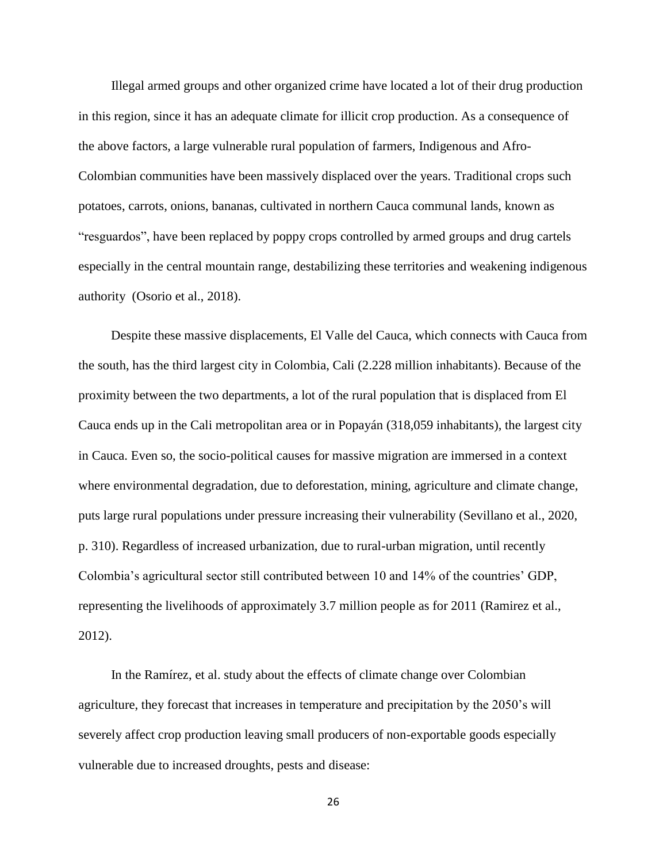Illegal armed groups and other organized crime have located a lot of their drug production in this region, since it has an adequate climate for illicit crop production. As a consequence of the above factors, a large vulnerable rural population of farmers, Indigenous and Afro-Colombian communities have been massively displaced over the years. Traditional crops such potatoes, carrots, onions, bananas, cultivated in northern Cauca communal lands, known as "resguardos", have been replaced by poppy crops controlled by armed groups and drug cartels especially in the central mountain range, destabilizing these territories and weakening indigenous authority (Osorio et al., 2018).

 Despite these massive displacements, El Valle del Cauca, which connects with Cauca from the south, has the third largest city in Colombia, Cali (2.228 million inhabitants). Because of the proximity between the two departments, a lot of the rural population that is displaced from El Cauca ends up in the Cali metropolitan area or in Popayán (318,059 inhabitants), the largest city in Cauca. Even so, the socio-political causes for massive migration are immersed in a context where environmental degradation, due to deforestation, mining, agriculture and climate change, puts large rural populations under pressure increasing their vulnerability (Sevillano et al., 2020, p. 310). Regardless of increased urbanization, due to rural-urban migration, until recently Colombia's agricultural sector still contributed between 10 and 14% of the countries' GDP, representing the livelihoods of approximately 3.7 million people as for 2011 (Ramirez et al., 2012).

 In the Ramírez, et al. study about the effects of climate change over Colombian agriculture, they forecast that increases in temperature and precipitation by the 2050's will severely affect crop production leaving small producers of non-exportable goods especially vulnerable due to increased droughts, pests and disease: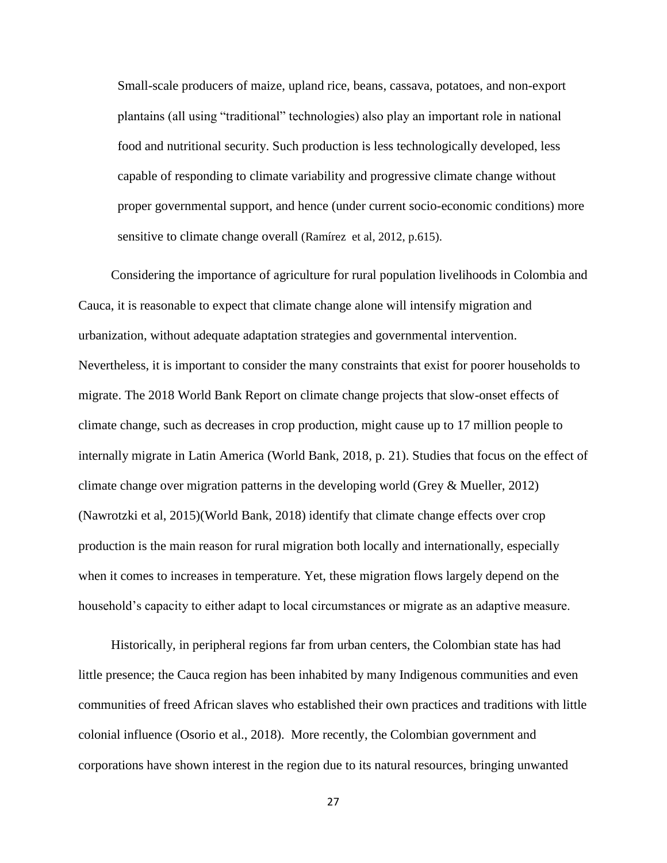Small-scale producers of maize, upland rice, beans, cassava, potatoes, and non-export plantains (all using "traditional" technologies) also play an important role in national food and nutritional security. Such production is less technologically developed, less capable of responding to climate variability and progressive climate change without proper governmental support, and hence (under current socio-economic conditions) more sensitive to climate change overall (Ramírez et al, 2012, p.615).

 Considering the importance of agriculture for rural population livelihoods in Colombia and Cauca, it is reasonable to expect that climate change alone will intensify migration and urbanization, without adequate adaptation strategies and governmental intervention. Nevertheless, it is important to consider the many constraints that exist for poorer households to migrate. The 2018 World Bank Report on climate change projects that slow-onset effects of climate change, such as decreases in crop production, might cause up to 17 million people to internally migrate in Latin America (World Bank, 2018, p. 21). Studies that focus on the effect of climate change over migration patterns in the developing world (Grey & Mueller, 2012) (Nawrotzki et al, 2015)(World Bank, 2018) identify that climate change effects over crop production is the main reason for rural migration both locally and internationally, especially when it comes to increases in temperature. Yet, these migration flows largely depend on the household's capacity to either adapt to local circumstances or migrate as an adaptive measure.

 Historically, in peripheral regions far from urban centers, the Colombian state has had little presence; the Cauca region has been inhabited by many Indigenous communities and even communities of freed African slaves who established their own practices and traditions with little colonial influence (Osorio et al., 2018). More recently, the Colombian government and corporations have shown interest in the region due to its natural resources, bringing unwanted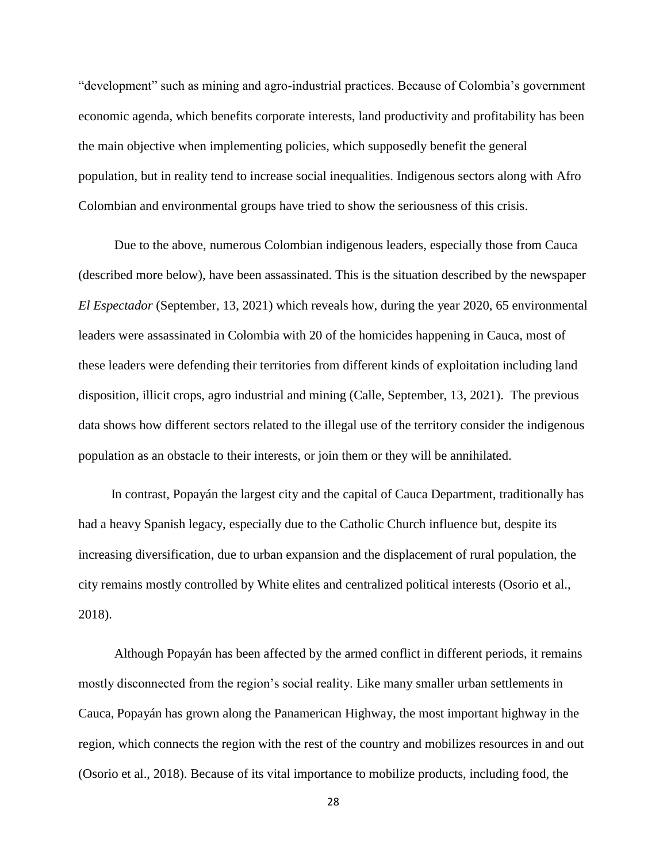"development" such as mining and agro-industrial practices. Because of Colombia's government economic agenda, which benefits corporate interests, land productivity and profitability has been the main objective when implementing policies, which supposedly benefit the general population, but in reality tend to increase social inequalities. Indigenous sectors along with Afro Colombian and environmental groups have tried to show the seriousness of this crisis.

 Due to the above, numerous Colombian indigenous leaders, especially those from Cauca (described more below), have been assassinated. This is the situation described by the newspaper *El Espectador* (September, 13, 2021) which reveals how, during the year 2020, 65 environmental leaders were assassinated in Colombia with 20 of the homicides happening in Cauca, most of these leaders were defending their territories from different kinds of exploitation including land disposition, illicit crops, agro industrial and mining (Calle, September, 13, 2021). The previous data shows how different sectors related to the illegal use of the territory consider the indigenous population as an obstacle to their interests, or join them or they will be annihilated.

 In contrast, Popayán the largest city and the capital of Cauca Department, traditionally has had a heavy Spanish legacy, especially due to the Catholic Church influence but, despite its increasing diversification, due to urban expansion and the displacement of rural population, the city remains mostly controlled by White elites and centralized political interests (Osorio et al., 2018).

 Although Popayán has been affected by the armed conflict in different periods, it remains mostly disconnected from the region's social reality. Like many smaller urban settlements in Cauca, Popayán has grown along the Panamerican Highway, the most important highway in the region, which connects the region with the rest of the country and mobilizes resources in and out (Osorio et al., 2018). Because of its vital importance to mobilize products, including food, the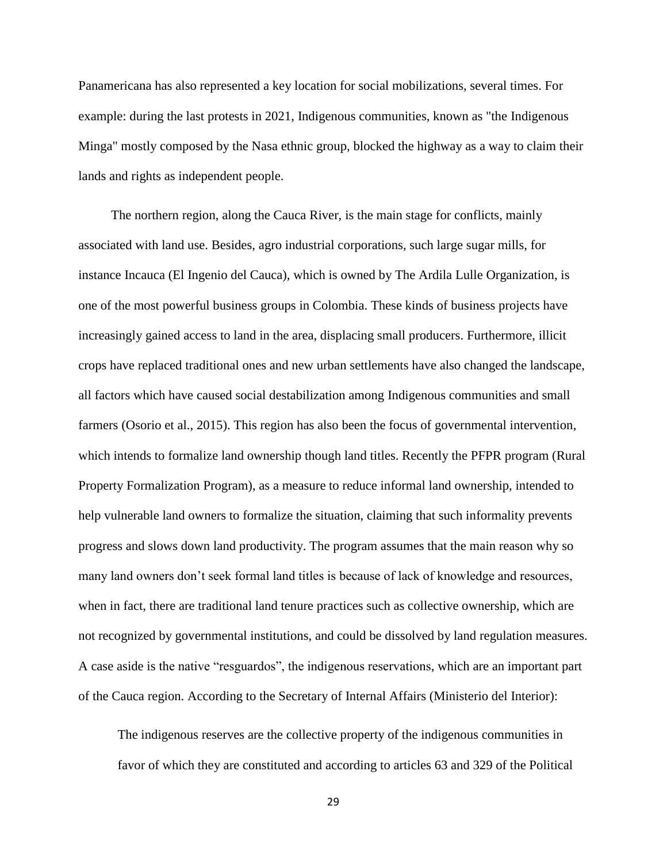Panamericana has also represented a key location for social mobilizations, several times. For example: during the last protests in 2021, Indigenous communities, known as "the Indigenous Minga" mostly composed by the Nasa ethnic group, blocked the highway as a way to claim their lands and rights as independent people.

 The northern region, along the Cauca River, is the main stage for conflicts, mainly associated with land use. Besides, agro industrial corporations, such large sugar mills, for instance Incauca (El Ingenio del Cauca), which is owned by The Ardila Lulle Organization, is one of the most powerful business groups in Colombia. These kinds of business projects have increasingly gained access to land in the area, displacing small producers. Furthermore, illicit crops have replaced traditional ones and new urban settlements have also changed the landscape, all factors which have caused social destabilization among Indigenous communities and small farmers (Osorio et al., 2015). This region has also been the focus of governmental intervention, which intends to formalize land ownership though land titles. Recently the PFPR program (Rural Property Formalization Program), as a measure to reduce informal land ownership, intended to help vulnerable land owners to formalize the situation, claiming that such informality prevents progress and slows down land productivity. The program assumes that the main reason why so many land owners don't seek formal land titles is because of lack of knowledge and resources, when in fact, there are traditional land tenure practices such as collective ownership, which are not recognized by governmental institutions, and could be dissolved by land regulation measures. A case aside is the native "resguardos", the indigenous reservations, which are an important part of the Cauca region. According to the Secretary of Internal Affairs (Ministerio del Interior):

The indigenous reserves are the collective property of the indigenous communities in favor of which they are constituted and according to articles 63 and 329 of the Political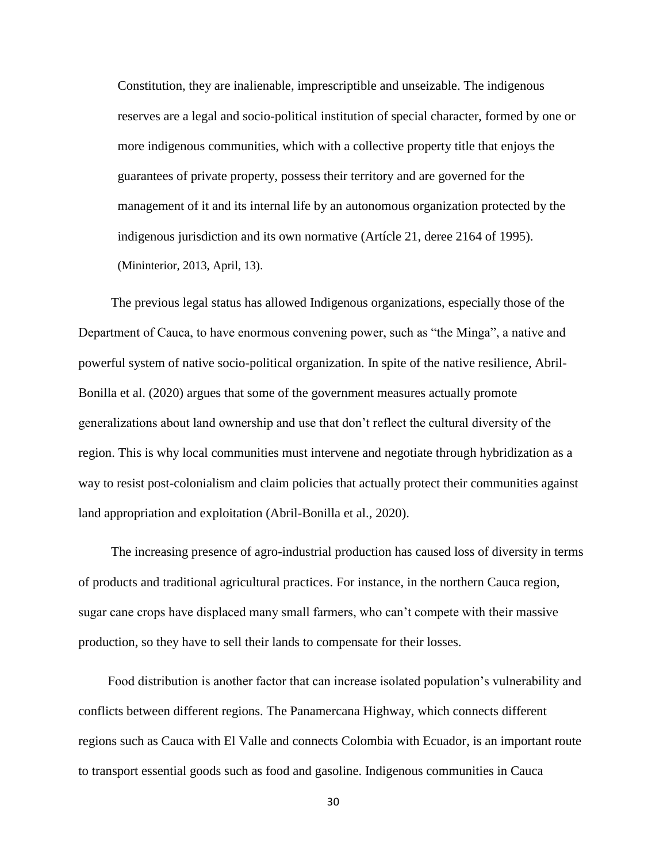Constitution, they are inalienable, imprescriptible and unseizable. The indigenous reserves are a legal and socio-political institution of special character, formed by one or more indigenous communities, which with a collective property title that enjoys the guarantees of private property, possess their territory and are governed for the management of it and its internal life by an autonomous organization protected by the indigenous jurisdiction and its own normative (Artícle 21, deree 2164 of 1995). (Mininterior, 2013, April, 13).

 The previous legal status has allowed Indigenous organizations, especially those of the Department of Cauca, to have enormous convening power, such as "the Minga", a native and powerful system of native socio-political organization. In spite of the native resilience, Abril-Bonilla et al. (2020) argues that some of the government measures actually promote generalizations about land ownership and use that don't reflect the cultural diversity of the region. This is why local communities must intervene and negotiate through hybridization as a way to resist post-colonialism and claim policies that actually protect their communities against land appropriation and exploitation (Abril-Bonilla et al., 2020).

 The increasing presence of agro-industrial production has caused loss of diversity in terms of products and traditional agricultural practices. For instance, in the northern Cauca region, sugar cane crops have displaced many small farmers, who can't compete with their massive production, so they have to sell their lands to compensate for their losses.

 Food distribution is another factor that can increase isolated population's vulnerability and conflicts between different regions. The Panamercana Highway, which connects different regions such as Cauca with El Valle and connects Colombia with Ecuador, is an important route to transport essential goods such as food and gasoline. Indigenous communities in Cauca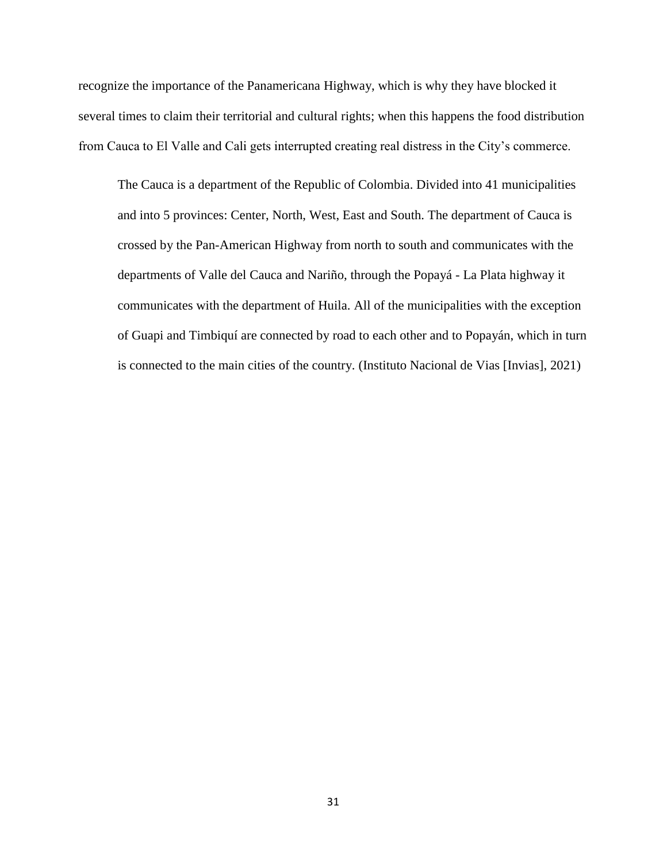recognize the importance of the Panamericana Highway, which is why they have blocked it several times to claim their territorial and cultural rights; when this happens the food distribution from Cauca to El Valle and Cali gets interrupted creating real distress in the City's commerce.

The Cauca is a department of the Republic of Colombia. Divided into 41 municipalities and into 5 provinces: Center, North, West, East and South. The department of Cauca is crossed by the Pan-American Highway from north to south and communicates with the departments of Valle del Cauca and Nariño, through the Popayá - La Plata highway it communicates with the department of Huila. All of the municipalities with the exception of Guapi and Timbiquí are connected by road to each other and to Popayán, which in turn is connected to the main cities of the country. (Instituto Nacional de Vias [Invias], 2021)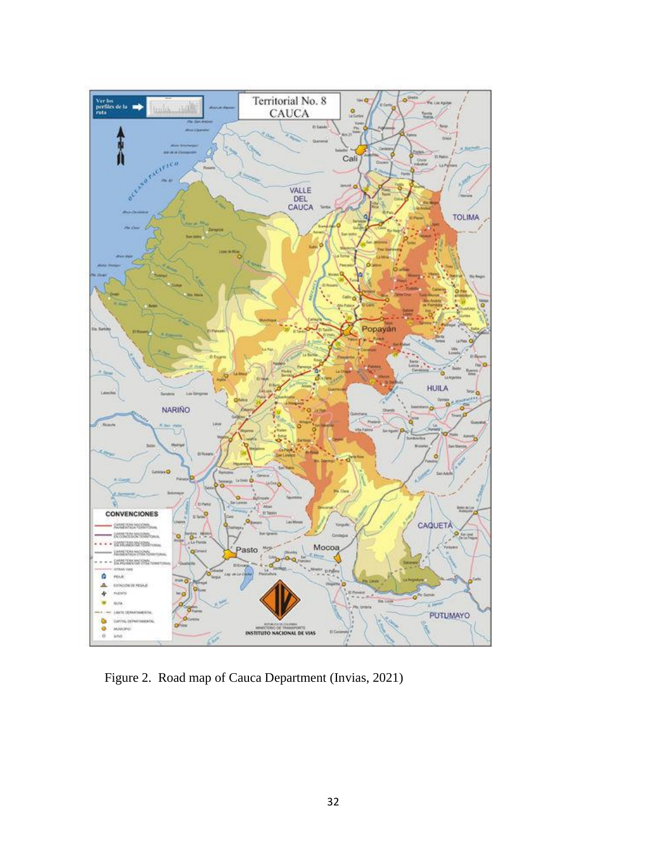

Figure 2. Road map of Cauca Department (Invias, 2021)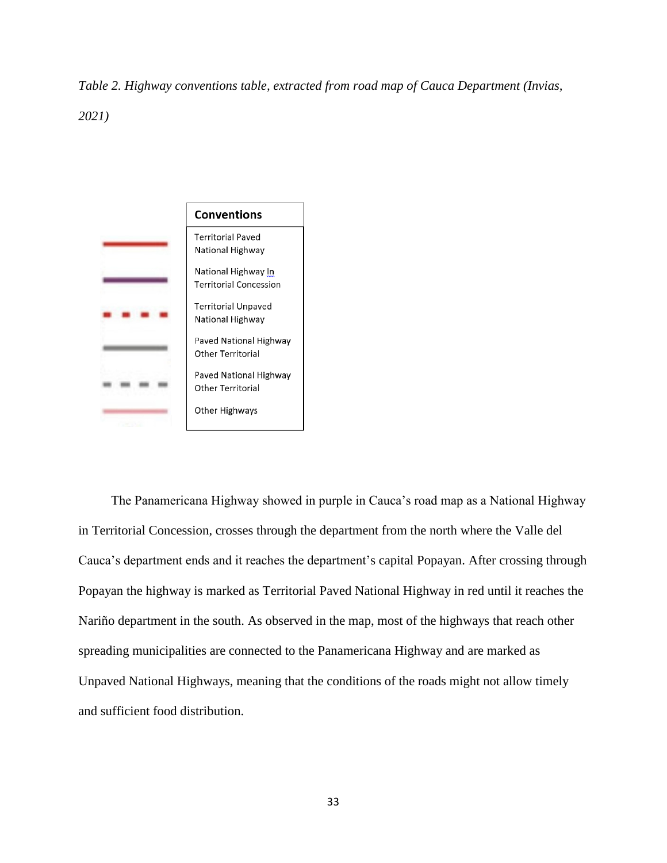*Table 2. Highway conventions table, extracted from road map of Cauca Department (Invias, 2021)*



 The Panamericana Highway showed in purple in Cauca's road map as a National Highway in Territorial Concession, crosses through the department from the north where the Valle del Cauca's department ends and it reaches the department's capital Popayan. After crossing through Popayan the highway is marked as Territorial Paved National Highway in red until it reaches the Nariño department in the south. As observed in the map, most of the highways that reach other spreading municipalities are connected to the Panamericana Highway and are marked as Unpaved National Highways, meaning that the conditions of the roads might not allow timely and sufficient food distribution.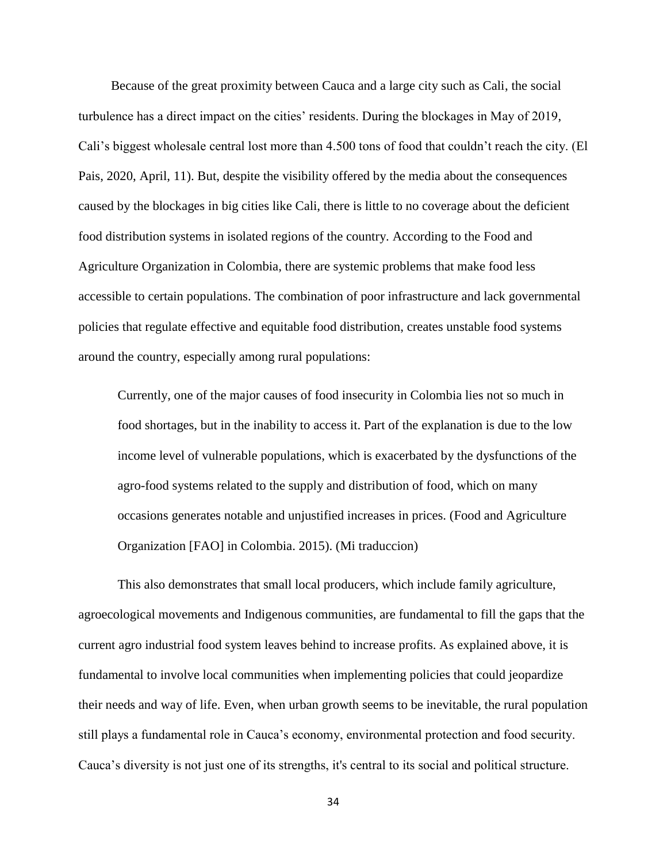Because of the great proximity between Cauca and a large city such as Cali, the social turbulence has a direct impact on the cities' residents. During the blockages in May of 2019, Cali's biggest wholesale central lost more than 4.500 tons of food that couldn't reach the city. (El Pais, 2020, April, 11). But, despite the visibility offered by the media about the consequences caused by the blockages in big cities like Cali, there is little to no coverage about the deficient food distribution systems in isolated regions of the country. According to the Food and Agriculture Organization in Colombia, there are systemic problems that make food less accessible to certain populations. The combination of poor infrastructure and lack governmental policies that regulate effective and equitable food distribution, creates unstable food systems around the country, especially among rural populations:

Currently, one of the major causes of food insecurity in Colombia lies not so much in food shortages, but in the inability to access it. Part of the explanation is due to the low income level of vulnerable populations, which is exacerbated by the dysfunctions of the agro-food systems related to the supply and distribution of food, which on many occasions generates notable and unjustified increases in prices. (Food and Agriculture Organization [FAO] in Colombia. 2015). (Mi traduccion)

 This also demonstrates that small local producers, which include family agriculture, agroecological movements and Indigenous communities, are fundamental to fill the gaps that the current agro industrial food system leaves behind to increase profits. As explained above, it is fundamental to involve local communities when implementing policies that could jeopardize their needs and way of life. Even, when urban growth seems to be inevitable, the rural population still plays a fundamental role in Cauca's economy, environmental protection and food security. Cauca's diversity is not just one of its strengths, it's central to its social and political structure.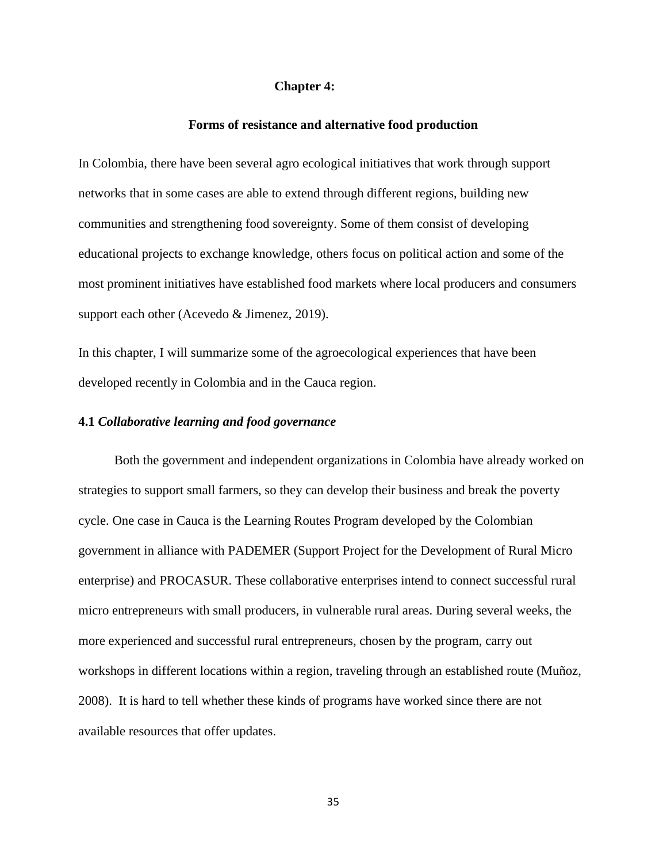## **Chapter 4:**

#### **Forms of resistance and alternative food production**

In Colombia, there have been several agro ecological initiatives that work through support networks that in some cases are able to extend through different regions, building new communities and strengthening food sovereignty. Some of them consist of developing educational projects to exchange knowledge, others focus on political action and some of the most prominent initiatives have established food markets where local producers and consumers support each other (Acevedo & Jimenez, 2019).

In this chapter, I will summarize some of the agroecological experiences that have been developed recently in Colombia and in the Cauca region.

# **4.1** *Collaborative learning and food governance*

 Both the government and independent organizations in Colombia have already worked on strategies to support small farmers, so they can develop their business and break the poverty cycle. One case in Cauca is the Learning Routes Program developed by the Colombian government in alliance with PADEMER (Support Project for the Development of Rural Micro enterprise) and PROCASUR. These collaborative enterprises intend to connect successful rural micro entrepreneurs with small producers, in vulnerable rural areas. During several weeks, the more experienced and successful rural entrepreneurs, chosen by the program, carry out workshops in different locations within a region, traveling through an established route (Muñoz, 2008). It is hard to tell whether these kinds of programs have worked since there are not available resources that offer updates.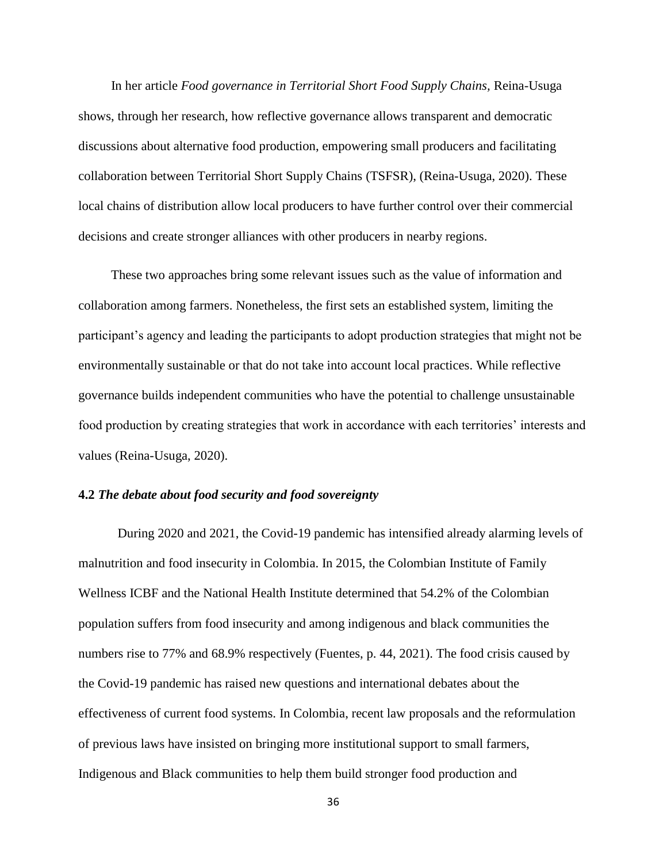In her article *Food governance in Territorial Short Food Supply Chains,* Reina-Usuga shows, through her research, how reflective governance allows transparent and democratic discussions about alternative food production, empowering small producers and facilitating collaboration between Territorial Short Supply Chains (TSFSR), (Reina-Usuga, 2020). These local chains of distribution allow local producers to have further control over their commercial decisions and create stronger alliances with other producers in nearby regions.

 These two approaches bring some relevant issues such as the value of information and collaboration among farmers. Nonetheless, the first sets an established system, limiting the participant's agency and leading the participants to adopt production strategies that might not be environmentally sustainable or that do not take into account local practices. While reflective governance builds independent communities who have the potential to challenge unsustainable food production by creating strategies that work in accordance with each territories' interests and values (Reina-Usuga, 2020).

# **4.2** *The debate about food security and food sovereignty*

 During 2020 and 2021, the Covid-19 pandemic has intensified already alarming levels of malnutrition and food insecurity in Colombia. In 2015, the Colombian Institute of Family Wellness ICBF and the National Health Institute determined that 54.2% of the Colombian population suffers from food insecurity and among indigenous and black communities the numbers rise to 77% and 68.9% respectively (Fuentes, p. 44, 2021). The food crisis caused by the Covid-19 pandemic has raised new questions and international debates about the effectiveness of current food systems. In Colombia, recent law proposals and the reformulation of previous laws have insisted on bringing more institutional support to small farmers, Indigenous and Black communities to help them build stronger food production and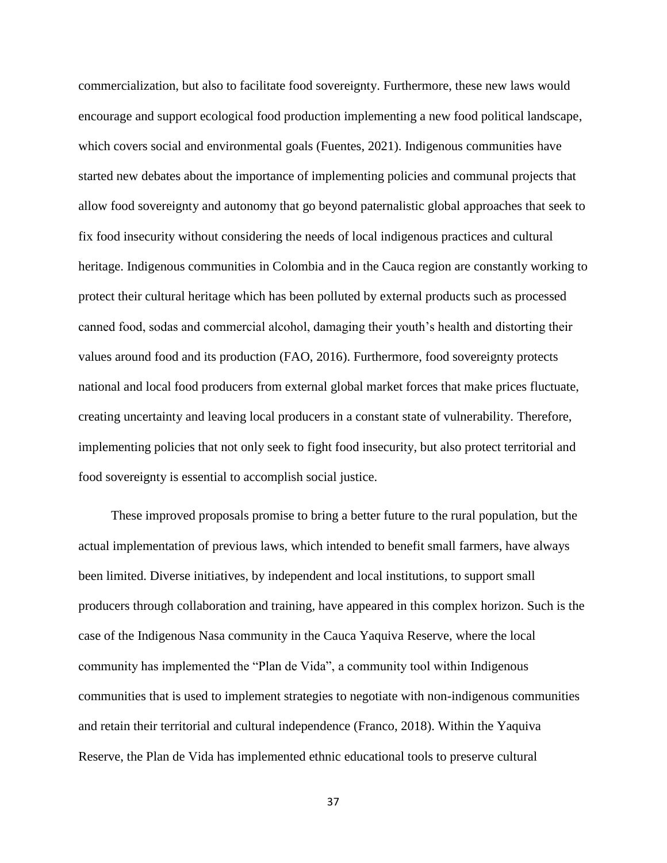commercialization, but also to facilitate food sovereignty. Furthermore, these new laws would encourage and support ecological food production implementing a new food political landscape, which covers social and environmental goals (Fuentes, 2021). Indigenous communities have started new debates about the importance of implementing policies and communal projects that allow food sovereignty and autonomy that go beyond paternalistic global approaches that seek to fix food insecurity without considering the needs of local indigenous practices and cultural heritage. Indigenous communities in Colombia and in the Cauca region are constantly working to protect their cultural heritage which has been polluted by external products such as processed canned food, sodas and commercial alcohol, damaging their youth's health and distorting their values around food and its production (FAO, 2016). Furthermore, food sovereignty protects national and local food producers from external global market forces that make prices fluctuate, creating uncertainty and leaving local producers in a constant state of vulnerability. Therefore, implementing policies that not only seek to fight food insecurity, but also protect territorial and food sovereignty is essential to accomplish social justice.

 These improved proposals promise to bring a better future to the rural population, but the actual implementation of previous laws, which intended to benefit small farmers, have always been limited. Diverse initiatives, by independent and local institutions, to support small producers through collaboration and training, have appeared in this complex horizon. Such is the case of the Indigenous Nasa community in the Cauca Yaquiva Reserve, where the local community has implemented the "Plan de Vida", a community tool within Indigenous communities that is used to implement strategies to negotiate with non-indigenous communities and retain their territorial and cultural independence (Franco, 2018). Within the Yaquiva Reserve, the Plan de Vida has implemented ethnic educational tools to preserve cultural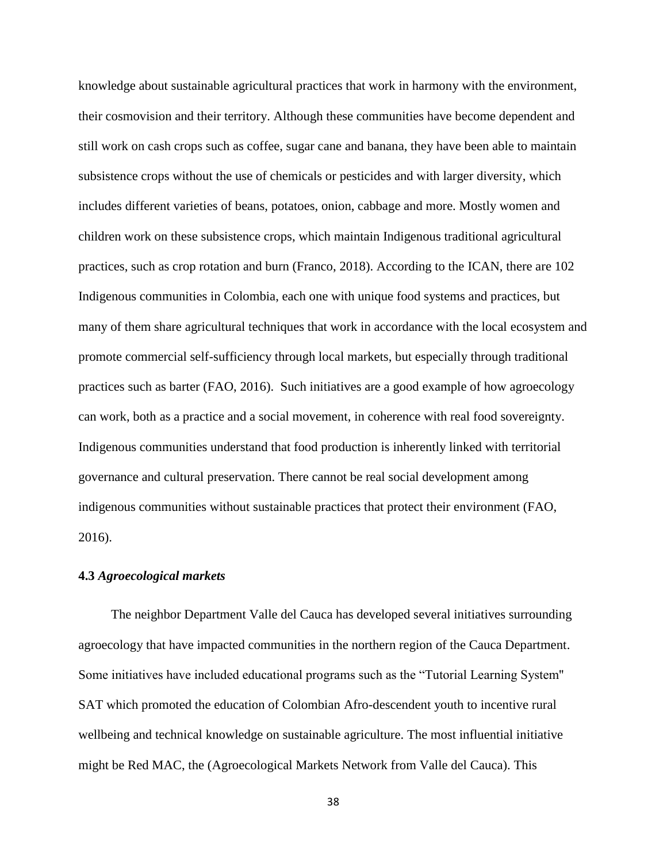knowledge about sustainable agricultural practices that work in harmony with the environment, their cosmovision and their territory. Although these communities have become dependent and still work on cash crops such as coffee, sugar cane and banana, they have been able to maintain subsistence crops without the use of chemicals or pesticides and with larger diversity, which includes different varieties of beans, potatoes, onion, cabbage and more. Mostly women and children work on these subsistence crops, which maintain Indigenous traditional agricultural practices, such as crop rotation and burn (Franco, 2018). According to the ICAN, there are 102 Indigenous communities in Colombia, each one with unique food systems and practices, but many of them share agricultural techniques that work in accordance with the local ecosystem and promote commercial self-sufficiency through local markets, but especially through traditional practices such as barter (FAO, 2016). Such initiatives are a good example of how agroecology can work, both as a practice and a social movement, in coherence with real food sovereignty. Indigenous communities understand that food production is inherently linked with territorial governance and cultural preservation. There cannot be real social development among indigenous communities without sustainable practices that protect their environment (FAO, 2016).

# **4.3** *Agroecological markets*

 The neighbor Department Valle del Cauca has developed several initiatives surrounding agroecology that have impacted communities in the northern region of the Cauca Department. Some initiatives have included educational programs such as the "Tutorial Learning System'' SAT which promoted the education of Colombian Afro-descendent youth to incentive rural wellbeing and technical knowledge on sustainable agriculture. The most influential initiative might be Red MAC, the (Agroecological Markets Network from Valle del Cauca). This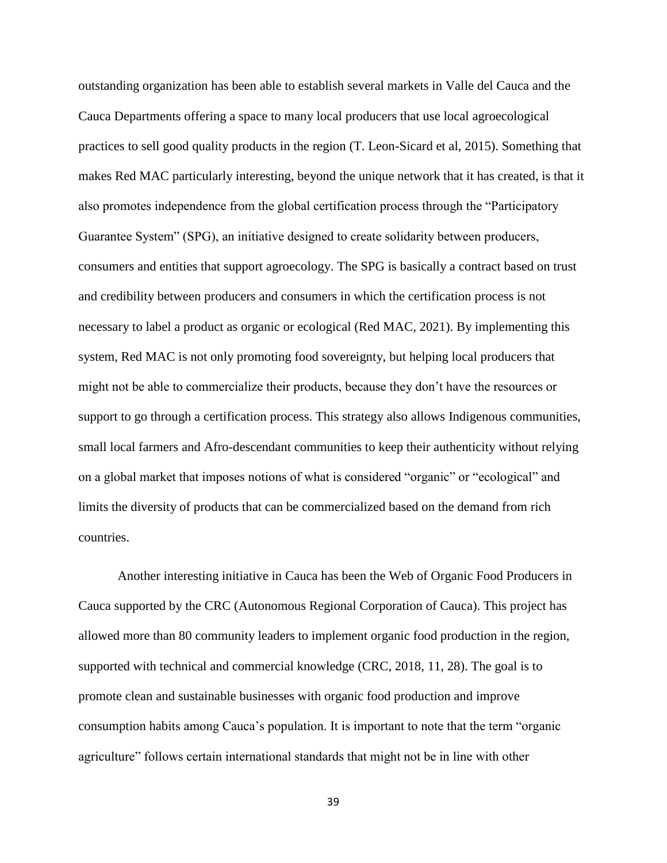outstanding organization has been able to establish several markets in Valle del Cauca and the Cauca Departments offering a space to many local producers that use local agroecological practices to sell good quality products in the region (T. Leon-Sicard et al, 2015). Something that makes Red MAC particularly interesting, beyond the unique network that it has created, is that it also promotes independence from the global certification process through the "Participatory Guarantee System" (SPG), an initiative designed to create solidarity between producers, consumers and entities that support agroecology. The SPG is basically a contract based on trust and credibility between producers and consumers in which the certification process is not necessary to label a product as organic or ecological (Red MAC, 2021). By implementing this system, Red MAC is not only promoting food sovereignty, but helping local producers that might not be able to commercialize their products, because they don't have the resources or support to go through a certification process. This strategy also allows Indigenous communities, small local farmers and Afro-descendant communities to keep their authenticity without relying on a global market that imposes notions of what is considered "organic" or "ecological" and limits the diversity of products that can be commercialized based on the demand from rich countries.

 Another interesting initiative in Cauca has been the Web of Organic Food Producers in Cauca supported by the CRC (Autonomous Regional Corporation of Cauca). This project has allowed more than 80 community leaders to implement organic food production in the region, supported with technical and commercial knowledge (CRC, 2018, 11, 28). The goal is to promote clean and sustainable businesses with organic food production and improve consumption habits among Cauca's population. It is important to note that the term "organic agriculture" follows certain international standards that might not be in line with other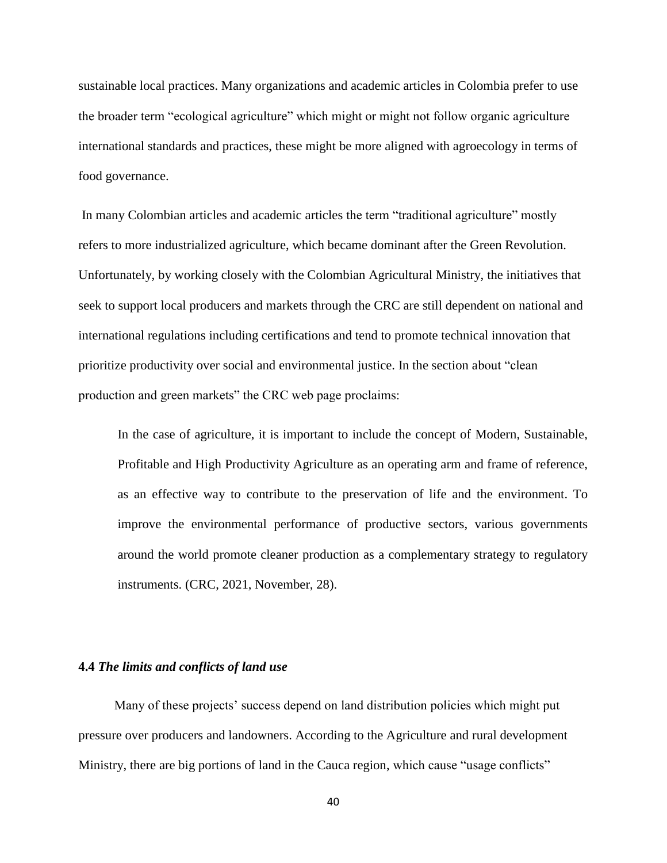sustainable local practices. Many organizations and academic articles in Colombia prefer to use the broader term "ecological agriculture" which might or might not follow organic agriculture international standards and practices, these might be more aligned with agroecology in terms of food governance.

In many Colombian articles and academic articles the term "traditional agriculture" mostly refers to more industrialized agriculture, which became dominant after the Green Revolution. Unfortunately, by working closely with the Colombian Agricultural Ministry, the initiatives that seek to support local producers and markets through the CRC are still dependent on national and international regulations including certifications and tend to promote technical innovation that prioritize productivity over social and environmental justice. In the section about "clean production and green markets" the CRC web page proclaims:

In the case of agriculture, it is important to include the concept of Modern, Sustainable, Profitable and High Productivity Agriculture as an operating arm and frame of reference, as an effective way to contribute to the preservation of life and the environment. To improve the environmental performance of productive sectors, various governments around the world promote cleaner production as a complementary strategy to regulatory instruments. (CRC, 2021, November, 28).

# **4.4** *The limits and conflicts of land use*

 Many of these projects' success depend on land distribution policies which might put pressure over producers and landowners. According to the Agriculture and rural development Ministry, there are big portions of land in the Cauca region, which cause "usage conflicts"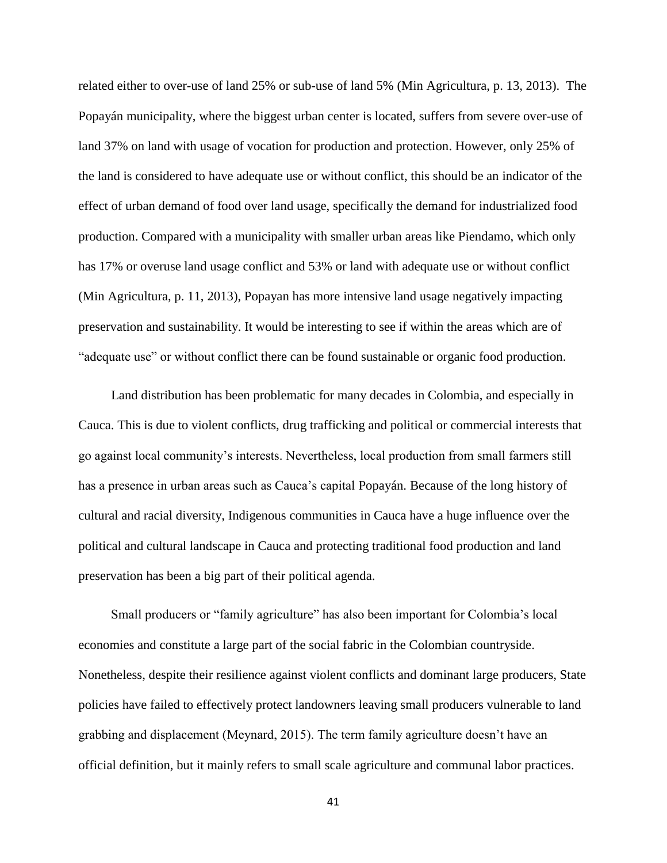related either to over-use of land 25% or sub-use of land 5% (Min Agricultura, p. 13, 2013). The Popayán municipality, where the biggest urban center is located, suffers from severe over-use of land 37% on land with usage of vocation for production and protection. However, only 25% of the land is considered to have adequate use or without conflict, this should be an indicator of the effect of urban demand of food over land usage, specifically the demand for industrialized food production. Compared with a municipality with smaller urban areas like Piendamo, which only has 17% or overuse land usage conflict and 53% or land with adequate use or without conflict (Min Agricultura, p. 11, 2013), Popayan has more intensive land usage negatively impacting preservation and sustainability. It would be interesting to see if within the areas which are of "adequate use" or without conflict there can be found sustainable or organic food production.

 Land distribution has been problematic for many decades in Colombia, and especially in Cauca. This is due to violent conflicts, drug trafficking and political or commercial interests that go against local community's interests. Nevertheless, local production from small farmers still has a presence in urban areas such as Cauca's capital Popayán. Because of the long history of cultural and racial diversity, Indigenous communities in Cauca have a huge influence over the political and cultural landscape in Cauca and protecting traditional food production and land preservation has been a big part of their political agenda.

 Small producers or "family agriculture" has also been important for Colombia's local economies and constitute a large part of the social fabric in the Colombian countryside. Nonetheless, despite their resilience against violent conflicts and dominant large producers, State policies have failed to effectively protect landowners leaving small producers vulnerable to land grabbing and displacement (Meynard, 2015). The term family agriculture doesn't have an official definition, but it mainly refers to small scale agriculture and communal labor practices.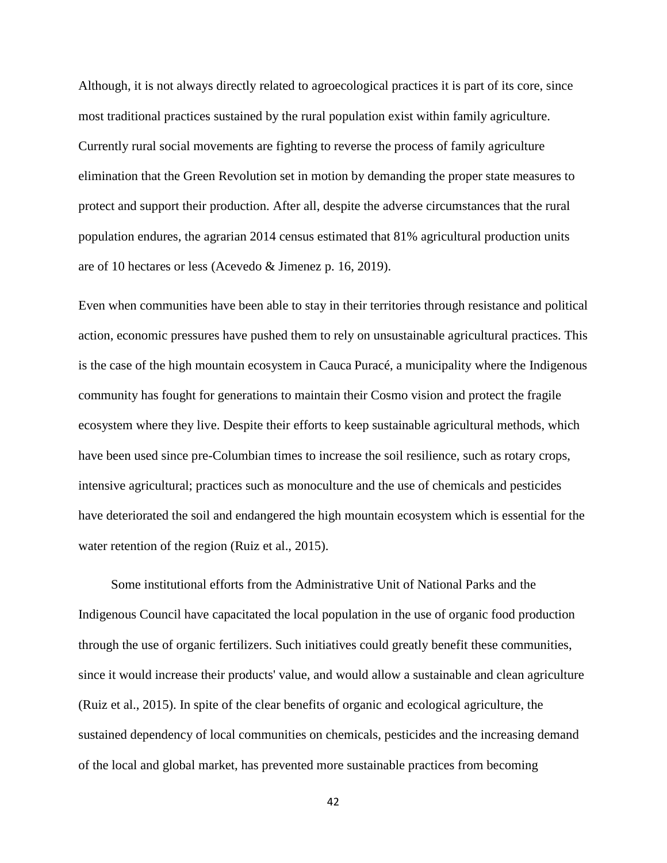Although, it is not always directly related to agroecological practices it is part of its core, since most traditional practices sustained by the rural population exist within family agriculture. Currently rural social movements are fighting to reverse the process of family agriculture elimination that the Green Revolution set in motion by demanding the proper state measures to protect and support their production. After all, despite the adverse circumstances that the rural population endures, the agrarian 2014 census estimated that 81% agricultural production units are of 10 hectares or less (Acevedo & Jimenez p. 16, 2019).

Even when communities have been able to stay in their territories through resistance and political action, economic pressures have pushed them to rely on unsustainable agricultural practices. This is the case of the high mountain ecosystem in Cauca Puracé, a municipality where the Indigenous community has fought for generations to maintain their Cosmo vision and protect the fragile ecosystem where they live. Despite their efforts to keep sustainable agricultural methods, which have been used since pre-Columbian times to increase the soil resilience, such as rotary crops, intensive agricultural; practices such as monoculture and the use of chemicals and pesticides have deteriorated the soil and endangered the high mountain ecosystem which is essential for the water retention of the region (Ruiz et al., 2015).

 Some institutional efforts from the Administrative Unit of National Parks and the Indigenous Council have capacitated the local population in the use of organic food production through the use of organic fertilizers. Such initiatives could greatly benefit these communities, since it would increase their products' value, and would allow a sustainable and clean agriculture (Ruiz et al., 2015). In spite of the clear benefits of organic and ecological agriculture, the sustained dependency of local communities on chemicals, pesticides and the increasing demand of the local and global market, has prevented more sustainable practices from becoming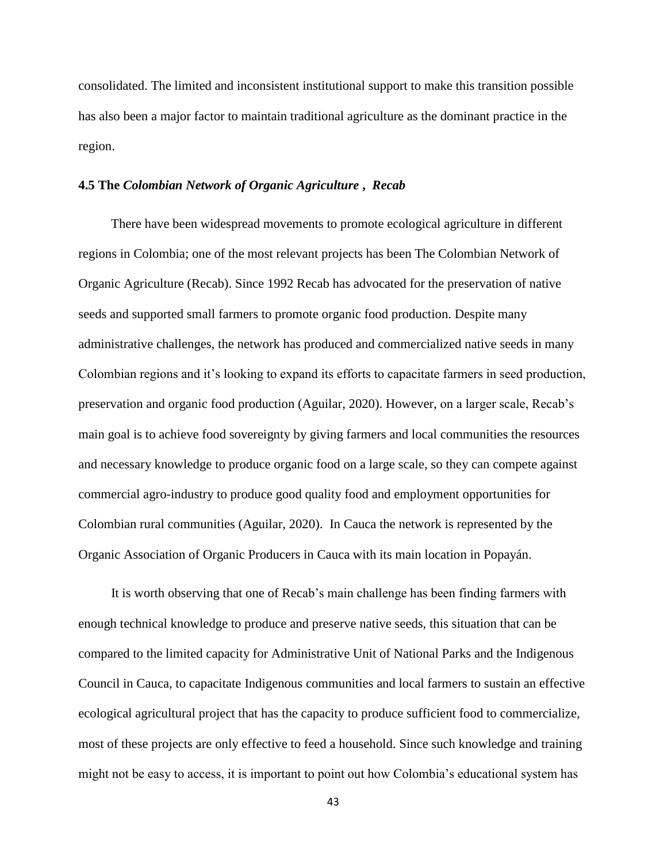consolidated. The limited and inconsistent institutional support to make this transition possible has also been a major factor to maintain traditional agriculture as the dominant practice in the region.

## **4.5 The** *Colombian Network of Organic Agriculture* **,** *Recab*

 There have been widespread movements to promote ecological agriculture in different regions in Colombia; one of the most relevant projects has been The Colombian Network of Organic Agriculture (Recab). Since 1992 Recab has advocated for the preservation of native seeds and supported small farmers to promote organic food production. Despite many administrative challenges, the network has produced and commercialized native seeds in many Colombian regions and it's looking to expand its efforts to capacitate farmers in seed production, preservation and organic food production (Aguilar, 2020). However, on a larger scale, Recab's main goal is to achieve food sovereignty by giving farmers and local communities the resources and necessary knowledge to produce organic food on a large scale, so they can compete against commercial agro-industry to produce good quality food and employment opportunities for Colombian rural communities (Aguilar, 2020). In Cauca the network is represented by the Organic Association of Organic Producers in Cauca with its main location in Popayán.

 It is worth observing that one of Recab's main challenge has been finding farmers with enough technical knowledge to produce and preserve native seeds, this situation that can be compared to the limited capacity for Administrative Unit of National Parks and the Indigenous Council in Cauca, to capacitate Indigenous communities and local farmers to sustain an effective ecological agricultural project that has the capacity to produce sufficient food to commercialize, most of these projects are only effective to feed a household. Since such knowledge and training might not be easy to access, it is important to point out how Colombia's educational system has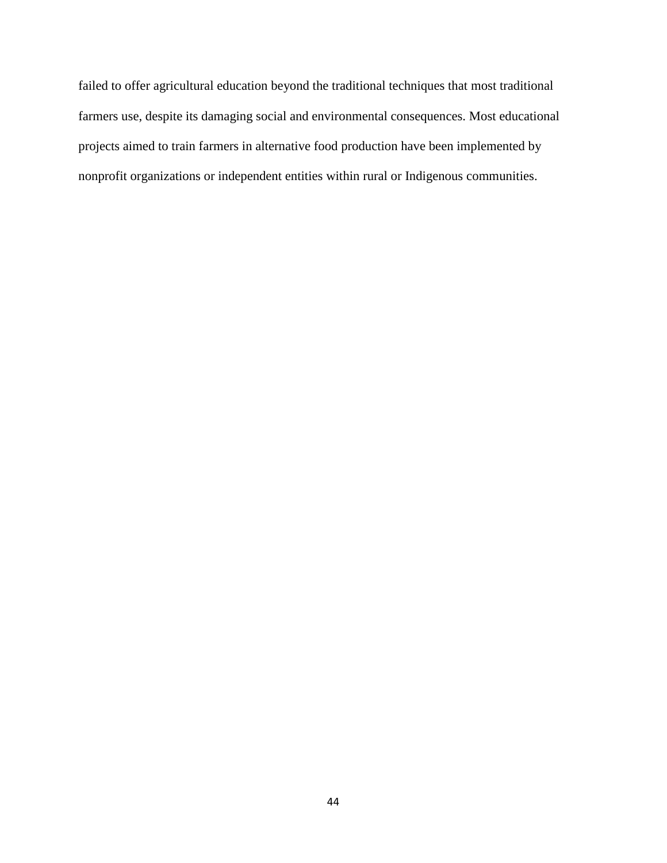failed to offer agricultural education beyond the traditional techniques that most traditional farmers use, despite its damaging social and environmental consequences. Most educational projects aimed to train farmers in alternative food production have been implemented by nonprofit organizations or independent entities within rural or Indigenous communities.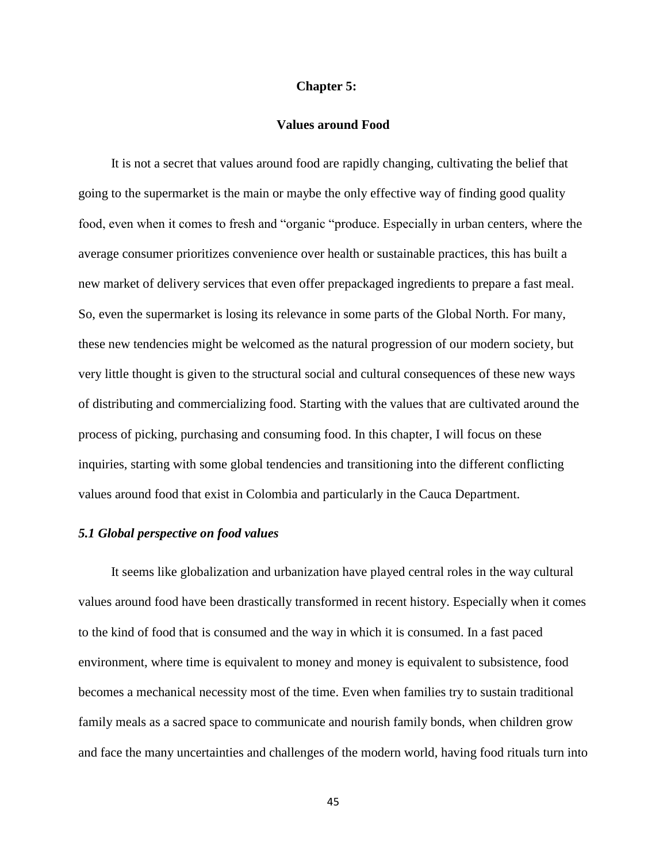## **Chapter 5:**

#### **Values around Food**

 It is not a secret that values around food are rapidly changing, cultivating the belief that going to the supermarket is the main or maybe the only effective way of finding good quality food, even when it comes to fresh and "organic "produce. Especially in urban centers, where the average consumer prioritizes convenience over health or sustainable practices, this has built a new market of delivery services that even offer prepackaged ingredients to prepare a fast meal. So, even the supermarket is losing its relevance in some parts of the Global North. For many, these new tendencies might be welcomed as the natural progression of our modern society, but very little thought is given to the structural social and cultural consequences of these new ways of distributing and commercializing food. Starting with the values that are cultivated around the process of picking, purchasing and consuming food. In this chapter, I will focus on these inquiries, starting with some global tendencies and transitioning into the different conflicting values around food that exist in Colombia and particularly in the Cauca Department.

# *5.1 Global perspective on food values*

 It seems like globalization and urbanization have played central roles in the way cultural values around food have been drastically transformed in recent history. Especially when it comes to the kind of food that is consumed and the way in which it is consumed. In a fast paced environment, where time is equivalent to money and money is equivalent to subsistence, food becomes a mechanical necessity most of the time. Even when families try to sustain traditional family meals as a sacred space to communicate and nourish family bonds, when children grow and face the many uncertainties and challenges of the modern world, having food rituals turn into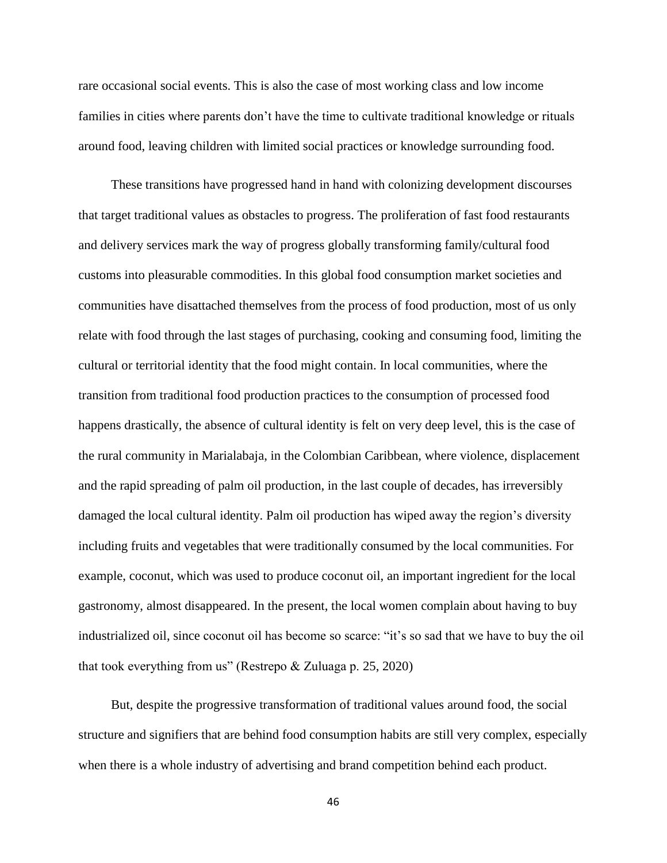rare occasional social events. This is also the case of most working class and low income families in cities where parents don't have the time to cultivate traditional knowledge or rituals around food, leaving children with limited social practices or knowledge surrounding food.

 These transitions have progressed hand in hand with colonizing development discourses that target traditional values as obstacles to progress. The proliferation of fast food restaurants and delivery services mark the way of progress globally transforming family/cultural food customs into pleasurable commodities. In this global food consumption market societies and communities have disattached themselves from the process of food production, most of us only relate with food through the last stages of purchasing, cooking and consuming food, limiting the cultural or territorial identity that the food might contain. In local communities, where the transition from traditional food production practices to the consumption of processed food happens drastically, the absence of cultural identity is felt on very deep level, this is the case of the rural community in Marialabaja, in the Colombian Caribbean, where violence, displacement and the rapid spreading of palm oil production, in the last couple of decades, has irreversibly damaged the local cultural identity. Palm oil production has wiped away the region's diversity including fruits and vegetables that were traditionally consumed by the local communities. For example, coconut, which was used to produce coconut oil, an important ingredient for the local gastronomy, almost disappeared. In the present, the local women complain about having to buy industrialized oil, since coconut oil has become so scarce: "it's so sad that we have to buy the oil that took everything from us" (Restrepo & Zuluaga p. 25, 2020)

 But, despite the progressive transformation of traditional values around food, the social structure and signifiers that are behind food consumption habits are still very complex, especially when there is a whole industry of advertising and brand competition behind each product.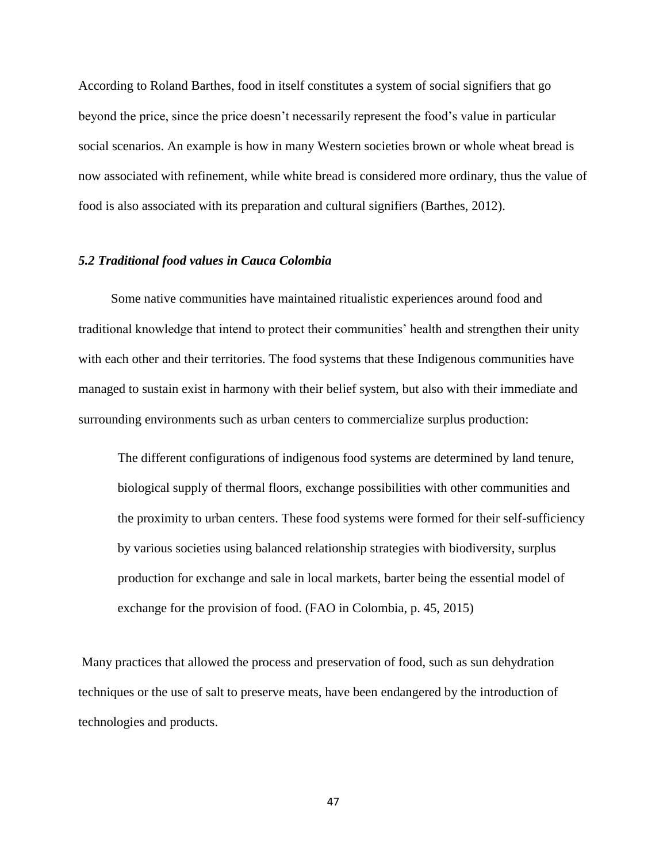According to Roland Barthes, food in itself constitutes a system of social signifiers that go beyond the price, since the price doesn't necessarily represent the food's value in particular social scenarios. An example is how in many Western societies brown or whole wheat bread is now associated with refinement, while white bread is considered more ordinary, thus the value of food is also associated with its preparation and cultural signifiers (Barthes, 2012).

# *5.2 Traditional food values in Cauca Colombia*

 Some native communities have maintained ritualistic experiences around food and traditional knowledge that intend to protect their communities' health and strengthen their unity with each other and their territories. The food systems that these Indigenous communities have managed to sustain exist in harmony with their belief system, but also with their immediate and surrounding environments such as urban centers to commercialize surplus production:

The different configurations of indigenous food systems are determined by land tenure, biological supply of thermal floors, exchange possibilities with other communities and the proximity to urban centers. These food systems were formed for their self-sufficiency by various societies using balanced relationship strategies with biodiversity, surplus production for exchange and sale in local markets, barter being the essential model of exchange for the provision of food. (FAO in Colombia, p. 45, 2015)

Many practices that allowed the process and preservation of food, such as sun dehydration techniques or the use of salt to preserve meats, have been endangered by the introduction of technologies and products.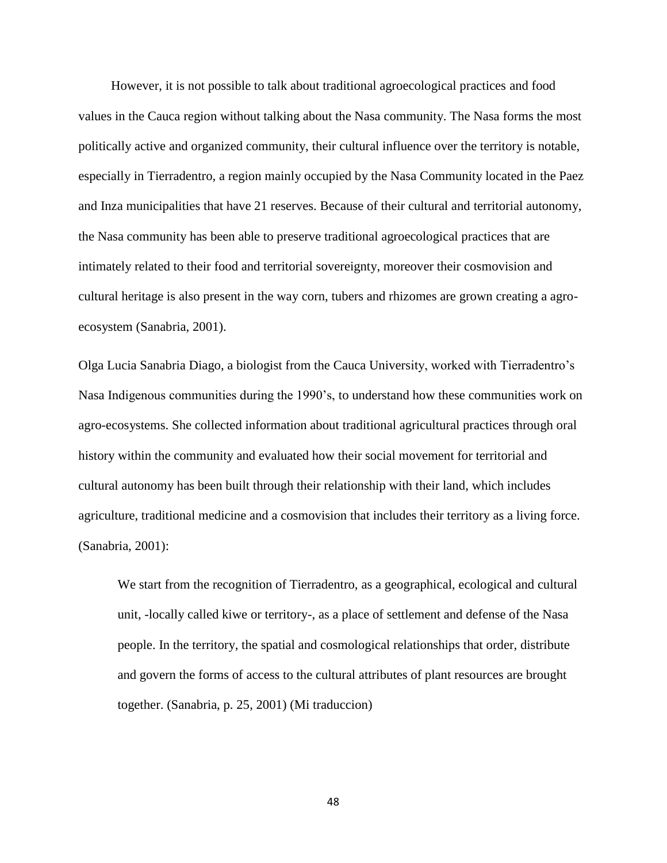However, it is not possible to talk about traditional agroecological practices and food values in the Cauca region without talking about the Nasa community. The Nasa forms the most politically active and organized community, their cultural influence over the territory is notable, especially in Tierradentro, a region mainly occupied by the Nasa Community located in the Paez and Inza municipalities that have 21 reserves. Because of their cultural and territorial autonomy, the Nasa community has been able to preserve traditional agroecological practices that are intimately related to their food and territorial sovereignty, moreover their cosmovision and cultural heritage is also present in the way corn, tubers and rhizomes are grown creating a agroecosystem (Sanabria, 2001).

Olga Lucia Sanabria Diago, a biologist from the Cauca University, worked with Tierradentro's Nasa Indigenous communities during the 1990's, to understand how these communities work on agro-ecosystems. She collected information about traditional agricultural practices through oral history within the community and evaluated how their social movement for territorial and cultural autonomy has been built through their relationship with their land, which includes agriculture, traditional medicine and a cosmovision that includes their territory as a living force. (Sanabria, 2001):

We start from the recognition of Tierradentro, as a geographical, ecological and cultural unit, -locally called kiwe or territory-, as a place of settlement and defense of the Nasa people. In the territory, the spatial and cosmological relationships that order, distribute and govern the forms of access to the cultural attributes of plant resources are brought together. (Sanabria, p. 25, 2001) (Mi traduccion)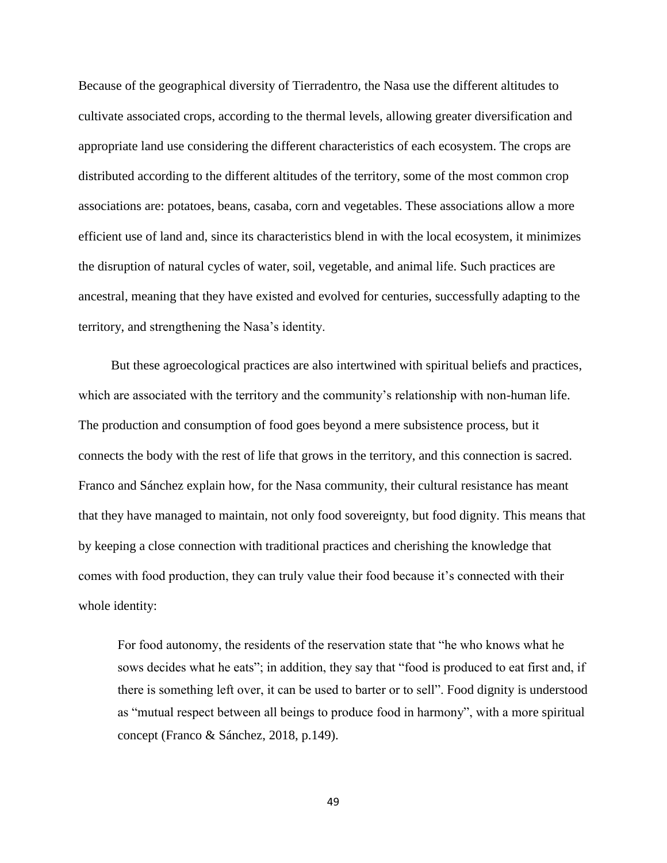Because of the geographical diversity of Tierradentro, the Nasa use the different altitudes to cultivate associated crops, according to the thermal levels, allowing greater diversification and appropriate land use considering the different characteristics of each ecosystem. The crops are distributed according to the different altitudes of the territory, some of the most common crop associations are: potatoes, beans, casaba, corn and vegetables. These associations allow a more efficient use of land and, since its characteristics blend in with the local ecosystem, it minimizes the disruption of natural cycles of water, soil, vegetable, and animal life. Such practices are ancestral, meaning that they have existed and evolved for centuries, successfully adapting to the territory, and strengthening the Nasa's identity.

 But these agroecological practices are also intertwined with spiritual beliefs and practices, which are associated with the territory and the community's relationship with non-human life. The production and consumption of food goes beyond a mere subsistence process, but it connects the body with the rest of life that grows in the territory, and this connection is sacred. Franco and Sánchez explain how, for the Nasa community, their cultural resistance has meant that they have managed to maintain, not only food sovereignty, but food dignity. This means that by keeping a close connection with traditional practices and cherishing the knowledge that comes with food production, they can truly value their food because it's connected with their whole identity:

For food autonomy, the residents of the reservation state that "he who knows what he sows decides what he eats"; in addition, they say that "food is produced to eat first and, if there is something left over, it can be used to barter or to sell". Food dignity is understood as "mutual respect between all beings to produce food in harmony", with a more spiritual concept (Franco & Sánchez, 2018, p.149).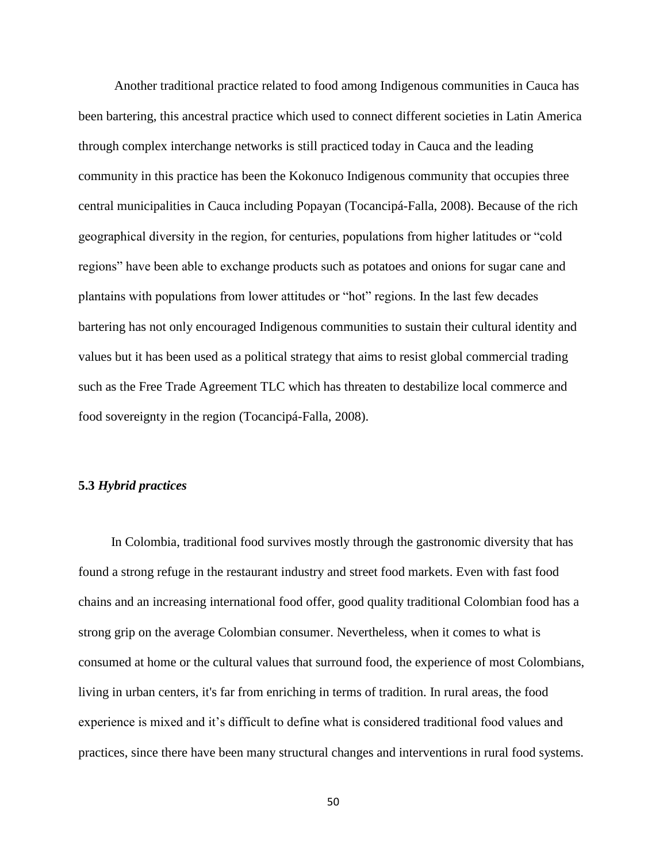Another traditional practice related to food among Indigenous communities in Cauca has been bartering, this ancestral practice which used to connect different societies in Latin America through complex interchange networks is still practiced today in Cauca and the leading community in this practice has been the Kokonuco Indigenous community that occupies three central municipalities in Cauca including Popayan (Tocancipá-Falla, 2008). Because of the rich geographical diversity in the region, for centuries, populations from higher latitudes or "cold regions" have been able to exchange products such as potatoes and onions for sugar cane and plantains with populations from lower attitudes or "hot" regions. In the last few decades bartering has not only encouraged Indigenous communities to sustain their cultural identity and values but it has been used as a political strategy that aims to resist global commercial trading such as the Free Trade Agreement TLC which has threaten to destabilize local commerce and food sovereignty in the region (Tocancipá-Falla, 2008).

#### **5.3** *Hybrid practices*

 In Colombia, traditional food survives mostly through the gastronomic diversity that has found a strong refuge in the restaurant industry and street food markets. Even with fast food chains and an increasing international food offer, good quality traditional Colombian food has a strong grip on the average Colombian consumer. Nevertheless, when it comes to what is consumed at home or the cultural values that surround food, the experience of most Colombians, living in urban centers, it's far from enriching in terms of tradition. In rural areas, the food experience is mixed and it's difficult to define what is considered traditional food values and practices, since there have been many structural changes and interventions in rural food systems.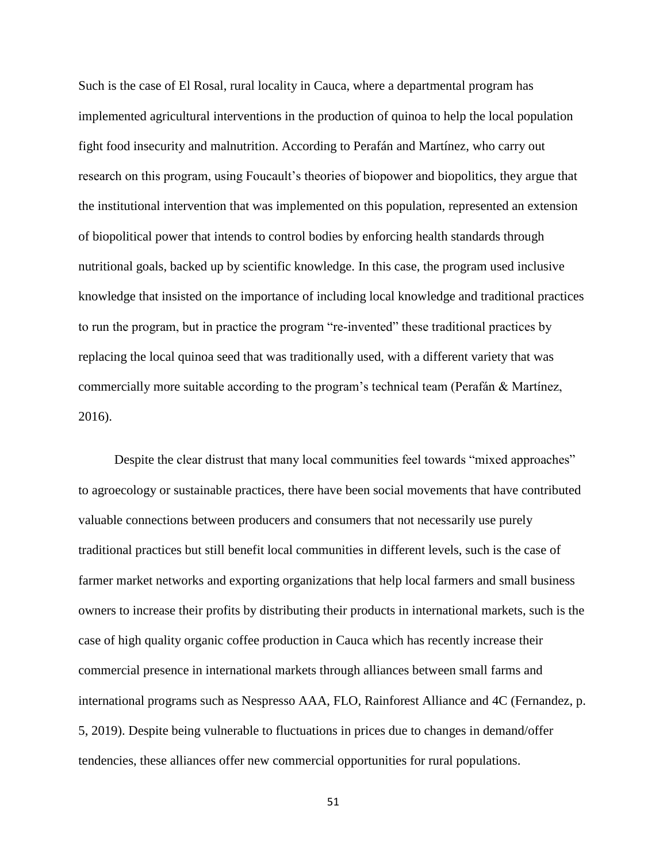Such is the case of El Rosal, rural locality in Cauca, where a departmental program has implemented agricultural interventions in the production of quinoa to help the local population fight food insecurity and malnutrition. According to Perafán and Martínez, who carry out research on this program, using Foucault's theories of biopower and biopolitics, they argue that the institutional intervention that was implemented on this population, represented an extension of biopolitical power that intends to control bodies by enforcing health standards through nutritional goals, backed up by scientific knowledge. In this case, the program used inclusive knowledge that insisted on the importance of including local knowledge and traditional practices to run the program, but in practice the program "re-invented" these traditional practices by replacing the local quinoa seed that was traditionally used, with a different variety that was commercially more suitable according to the program's technical team (Perafán & Martínez, 2016).

 Despite the clear distrust that many local communities feel towards "mixed approaches" to agroecology or sustainable practices, there have been social movements that have contributed valuable connections between producers and consumers that not necessarily use purely traditional practices but still benefit local communities in different levels, such is the case of farmer market networks and exporting organizations that help local farmers and small business owners to increase their profits by distributing their products in international markets, such is the case of high quality organic coffee production in Cauca which has recently increase their commercial presence in international markets through alliances between small farms and international programs such as Nespresso AAA, FLO, Rainforest Alliance and 4C (Fernandez, p. 5, 2019). Despite being vulnerable to fluctuations in prices due to changes in demand/offer tendencies, these alliances offer new commercial opportunities for rural populations.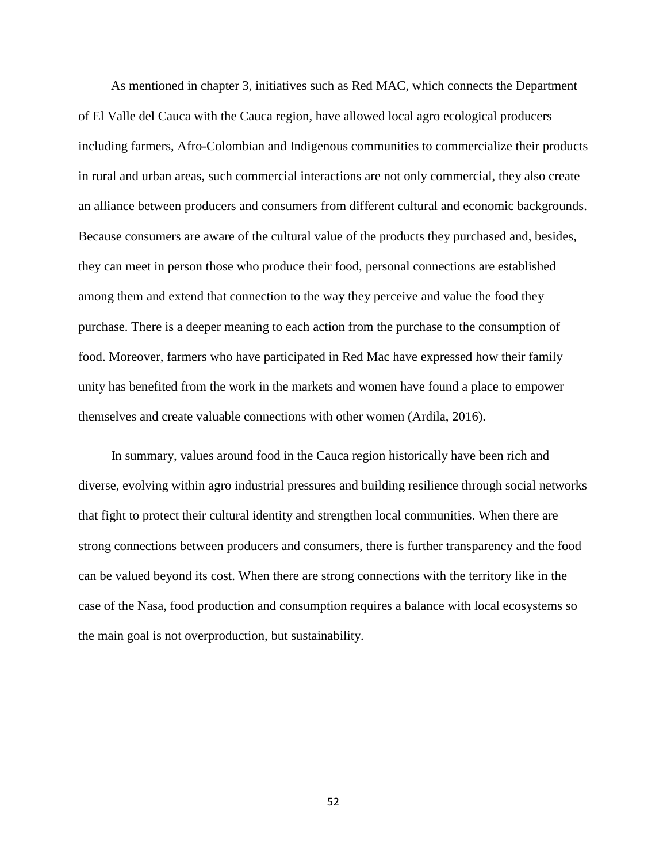As mentioned in chapter 3, initiatives such as Red MAC, which connects the Department of El Valle del Cauca with the Cauca region, have allowed local agro ecological producers including farmers, Afro-Colombian and Indigenous communities to commercialize their products in rural and urban areas, such commercial interactions are not only commercial, they also create an alliance between producers and consumers from different cultural and economic backgrounds. Because consumers are aware of the cultural value of the products they purchased and, besides, they can meet in person those who produce their food, personal connections are established among them and extend that connection to the way they perceive and value the food they purchase. There is a deeper meaning to each action from the purchase to the consumption of food. Moreover, farmers who have participated in Red Mac have expressed how their family unity has benefited from the work in the markets and women have found a place to empower themselves and create valuable connections with other women (Ardila, 2016).

 In summary, values around food in the Cauca region historically have been rich and diverse, evolving within agro industrial pressures and building resilience through social networks that fight to protect their cultural identity and strengthen local communities. When there are strong connections between producers and consumers, there is further transparency and the food can be valued beyond its cost. When there are strong connections with the territory like in the case of the Nasa, food production and consumption requires a balance with local ecosystems so the main goal is not overproduction, but sustainability.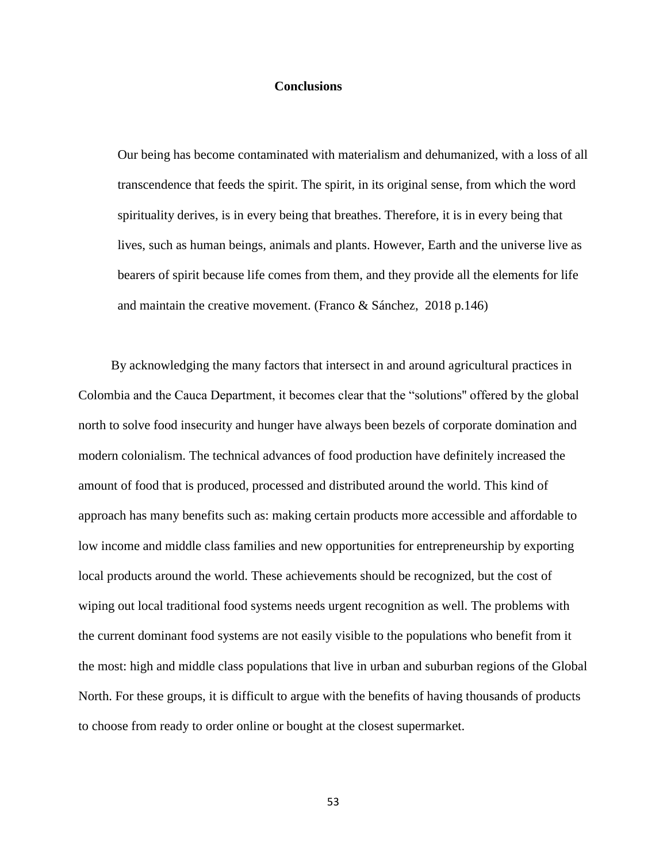### **Conclusions**

Our being has become contaminated with materialism and dehumanized, with a loss of all transcendence that feeds the spirit. The spirit, in its original sense, from which the word spirituality derives, is in every being that breathes. Therefore, it is in every being that lives, such as human beings, animals and plants. However, Earth and the universe live as bearers of spirit because life comes from them, and they provide all the elements for life and maintain the creative movement. (Franco & Sánchez, 2018 p.146)

 By acknowledging the many factors that intersect in and around agricultural practices in Colombia and the Cauca Department, it becomes clear that the "solutions'' offered by the global north to solve food insecurity and hunger have always been bezels of corporate domination and modern colonialism. The technical advances of food production have definitely increased the amount of food that is produced, processed and distributed around the world. This kind of approach has many benefits such as: making certain products more accessible and affordable to low income and middle class families and new opportunities for entrepreneurship by exporting local products around the world. These achievements should be recognized, but the cost of wiping out local traditional food systems needs urgent recognition as well. The problems with the current dominant food systems are not easily visible to the populations who benefit from it the most: high and middle class populations that live in urban and suburban regions of the Global North. For these groups, it is difficult to argue with the benefits of having thousands of products to choose from ready to order online or bought at the closest supermarket.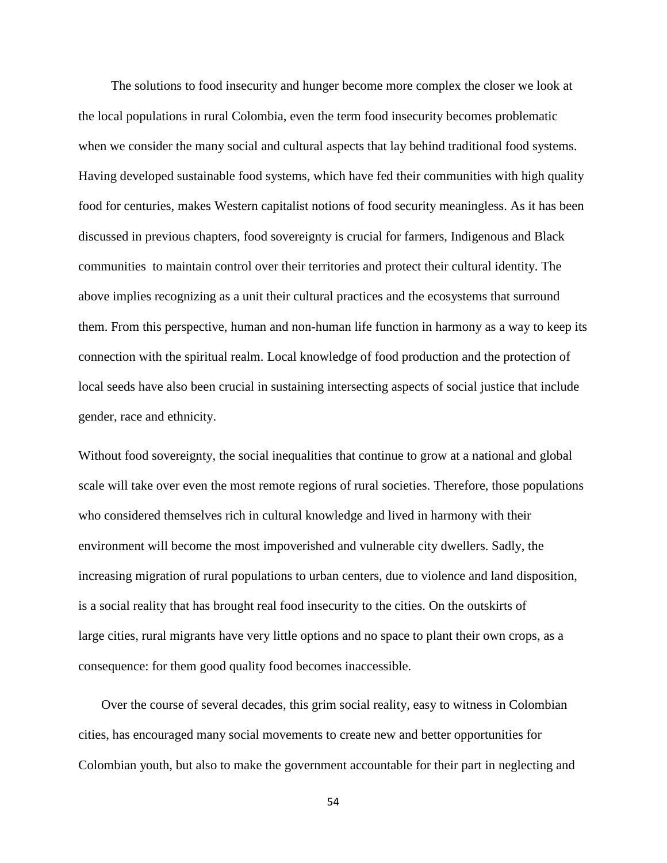The solutions to food insecurity and hunger become more complex the closer we look at the local populations in rural Colombia, even the term food insecurity becomes problematic when we consider the many social and cultural aspects that lay behind traditional food systems. Having developed sustainable food systems, which have fed their communities with high quality food for centuries, makes Western capitalist notions of food security meaningless. As it has been discussed in previous chapters, food sovereignty is crucial for farmers, Indigenous and Black communities to maintain control over their territories and protect their cultural identity. The above implies recognizing as a unit their cultural practices and the ecosystems that surround them. From this perspective, human and non-human life function in harmony as a way to keep its connection with the spiritual realm. Local knowledge of food production and the protection of local seeds have also been crucial in sustaining intersecting aspects of social justice that include gender, race and ethnicity.

Without food sovereignty, the social inequalities that continue to grow at a national and global scale will take over even the most remote regions of rural societies. Therefore, those populations who considered themselves rich in cultural knowledge and lived in harmony with their environment will become the most impoverished and vulnerable city dwellers. Sadly, the increasing migration of rural populations to urban centers, due to violence and land disposition, is a social reality that has brought real food insecurity to the cities. On the outskirts of large cities, rural migrants have very little options and no space to plant their own crops, as a consequence: for them good quality food becomes inaccessible.

 Over the course of several decades, this grim social reality, easy to witness in Colombian cities, has encouraged many social movements to create new and better opportunities for Colombian youth, but also to make the government accountable for their part in neglecting and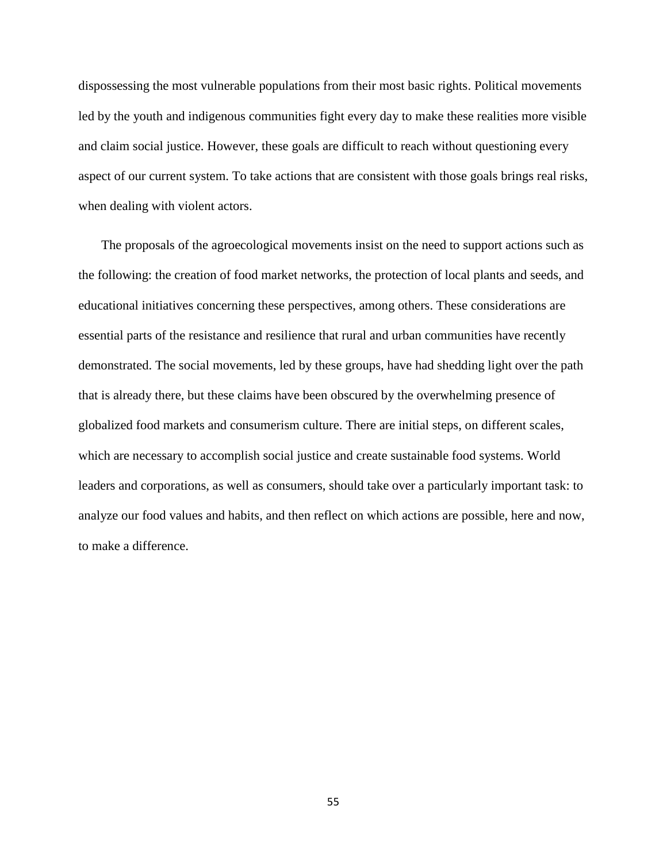dispossessing the most vulnerable populations from their most basic rights. Political movements led by the youth and indigenous communities fight every day to make these realities more visible and claim social justice. However, these goals are difficult to reach without questioning every aspect of our current system. To take actions that are consistent with those goals brings real risks, when dealing with violent actors.

 The proposals of the agroecological movements insist on the need to support actions such as the following: the creation of food market networks, the protection of local plants and seeds, and educational initiatives concerning these perspectives, among others. These considerations are essential parts of the resistance and resilience that rural and urban communities have recently demonstrated. The social movements, led by these groups, have had shedding light over the path that is already there, but these claims have been obscured by the overwhelming presence of globalized food markets and consumerism culture. There are initial steps, on different scales, which are necessary to accomplish social justice and create sustainable food systems. World leaders and corporations, as well as consumers, should take over a particularly important task: to analyze our food values and habits, and then reflect on which actions are possible, here and now, to make a difference.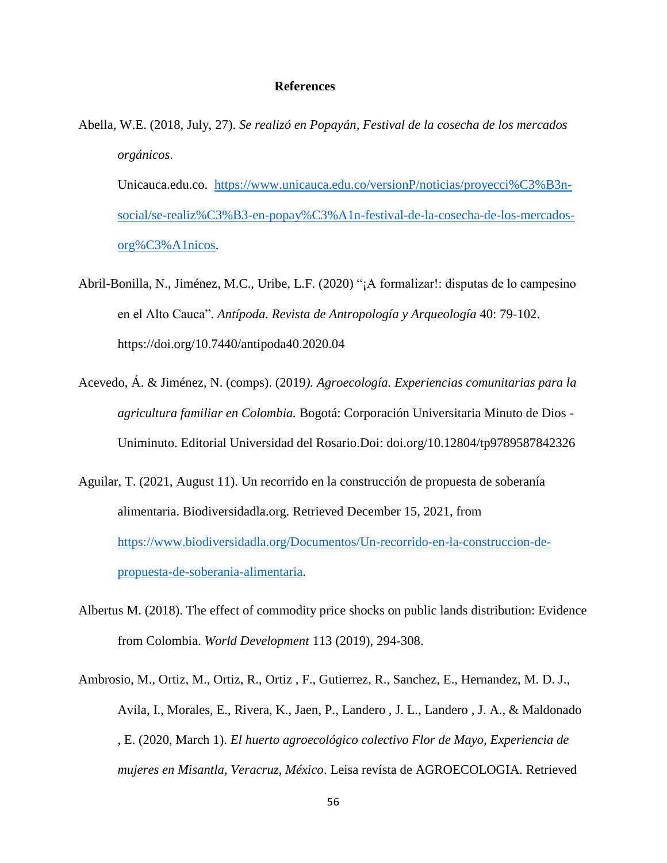#### **References**

Abella, W.E. (2018, July, 27). *Se realizó en Popayán, Festival de la cosecha de los mercados orgánicos*.

Unicauca.edu.co. [https://www.unicauca.edu.co/versionP/noticias/proyecci%C3%B3n](https://www.unicauca.edu.co/versionP/noticias/proyecci%C3%B3n-social/se-realiz%C3%B3-en-popay%C3%A1n-festival-de-la-cosecha-de-los-mercados-org%C3%A1nicos)[social/se-realiz%C3%B3-en-popay%C3%A1n-festival-de-la-cosecha-de-los-mercados](https://www.unicauca.edu.co/versionP/noticias/proyecci%C3%B3n-social/se-realiz%C3%B3-en-popay%C3%A1n-festival-de-la-cosecha-de-los-mercados-org%C3%A1nicos)[org%C3%A1nicos.](https://www.unicauca.edu.co/versionP/noticias/proyecci%C3%B3n-social/se-realiz%C3%B3-en-popay%C3%A1n-festival-de-la-cosecha-de-los-mercados-org%C3%A1nicos)

- Abril-Bonilla, N., Jiménez, M.C., Uribe, L.F. (2020) "¡A formalizar!: disputas de lo campesino en el Alto Cauca". *Antípoda. Revista de Antropología y Arqueología* 40: 79-102. https://doi.org/10.7440/antipoda40.2020.04
- Acevedo, Á. & Jiménez, N. (comps). (2019*). Agroecología. Experiencias comunitarias para la agricultura familiar en Colombia.* Bogotá: Corporación Universitaria Minuto de Dios - Uniminuto. Editorial Universidad del Rosario.Doi: doi.org/10.12804/tp9789587842326
- Aguilar, T. (2021, August 11). Un recorrido en la construcción de propuesta de soberanía alimentaria. Biodiversidadla.org. Retrieved December 15, 2021, from [https://www.biodiversidadla.org/Documentos/Un-recorrido-en-la-construccion-de](https://www.biodiversidadla.org/Documentos/Un-recorrido-en-la-construccion-de-propuesta-de-soberania-alimentaria)[propuesta-de-soberania-alimentaria.](https://www.biodiversidadla.org/Documentos/Un-recorrido-en-la-construccion-de-propuesta-de-soberania-alimentaria)
- Albertus M. (2018). The effect of commodity price shocks on public lands distribution: Evidence from Colombia. *World Development* 113 (2019), 294-308.
- Ambrosio, M., Ortiz, M., Ortiz, R., Ortiz , F., Gutierrez, R., Sanchez, E., Hernandez, M. D. J., Avila, I., Morales, E., Rivera, K., Jaen, P., Landero , J. L., Landero , J. A., & Maldonado , E. (2020, March 1). *El huerto agroecológico colectivo Flor de Mayo, Experiencia de mujeres en Misantla, Veracruz, México*. Leisa revísta de AGROECOLOGIA. Retrieved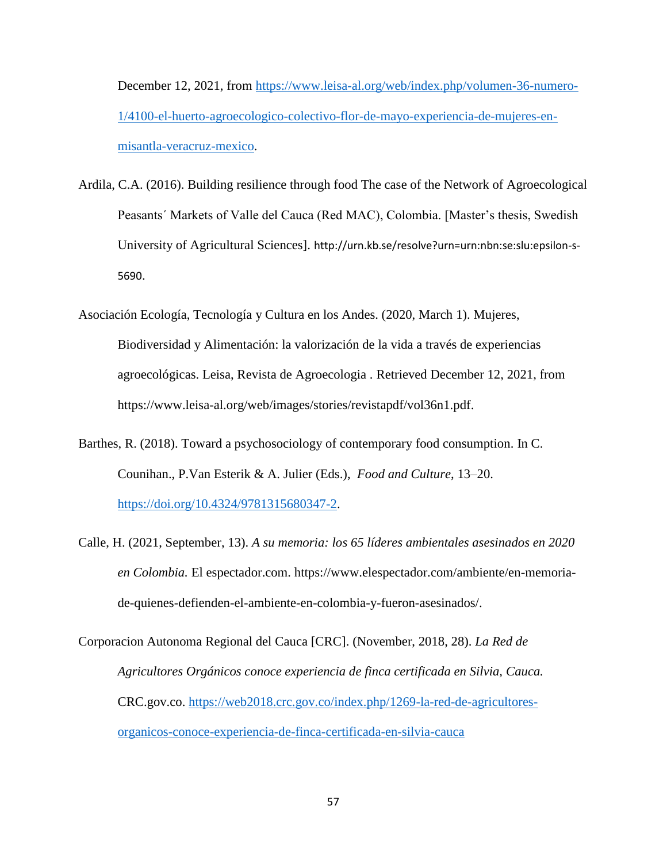December 12, 2021, from [https://www.leisa-al.org/web/index.php/volumen-36-numero-](https://www.leisa-al.org/web/index.php/volumen-36-numero-1/4100-el-huerto-agroecologico-colectivo-flor-de-mayo-experiencia-de-mujeres-en-misantla-veracruz-mexico)[1/4100-el-huerto-agroecologico-colectivo-flor-de-mayo-experiencia-de-mujeres-en](https://www.leisa-al.org/web/index.php/volumen-36-numero-1/4100-el-huerto-agroecologico-colectivo-flor-de-mayo-experiencia-de-mujeres-en-misantla-veracruz-mexico)[misantla-veracruz-mexico.](https://www.leisa-al.org/web/index.php/volumen-36-numero-1/4100-el-huerto-agroecologico-colectivo-flor-de-mayo-experiencia-de-mujeres-en-misantla-veracruz-mexico)

- Ardila, C.A. (2016). Building resilience through food The case of the Network of Agroecological Peasants´ Markets of Valle del Cauca (Red MAC), Colombia. [Master's thesis, Swedish University of Agricultural Sciences]. [http://urn.kb.se/resolve?urn=urn:nbn:se:slu:epsilon-s-](http://urn.kb.se/resolve?urn=urn:nbn:se:slu:epsilon-s-5690)[5690](http://urn.kb.se/resolve?urn=urn:nbn:se:slu:epsilon-s-5690).
- Asociación Ecología, Tecnología y Cultura en los Andes. (2020, March 1). Mujeres, Biodiversidad y Alimentación: la valorización de la vida a través de experiencias agroecológicas. Leisa, Revista de Agroecologia . Retrieved December 12, 2021, from [https://www.leisa-al.org/web/images/stories/revistapdf/vol36n1.pdf.](https://www.leisa-al.org/web/images/stories/revistapdf/vol36n1.pdf)
- Barthes, R. (2018). Toward a psychosociology of contemporary food consumption. In C. Counihan., P.Van Esterik & A. Julier (Eds.), *Food and Culture*, 13–20. [https://doi.org/10.4324/9781315680347-2.](https://doi.org/10.4324/9781315680347-2)
- Calle, H. (2021, September, 13). *A su memoria: los 65 líderes ambientales asesinados en 2020 en Colombia.* El espectador.com. https://www.elespectador.com/ambiente/en-memoriade-quienes-defienden-el-ambiente-en-colombia-y-fueron-asesinados/.
- Corporacion Autonoma Regional del Cauca [CRC]. (November, 2018, 28). *La Red de Agricultores Orgánicos conoce experiencia de finca certificada en Silvia, Cauca.* CRC.gov.co. [https://web2018.crc.gov.co/index.php/1269-la-red-de-agricultores](https://web2018.crc.gov.co/index.php/1269-la-red-de-agricultores-organicos-conoce-experiencia-de-finca-certificada-en-silvia-cauca)[organicos-conoce-experiencia-de-finca-certificada-en-silvia-cauca](https://web2018.crc.gov.co/index.php/1269-la-red-de-agricultores-organicos-conoce-experiencia-de-finca-certificada-en-silvia-cauca)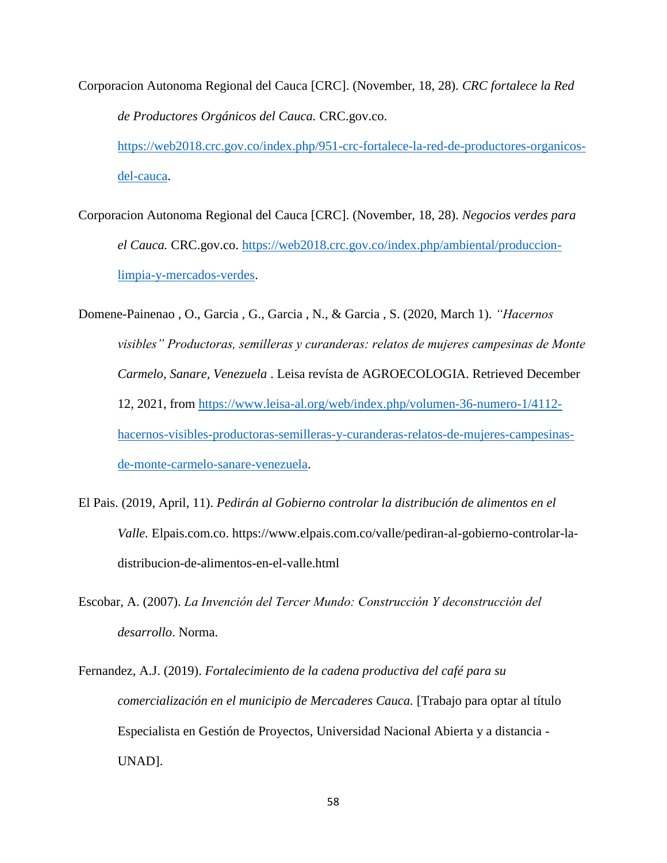Corporacion Autonoma Regional del Cauca [CRC]. (November, 18, 28). *CRC fortalece la Red de Productores Orgánicos del Cauca.* CRC.gov.co.

[https://web2018.crc.gov.co/index.php/951-crc-fortalece-la-red-de-productores-organicos](https://web2018.crc.gov.co/index.php/951-crc-fortalece-la-red-de-productores-organicos-del-cauca)[del-cauca.](https://web2018.crc.gov.co/index.php/951-crc-fortalece-la-red-de-productores-organicos-del-cauca)

Corporacion Autonoma Regional del Cauca [CRC]. (November, 18, 28). *Negocios verdes para el Cauca.* CRC.gov.co. [https://web2018.crc.gov.co/index.php/ambiental/produccion](https://web2018.crc.gov.co/index.php/ambiental/produccion-limpia-y-mercados-verdes)[limpia-y-mercados-verdes.](https://web2018.crc.gov.co/index.php/ambiental/produccion-limpia-y-mercados-verdes)

Domene-Painenao , O., Garcia , G., Garcia , N., & Garcia , S. (2020, March 1). *"Hacernos visibles" Productoras, semilleras y curanderas: relatos de mujeres campesinas de Monte Carmelo, Sanare, Venezuela* . Leisa revísta de AGROECOLOGIA. Retrieved December 12, 2021, from [https://www.leisa-al.org/web/index.php/volumen-36-numero-1/4112](https://www.leisa-al.org/web/index.php/volumen-36-numero-1/4112-hacernos-visibles-productoras-semilleras-y-curanderas-relatos-de-mujeres-campesinas-de-monte-carmelo-sanare-venezuela) [hacernos-visibles-productoras-semilleras-y-curanderas-relatos-de-mujeres-campesinas](https://www.leisa-al.org/web/index.php/volumen-36-numero-1/4112-hacernos-visibles-productoras-semilleras-y-curanderas-relatos-de-mujeres-campesinas-de-monte-carmelo-sanare-venezuela)[de-monte-carmelo-sanare-venezuela.](https://www.leisa-al.org/web/index.php/volumen-36-numero-1/4112-hacernos-visibles-productoras-semilleras-y-curanderas-relatos-de-mujeres-campesinas-de-monte-carmelo-sanare-venezuela)

- El Pais. (2019, April, 11). *Pedirán al Gobierno controlar la distribución de alimentos en el Valle.* Elpais.com.co. https://www.elpais.com.co/valle/pediran-al-gobierno-controlar-ladistribucion-de-alimentos-en-el-valle.html
- Escobar, A. (2007). *La Invención del Tercer Mundo: Construcción Y deconstrucción del desarrollo*. Norma.
- Fernandez, A.J. (2019). *Fortalecimiento de la cadena productiva del café para su comercialización en el municipio de Mercaderes Cauca.* [Trabajo para optar al título Especialista en Gestión de Proyectos, Universidad Nacional Abierta y a distancia - UNAD].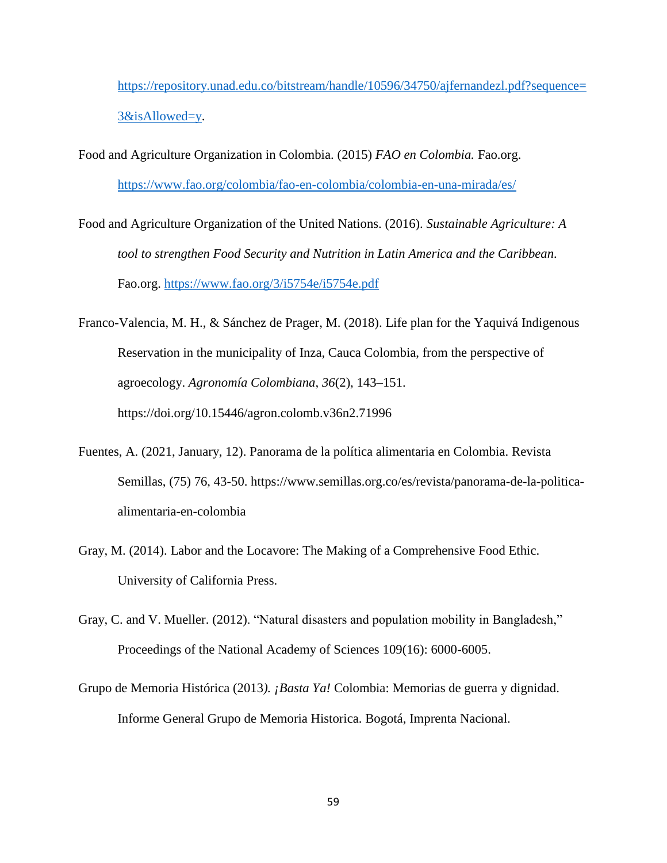[https://repository.unad.edu.co/bitstream/handle/10596/34750/ajfernandezl.pdf?sequence=](https://repository.unad.edu.co/bitstream/handle/10596/34750/ajfernandezl.pdf?sequence=3&isAllowed=y) [3&isAllowed=y.](https://repository.unad.edu.co/bitstream/handle/10596/34750/ajfernandezl.pdf?sequence=3&isAllowed=y)

- Food and Agriculture Organization in Colombia. (2015) *FAO en Colombia.* Fao.org. <https://www.fao.org/colombia/fao-en-colombia/colombia-en-una-mirada/es/>
- Food and Agriculture Organization of the United Nations. (2016). *Sustainable Agriculture: A tool to strengthen Food Security and Nutrition in Latin America and the Caribbean.* Fao.org.<https://www.fao.org/3/i5754e/i5754e.pdf>
- Franco-Valencia, M. H., & Sánchez de Prager, M. (2018). Life plan for the Yaquivá Indigenous Reservation in the municipality of Inza, Cauca Colombia, from the perspective of agroecology. *Agronomía Colombiana*, *36*(2), 143–151. https://doi.org/10.15446/agron.colomb.v36n2.71996
- Fuentes, A. (2021, January, 12). Panorama de la política alimentaria en Colombia. Revista Semillas, (75) 76, 43-50. [https://www.semillas.org.co/es/revista/panorama-de-la-politica](https://www.semillas.org.co/es/revista/panorama-de-la-politica-alimentaria-en-colombia)[alimentaria-en-colombia](https://www.semillas.org.co/es/revista/panorama-de-la-politica-alimentaria-en-colombia)
- Gray, M. (2014). Labor and the Locavore: The Making of a Comprehensive Food Ethic. University of California Press.
- Gray, C. and V. Mueller. (2012). "Natural disasters and population mobility in Bangladesh," Proceedings of the National Academy of Sciences 109(16): 6000-6005.
- Grupo de Memoria Histórica (2013*). ¡Basta Ya!* Colombia: Memorias de guerra y dignidad. Informe General Grupo de Memoria Historica. Bogotá, Imprenta Nacional.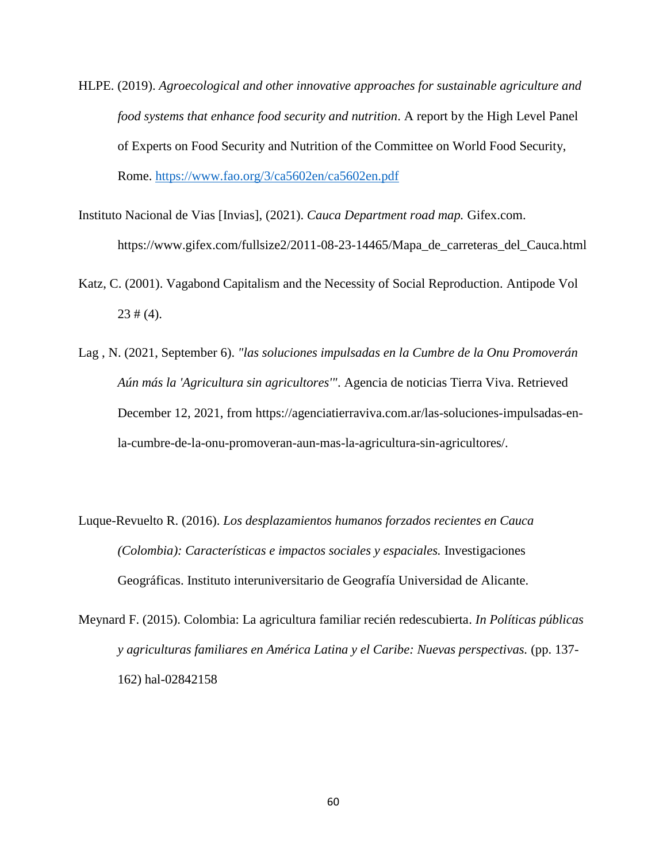- HLPE. (2019). *Agroecological and other innovative approaches for sustainable agriculture and food systems that enhance food security and nutrition*. A report by the High Level Panel of Experts on Food Security and Nutrition of the Committee on World Food Security, Rome.<https://www.fao.org/3/ca5602en/ca5602en.pdf>
- Instituto Nacional de Vias [Invias], (2021). *Cauca Department road map.* Gifex.com. https://www.gifex.com/fullsize2/2011-08-23-14465/Mapa\_de\_carreteras\_del\_Cauca.html
- Katz, C. (2001). Vagabond Capitalism and the Necessity of Social Reproduction. Antipode Vol  $23 \# (4)$ .
- Lag , N. (2021, September 6). *"las soluciones impulsadas en la Cumbre de la Onu Promoverán Aún más la 'Agricultura sin agricultores'"*. Agencia de noticias Tierra Viva. Retrieved December 12, 2021, from https://agenciatierraviva.com.ar/las-soluciones-impulsadas-enla-cumbre-de-la-onu-promoveran-aun-mas-la-agricultura-sin-agricultores/.
- Luque-Revuelto R. (2016). *Los desplazamientos humanos forzados recientes en Cauca (Colombia): Características e impactos sociales y espaciales.* Investigaciones Geográficas. Instituto interuniversitario de Geografía Universidad de Alicante.
- Meynard F. (2015). Colombia: La agricultura familiar recién redescubierta. *In Políticas públicas y agriculturas familiares en América Latina y el Caribe: Nuevas perspectivas.* (pp. 137- 162) hal-02842158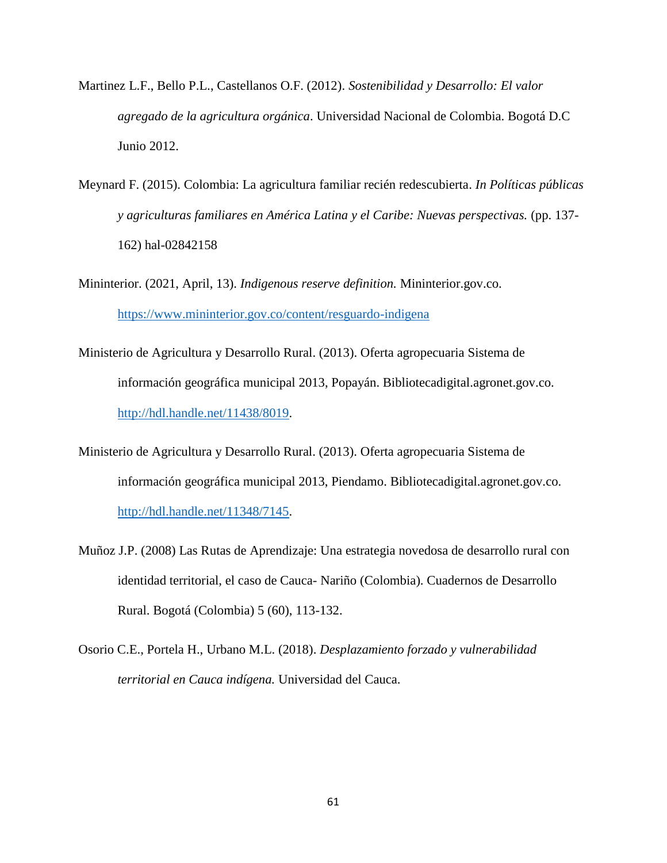- Martinez L.F., Bello P.L., Castellanos O.F. (2012). *Sostenibilidad y Desarrollo: El valor agregado de la agricultura orgánica*. Universidad Nacional de Colombia. Bogotá D.C Junio 2012.
- Meynard F. (2015). Colombia: La agricultura familiar recién redescubierta. *In Políticas públicas y agriculturas familiares en América Latina y el Caribe: Nuevas perspectivas.* (pp. 137- 162) hal-02842158

Mininterior. (2021, April, 13). *Indigenous reserve definition.* Mininterior.gov.co. <https://www.mininterior.gov.co/content/resguardo-indigena>

- Ministerio de Agricultura y Desarrollo Rural. (2013). Oferta agropecuaria Sistema de información geográfica municipal 2013, Popayán. Bibliotecadigital.agronet.gov.co. [http://hdl.handle.net/11438/8019.](http://hdl.handle.net/11438/8019)
- Ministerio de Agricultura y Desarrollo Rural. (2013). Oferta agropecuaria Sistema de información geográfica municipal 2013, Piendamo. Bibliotecadigital.agronet.gov.co. [http://hdl.handle.net/11348/7145.](http://hdl.handle.net/11348/7145)
- Muñoz J.P. (2008) Las Rutas de Aprendizaje: Una estrategia novedosa de desarrollo rural con identidad territorial, el caso de Cauca- Nariño (Colombia). Cuadernos de Desarrollo Rural. Bogotá (Colombia) 5 (60), 113-132.
- Osorio C.E., Portela H., Urbano M.L. (2018). *Desplazamiento forzado y vulnerabilidad territorial en Cauca indígena.* Universidad del Cauca.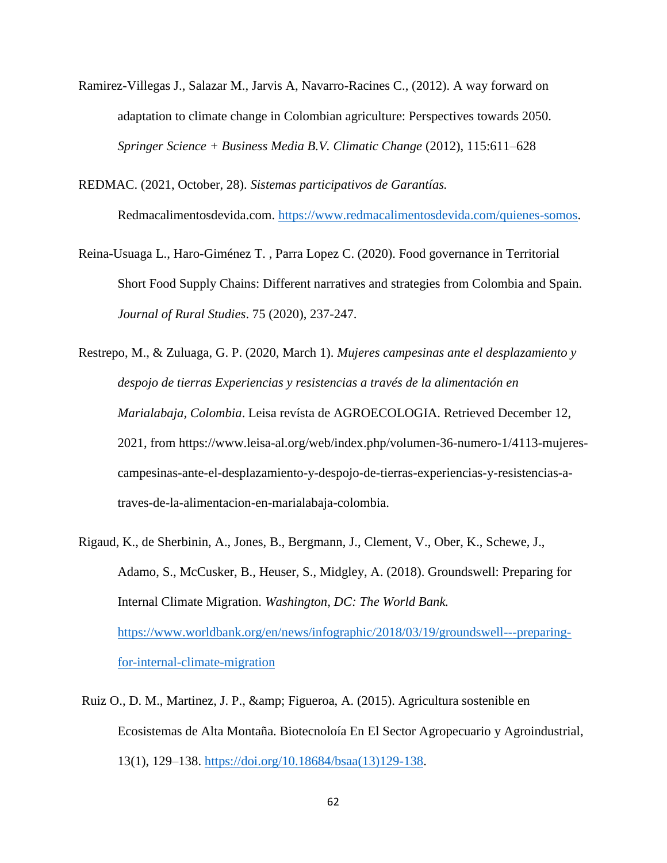Ramirez-Villegas J., Salazar M., Jarvis A, Navarro-Racines C., (2012). A way forward on adaptation to climate change in Colombian agriculture: Perspectives towards 2050. *Springer Science + Business Media B.V. Climatic Change* (2012), 115:611–628

REDMAC. (2021, October, 28). *Sistemas participativos de Garantías.*

Redmacalimentosdevida.com. [https://www.redmacalimentosdevida.com/quienes-somos.](https://www.redmacalimentosdevida.com/quienes-somos)

- Reina-Usuaga L., Haro-Giménez T. , Parra Lopez C. (2020). Food governance in Territorial Short Food Supply Chains: Different narratives and strategies from Colombia and Spain. *Journal of Rural Studies*. 75 (2020), 237-247.
- Restrepo, M., & Zuluaga, G. P. (2020, March 1). *Mujeres campesinas ante el desplazamiento y despojo de tierras Experiencias y resistencias a través de la alimentación en Marialabaja, Colombia*. Leisa revísta de AGROECOLOGIA. Retrieved December 12, 2021, from https://www.leisa-al.org/web/index.php/volumen-36-numero-1/4113-mujerescampesinas-ante-el-desplazamiento-y-despojo-de-tierras-experiencias-y-resistencias-atraves-de-la-alimentacion-en-marialabaja-colombia.
- Rigaud, K., de Sherbinin, A., Jones, B., Bergmann, J., Clement, V., Ober, K., Schewe, J., Adamo, S., McCusker, B., Heuser, S., Midgley, A. (2018). Groundswell: Preparing for Internal Climate Migration. *Washington, DC: The World Bank.* [https://www.worldbank.org/en/news/infographic/2018/03/19/groundswell---preparing](https://www.worldbank.org/en/news/infographic/2018/03/19/groundswell---preparing-for-internal-climate-migration)[for-internal-climate-migration](https://www.worldbank.org/en/news/infographic/2018/03/19/groundswell---preparing-for-internal-climate-migration)
- Ruiz O., D. M., Martinez, J. P., & amp; Figueroa, A. (2015). Agricultura sostenible en Ecosistemas de Alta Montaña. Biotecnoloía En El Sector Agropecuario y Agroindustrial, 13(1), 129–138. [https://doi.org/10.18684/bsaa\(13\)129-138.](https://doi.org/10.18684/bsaa(13)129-138)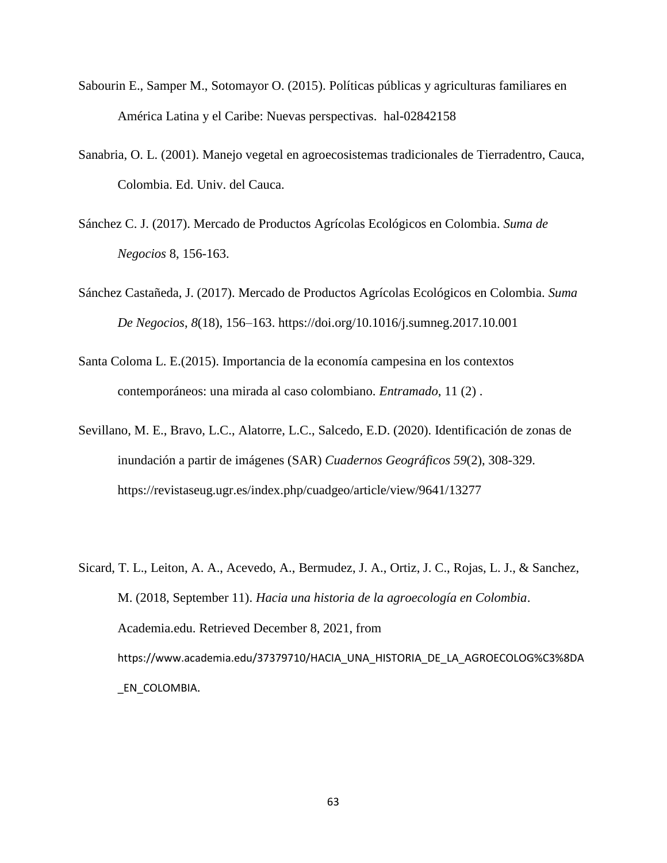- Sabourin E., Samper M., Sotomayor O. (2015). Políticas públicas y agriculturas familiares en América Latina y el Caribe: Nuevas perspectivas. hal-02842158
- Sanabria, O. L. (2001). Manejo vegetal en agroecosistemas tradicionales de Tierradentro, Cauca, Colombia. Ed. Univ. del Cauca.
- Sánchez C. J. (2017). Mercado de Productos Agrícolas Ecológicos en Colombia. *Suma de Negocios* 8, 156-163.
- Sánchez Castañeda, J. (2017). Mercado de Productos Agrícolas Ecológicos en Colombia. *Suma De Negocios*, *8*(18), 156–163. https://doi.org/10.1016/j.sumneg.2017.10.001
- Santa Coloma L. E.(2015). Importancia de la economía campesina en los contextos contemporáneos: una mirada al caso colombiano. *Entramado*, 11 (2) .
- Sevillano, M. E., Bravo, L.C., Alatorre, L.C., Salcedo, E.D. (2020). Identificación de zonas de inundación a partir de imágenes (SAR) *Cuadernos Geográficos 59*(2), 308-329. https://revistaseug.ugr.es/index.php/cuadgeo/article/view/9641/13277
- Sicard, T. L., Leiton, A. A., Acevedo, A., Bermudez, J. A., Ortiz, J. C., Rojas, L. J., & Sanchez, M. (2018, September 11). *Hacia una historia de la agroecología en Colombia*. Academia.edu. Retrieved December 8, 2021, from [https://www.academia.edu/37379710/HACIA\\_UNA\\_HISTORIA\\_DE\\_LA\\_AGROECOLOG%C3%8DA](https://www.academia.edu/37379710/HACIA_UNA_HISTORIA_DE_LA_AGROECOLOG%C3%8DA_EN_COLOMBIA) [\\_EN\\_COLOMBIA](https://www.academia.edu/37379710/HACIA_UNA_HISTORIA_DE_LA_AGROECOLOG%C3%8DA_EN_COLOMBIA).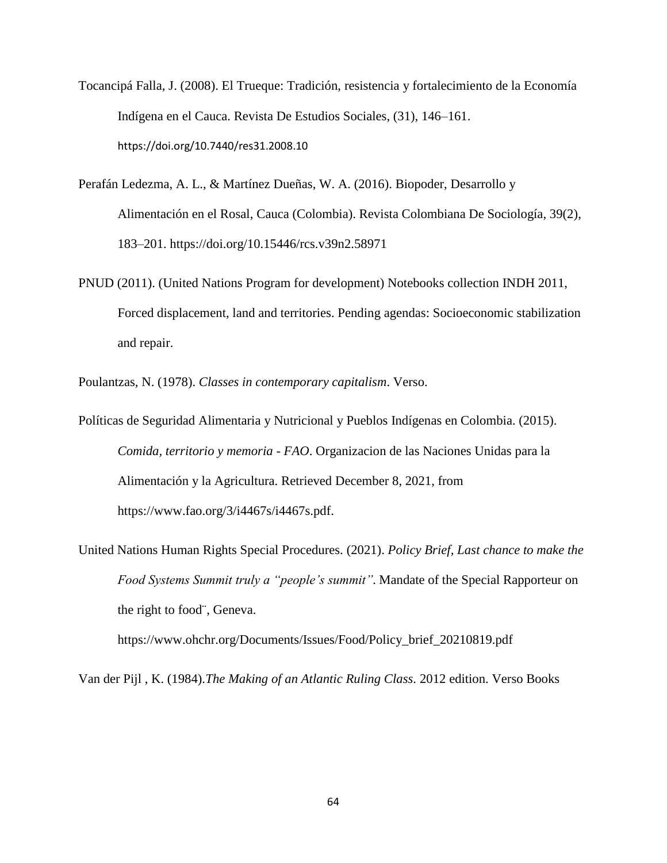- Tocancipá Falla, J. (2008). El Trueque: Tradición, resistencia y fortalecimiento de la Economía Indígena en el Cauca. Revista De Estudios Sociales, (31), 146–161. <https://doi.org/10.7440/res31.2008.10>
- Perafán Ledezma, A. L., & Martínez Dueñas, W. A. (2016). Biopoder, Desarrollo y Alimentación en el Rosal, Cauca (Colombia). Revista Colombiana De Sociología, 39(2), 183–201. https://doi.org/10.15446/rcs.v39n2.58971
- PNUD (2011). (United Nations Program for development) Notebooks collection INDH 2011, Forced displacement, land and territories. Pending agendas: Socioeconomic stabilization and repair.

Poulantzas, N. (1978). *Classes in contemporary capitalism*. Verso.

Políticas de Seguridad Alimentaria y Nutricional y Pueblos Indígenas en Colombia. (2015). *Comida, territorio y memoria - FAO*. Organizacion de las Naciones Unidas para la Alimentación y la Agricultura. Retrieved December 8, 2021, from https://www.fao.org/3/i4467s/i4467s.pdf.

United Nations Human Rights Special Procedures. (2021). *Policy Brief, Last chance to make the Food Systems Summit truly a "people's summit".* Mandate of the Special Rapporteur on the right to food¨, Geneva.

https://www.ohchr.org/Documents/Issues/Food/Policy\_brief\_20210819.pdf

Van der Pijl , K. (1984).*The Making of an Atlantic Ruling Class.* 2012 edition. Verso Books